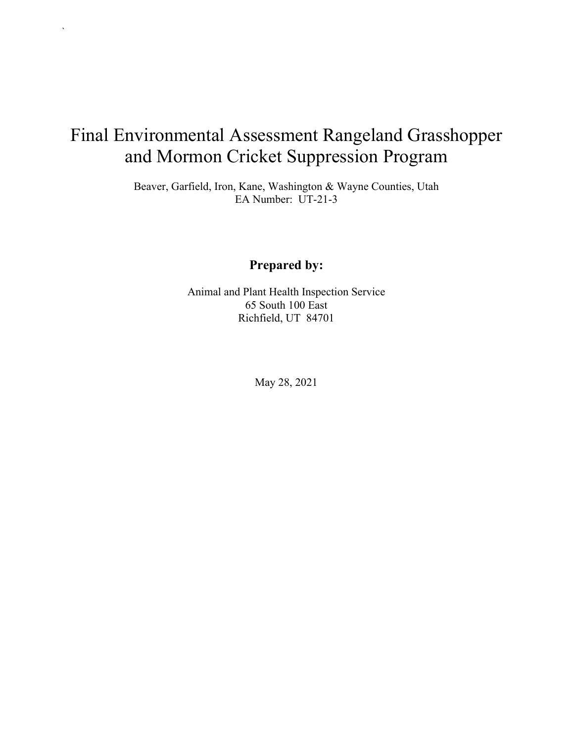# Final Environmental Assessment Rangeland Grasshopper and Mormon Cricket Suppression Program

`

Beaver, Garfield, Iron, Kane, Washington & Wayne Counties, Utah EA Number: UT-21-3

#### **Prepared by:**

Animal and Plant Health Inspection Service 65 South 100 East Richfield, UT 84701

May 28, 2021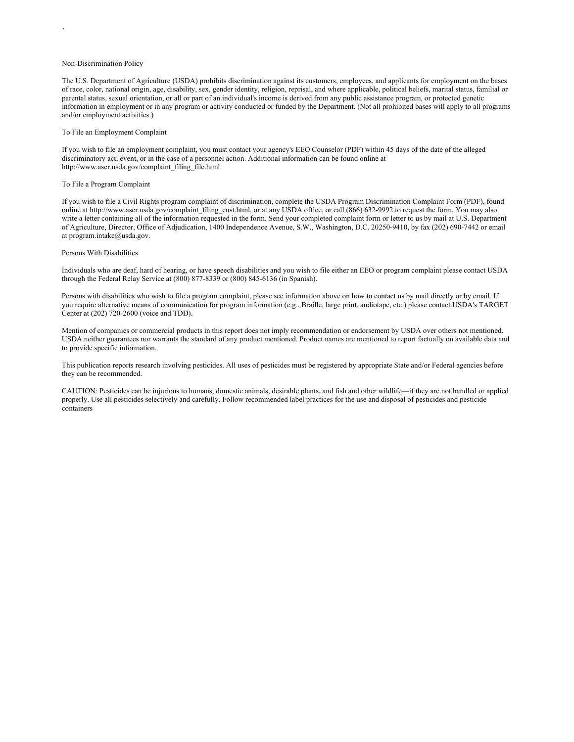#### Non-Discrimination Policy

`

The U.S. Department of Agriculture (USDA) prohibits discrimination against its customers, employees, and applicants for employment on the bases of race, color, national origin, age, disability, sex, gender identity, religion, reprisal, and where applicable, political beliefs, marital status, familial or parental status, sexual orientation, or all or part of an individual's income is derived from any public assistance program, or protected genetic information in employment or in any program or activity conducted or funded by the Department. (Not all prohibited bases will apply to all programs and/or employment activities.)

#### To File an Employment Complaint

If you wish to file an employment complaint, you must contact your agency's EEO Counselor (PDF) within 45 days of the date of the alleged discriminatory act, event, or in the case of a personnel action. Additional information can be found online at http://www.ascr.usda.gov/complaint\_filing\_file.html.

#### To File a Program Complaint

If you wish to file a Civil Rights program complaint of discrimination, complete the USDA Program Discrimination Complaint Form (PDF), found online at http://www.ascr.usda.gov/complaint\_filing\_cust.html, or at any USDA office, or call (866) 632-9992 to request the form. You may also write a letter containing all of the information requested in the form. Send your completed complaint form or letter to us by mail at U.S. Department of Agriculture, Director, Office of Adjudication, 1400 Independence Avenue, S.W., Washington, D.C. 20250-9410, by fax (202) 690-7442 or email at program.intake@usda.gov.

#### Persons With Disabilities

Individuals who are deaf, hard of hearing, or have speech disabilities and you wish to file either an EEO or program complaint please contact USDA through the Federal Relay Service at (800) 877-8339 or (800) 845-6136 (in Spanish).

Persons with disabilities who wish to file a program complaint, please see information above on how to contact us by mail directly or by email. If you require alternative means of communication for program information (e.g., Braille, large print, audiotape, etc.) please contact USDA's TARGET Center at (202) 720-2600 (voice and TDD).

Mention of companies or commercial products in this report does not imply recommendation or endorsement by USDA over others not mentioned. USDA neither guarantees nor warrants the standard of any product mentioned. Product names are mentioned to report factually on available data and to provide specific information.

This publication reports research involving pesticides. All uses of pesticides must be registered by appropriate State and/or Federal agencies before they can be recommended.

CAUTION: Pesticides can be injurious to humans, domestic animals, desirable plants, and fish and other wildlife—if they are not handled or applied properly. Use all pesticides selectively and carefully. Follow recommended label practices for the use and disposal of pesticides and pesticide containers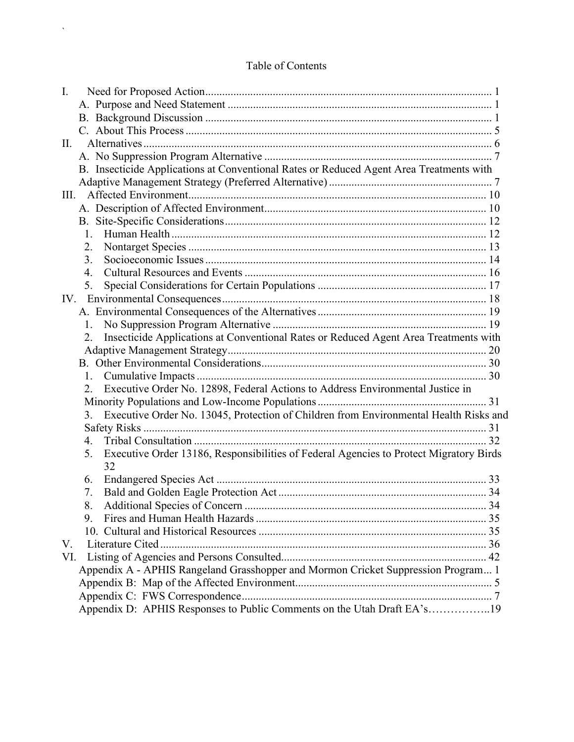#### Table of Contents

 $\bar{\Delta}$ 

| Ι.                                                                                           |  |
|----------------------------------------------------------------------------------------------|--|
|                                                                                              |  |
|                                                                                              |  |
|                                                                                              |  |
| II.                                                                                          |  |
|                                                                                              |  |
| B. Insecticide Applications at Conventional Rates or Reduced Agent Area Treatments with      |  |
|                                                                                              |  |
| III.                                                                                         |  |
|                                                                                              |  |
|                                                                                              |  |
| 1.                                                                                           |  |
| 2.                                                                                           |  |
| 3.                                                                                           |  |
| 4.                                                                                           |  |
| 5.                                                                                           |  |
|                                                                                              |  |
|                                                                                              |  |
| 1.                                                                                           |  |
| Insecticide Applications at Conventional Rates or Reduced Agent Area Treatments with<br>2.   |  |
|                                                                                              |  |
|                                                                                              |  |
| 1.                                                                                           |  |
| Executive Order No. 12898, Federal Actions to Address Environmental Justice in<br>2.         |  |
|                                                                                              |  |
| Executive Order No. 13045, Protection of Children from Environmental Health Risks and<br>3.  |  |
|                                                                                              |  |
| 4.                                                                                           |  |
| Executive Order 13186, Responsibilities of Federal Agencies to Protect Migratory Birds<br>5. |  |
| 32                                                                                           |  |
| 6.                                                                                           |  |
| 7.                                                                                           |  |
|                                                                                              |  |
| 9.                                                                                           |  |
|                                                                                              |  |
| V.                                                                                           |  |
| VI.                                                                                          |  |
| Appendix A - APHIS Rangeland Grasshopper and Mormon Cricket Suppression Program 1            |  |
|                                                                                              |  |
|                                                                                              |  |
| Appendix D: APHIS Responses to Public Comments on the Utah Draft EA's19                      |  |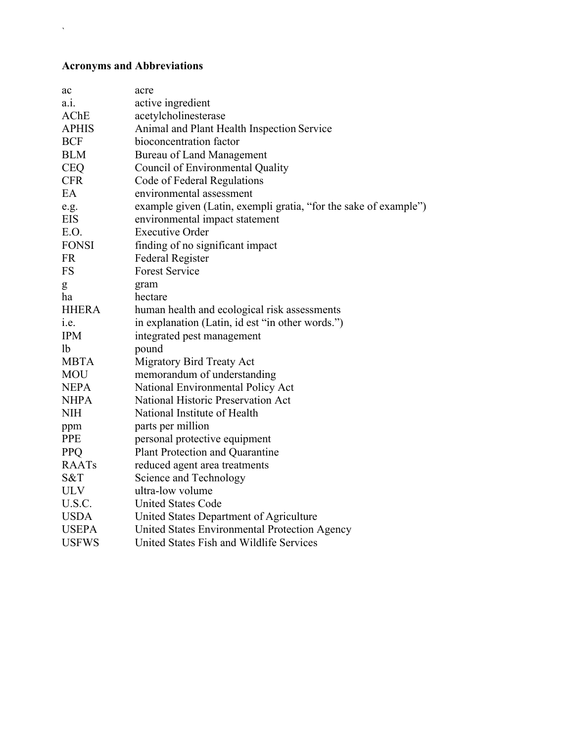#### **Acronyms and Abbreviations**

 $\sqrt{\frac{1}{2}}$ 

| ac           | acre                                                             |
|--------------|------------------------------------------------------------------|
| $a_{.1}$ .   | active ingredient                                                |
| AChE         | acetylcholinesterase                                             |
| <b>APHIS</b> | Animal and Plant Health Inspection Service                       |
| <b>BCF</b>   | bioconcentration factor                                          |
| <b>BLM</b>   | <b>Bureau of Land Management</b>                                 |
| <b>CEQ</b>   | Council of Environmental Quality                                 |
| <b>CFR</b>   | Code of Federal Regulations                                      |
| EA           | environmental assessment                                         |
| e.g.         | example given (Latin, exempli gratia, "for the sake of example") |
| <b>EIS</b>   | environmental impact statement                                   |
| E.O.         | <b>Executive Order</b>                                           |
| <b>FONSI</b> | finding of no significant impact                                 |
| <b>FR</b>    | <b>Federal Register</b>                                          |
| <b>FS</b>    | <b>Forest Service</b>                                            |
| g            | gram                                                             |
| ha           | hectare                                                          |
| <b>HHERA</b> | human health and ecological risk assessments                     |
| i.e.         | in explanation (Latin, id est "in other words.")                 |
| <b>IPM</b>   | integrated pest management                                       |
| lb           | pound                                                            |
| <b>MBTA</b>  | Migratory Bird Treaty Act                                        |
| <b>MOU</b>   | memorandum of understanding                                      |
| <b>NEPA</b>  | National Environmental Policy Act                                |
| <b>NHPA</b>  | National Historic Preservation Act                               |
| <b>NIH</b>   | National Institute of Health                                     |
| ppm          | parts per million                                                |
| <b>PPE</b>   | personal protective equipment                                    |
| <b>PPQ</b>   | Plant Protection and Quarantine                                  |
| <b>RAATs</b> | reduced agent area treatments                                    |
| S&T          | Science and Technology                                           |
| <b>ULV</b>   | ultra-low volume                                                 |
| U.S.C.       | <b>United States Code</b>                                        |
| <b>USDA</b>  | United States Department of Agriculture                          |
| <b>USEPA</b> | United States Environmental Protection Agency                    |
| <b>USFWS</b> | United States Fish and Wildlife Services                         |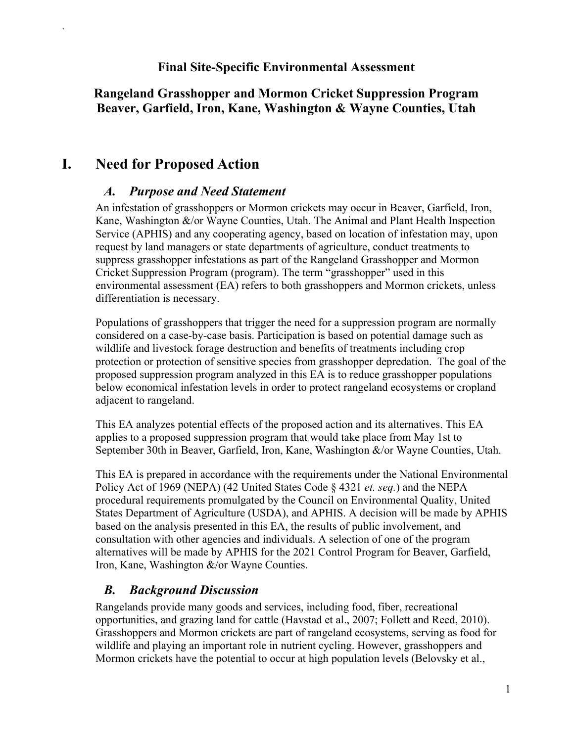#### **Final Site-Specific Environmental Assessment**

### **Rangeland Grasshopper and Mormon Cricket Suppression Program Beaver, Garfield, Iron, Kane, Washington & Wayne Counties, Utah**

### <span id="page-4-1"></span><span id="page-4-0"></span>**I. Need for Proposed Action**

`

### *A. Purpose and Need Statement*

An infestation of grasshoppers or Mormon crickets may occur in Beaver, Garfield, Iron, Kane, Washington &/or Wayne Counties, Utah. The Animal and Plant Health Inspection Service (APHIS) and any cooperating agency, based on location of infestation may, upon request by land managers or state departments of agriculture, conduct treatments to suppress grasshopper infestations as part of the Rangeland Grasshopper and Mormon Cricket Suppression Program (program). The term "grasshopper" used in this environmental assessment (EA) refers to both grasshoppers and Mormon crickets, unless differentiation is necessary.

Populations of grasshoppers that trigger the need for a suppression program are normally considered on a case-by-case basis. Participation is based on potential damage such as wildlife and livestock forage destruction and benefits of treatments including crop protection or protection of sensitive species from grasshopper depredation. The goal of the proposed suppression program analyzed in this EA is to reduce grasshopper populations below economical infestation levels in order to protect rangeland ecosystems or cropland adjacent to rangeland.

This EA analyzes potential effects of the proposed action and its alternatives. This EA applies to a proposed suppression program that would take place from May 1st to September 30th in Beaver, Garfield, Iron, Kane, Washington &/or Wayne Counties, Utah.

This EA is prepared in accordance with the requirements under the National Environmental Policy Act of 1969 (NEPA) (42 United States Code § 4321 *et. seq.*) and the NEPA procedural requirements promulgated by the Council on Environmental Quality, United States Department of Agriculture (USDA), and APHIS. A decision will be made by APHIS based on the analysis presented in this EA, the results of public involvement, and consultation with other agencies and individuals. A selection of one of the program alternatives will be made by APHIS for the 2021 Control Program for Beaver, Garfield, Iron, Kane, Washington &/or Wayne Counties.

### *B. Background Discussion*

<span id="page-4-2"></span>Rangelands provide many goods and services, including food, fiber, recreational opportunities, and grazing land for cattle (Havstad et al., 2007; Follett and Reed, 2010). Grasshoppers and Mormon crickets are part of rangeland ecosystems, serving as food for wildlife and playing an important role in nutrient cycling. However, grasshoppers and Mormon crickets have the potential to occur at high population levels (Belovsky et al.,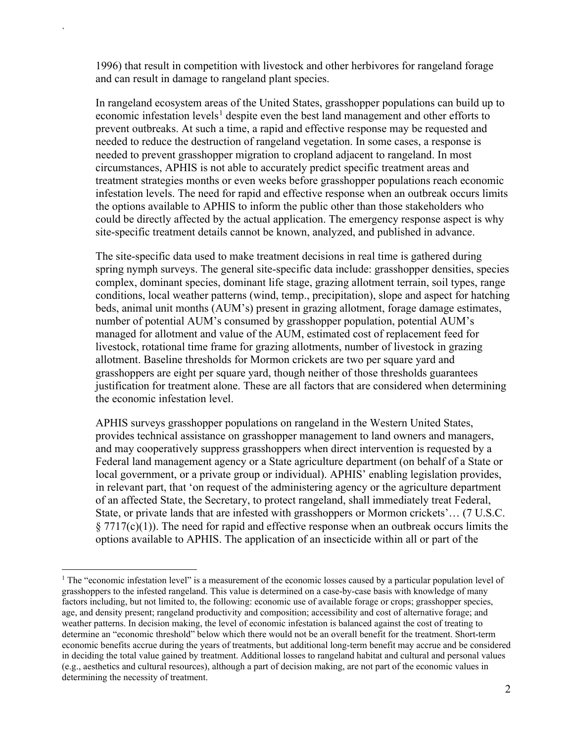1996) that result in competition with livestock and other herbivores for rangeland forage and can result in damage to rangeland plant species.

`

In rangeland ecosystem areas of the United States, grasshopper populations can build up to economic infestation levels<sup>[1](#page-5-0)</sup> despite even the best land management and other efforts to prevent outbreaks. At such a time, a rapid and effective response may be requested and needed to reduce the destruction of rangeland vegetation. In some cases, a response is needed to prevent grasshopper migration to cropland adjacent to rangeland. In most circumstances, APHIS is not able to accurately predict specific treatment areas and treatment strategies months or even weeks before grasshopper populations reach economic infestation levels. The need for rapid and effective response when an outbreak occurs limits the options available to APHIS to inform the public other than those stakeholders who could be directly affected by the actual application. The emergency response aspect is why site-specific treatment details cannot be known, analyzed, and published in advance.

The site-specific data used to make treatment decisions in real time is gathered during spring nymph surveys. The general site-specific data include: grasshopper densities, species complex, dominant species, dominant life stage, grazing allotment terrain, soil types, range conditions, local weather patterns (wind, temp., precipitation), slope and aspect for hatching beds, animal unit months (AUM's) present in grazing allotment, forage damage estimates, number of potential AUM's consumed by grasshopper population, potential AUM's managed for allotment and value of the AUM, estimated cost of replacement feed for livestock, rotational time frame for grazing allotments, number of livestock in grazing allotment. Baseline thresholds for Mormon crickets are two per square yard and grasshoppers are eight per square yard, though neither of those thresholds guarantees justification for treatment alone. These are all factors that are considered when determining the economic infestation level.

APHIS surveys grasshopper populations on rangeland in the Western United States, provides technical assistance on grasshopper management to land owners and managers, and may cooperatively suppress grasshoppers when direct intervention is requested by a Federal land management agency or a State agriculture department (on behalf of a State or local government, or a private group or individual). APHIS' enabling legislation provides, in relevant part, that 'on request of the administering agency or the agriculture department of an affected State, the Secretary, to protect rangeland, shall immediately treat Federal, State, or private lands that are infested with grasshoppers or Mormon crickets'… (7 U.S.C.  $\S 7717(c)(1)$ ). The need for rapid and effective response when an outbreak occurs limits the options available to APHIS. The application of an insecticide within all or part of the

<span id="page-5-0"></span><sup>&</sup>lt;sup>1</sup> The "economic infestation level" is a measurement of the economic losses caused by a particular population level of grasshoppers to the infested rangeland. This value is determined on a case-by-case basis with knowledge of many factors including, but not limited to, the following: economic use of available forage or crops; grasshopper species, age, and density present; rangeland productivity and composition; accessibility and cost of alternative forage; and weather patterns. In decision making, the level of economic infestation is balanced against the cost of treating to determine an "economic threshold" below which there would not be an overall benefit for the treatment. Short-term economic benefits accrue during the years of treatments, but additional long-term benefit may accrue and be considered in deciding the total value gained by treatment. Additional losses to rangeland habitat and cultural and personal values (e.g., aesthetics and cultural resources), although a part of decision making, are not part of the economic values in determining the necessity of treatment.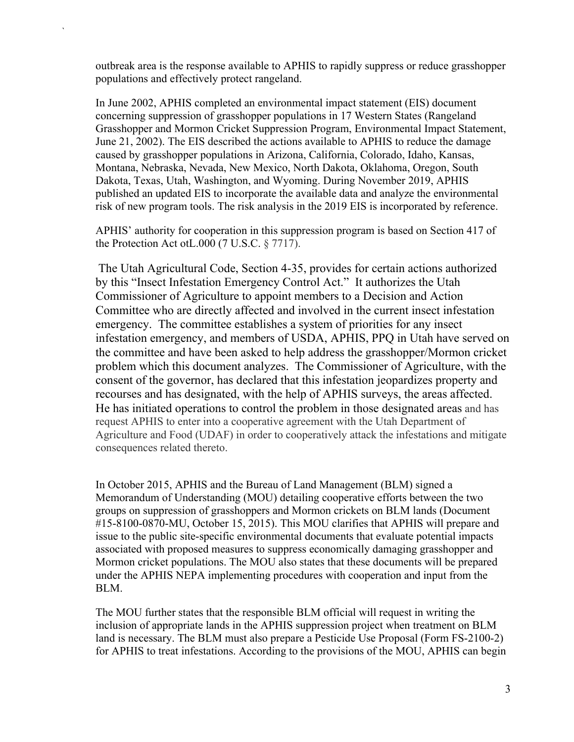outbreak area is the response available to APHIS to rapidly suppress or reduce grasshopper populations and effectively protect rangeland.

`

In June 2002, APHIS completed an environmental impact statement (EIS) document concerning suppression of grasshopper populations in 17 Western States (Rangeland Grasshopper and Mormon Cricket Suppression Program, Environmental Impact Statement, June 21, 2002). The EIS described the actions available to APHIS to reduce the damage caused by grasshopper populations in Arizona, California, Colorado, Idaho, Kansas, Montana, Nebraska, Nevada, New Mexico, North Dakota, Oklahoma, Oregon, South Dakota, Texas, Utah, Washington, and Wyoming. During November 2019, APHIS published an updated EIS to incorporate the available data and analyze the environmental risk of new program tools. The risk analysis in the 2019 EIS is incorporated by reference.

APHIS' authority for cooperation in this suppression program is based on Section 417 of the Protection Act ot L.000 (7 U.S.C.  $\S 7717$ ).

The Utah Agricultural Code, Section 4-35, provides for certain actions authorized by this "Insect Infestation Emergency Control Act." It authorizes the Utah Commissioner of Agriculture to appoint members to a Decision and Action Committee who are directly affected and involved in the current insect infestation emergency. The committee establishes a system of priorities for any insect infestation emergency, and members of USDA, APHIS, PPQ in Utah have served on the committee and have been asked to help address the grasshopper/Mormon cricket problem which this document analyzes. The Commissioner of Agriculture, with the consent of the governor, has declared that this infestation jeopardizes property and recourses and has designated, with the help of APHIS surveys, the areas affected. He has initiated operations to control the problem in those designated areas and has request APHIS to enter into a cooperative agreement with the Utah Department of Agriculture and Food (UDAF) in order to cooperatively attack the infestations and mitigate consequences related thereto.

In October 2015, APHIS and the Bureau of Land Management (BLM) signed a Memorandum of Understanding (MOU) detailing cooperative efforts between the two groups on suppression of grasshoppers and Mormon crickets on BLM lands (Document #15-8100-0870-MU, October 15, 2015). This MOU clarifies that APHIS will prepare and issue to the public site-specific environmental documents that evaluate potential impacts associated with proposed measures to suppress economically damaging grasshopper and Mormon cricket populations. The MOU also states that these documents will be prepared under the APHIS NEPA implementing procedures with cooperation and input from the BLM.

The MOU further states that the responsible BLM official will request in writing the inclusion of appropriate lands in the APHIS suppression project when treatment on BLM land is necessary. The BLM must also prepare a Pesticide Use Proposal (Form FS-2100-2) for APHIS to treat infestations. According to the provisions of the MOU, APHIS can begin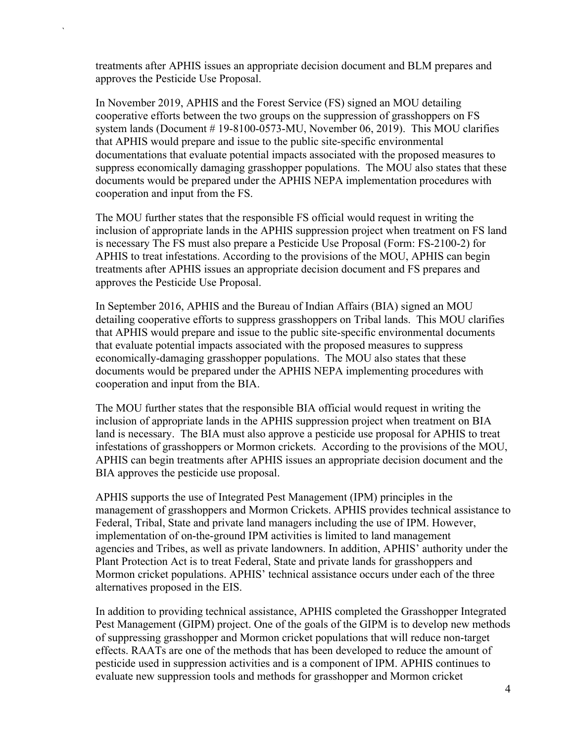treatments after APHIS issues an appropriate decision document and BLM prepares and approves the Pesticide Use Proposal.

`

In November 2019, APHIS and the Forest Service (FS) signed an MOU detailing cooperative efforts between the two groups on the suppression of grasshoppers on FS system lands (Document # 19-8100-0573-MU, November 06, 2019). This MOU clarifies that APHIS would prepare and issue to the public site-specific environmental documentations that evaluate potential impacts associated with the proposed measures to suppress economically damaging grasshopper populations. The MOU also states that these documents would be prepared under the APHIS NEPA implementation procedures with cooperation and input from the FS.

The MOU further states that the responsible FS official would request in writing the inclusion of appropriate lands in the APHIS suppression project when treatment on FS land is necessary The FS must also prepare a Pesticide Use Proposal (Form: FS-2100-2) for APHIS to treat infestations. According to the provisions of the MOU, APHIS can begin treatments after APHIS issues an appropriate decision document and FS prepares and approves the Pesticide Use Proposal.

In September 2016, APHIS and the Bureau of Indian Affairs (BIA) signed an MOU detailing cooperative efforts to suppress grasshoppers on Tribal lands. This MOU clarifies that APHIS would prepare and issue to the public site-specific environmental documents that evaluate potential impacts associated with the proposed measures to suppress economically-damaging grasshopper populations. The MOU also states that these documents would be prepared under the APHIS NEPA implementing procedures with cooperation and input from the BIA.

The MOU further states that the responsible BIA official would request in writing the inclusion of appropriate lands in the APHIS suppression project when treatment on BIA land is necessary. The BIA must also approve a pesticide use proposal for APHIS to treat infestations of grasshoppers or Mormon crickets. According to the provisions of the MOU, APHIS can begin treatments after APHIS issues an appropriate decision document and the BIA approves the pesticide use proposal.

APHIS supports the use of Integrated Pest Management (IPM) principles in the management of grasshoppers and Mormon Crickets. APHIS provides technical assistance to Federal, Tribal, State and private land managers including the use of IPM. However, implementation of on-the-ground IPM activities is limited to land management agencies and Tribes, as well as private landowners. In addition, APHIS' authority under the Plant Protection Act is to treat Federal, State and private lands for grasshoppers and Mormon cricket populations. APHIS' technical assistance occurs under each of the three alternatives proposed in the EIS.

In addition to providing technical assistance, APHIS completed the Grasshopper Integrated Pest Management (GIPM) project. One of the goals of the GIPM is to develop new methods of suppressing grasshopper and Mormon cricket populations that will reduce non-target effects. RAATs are one of the methods that has been developed to reduce the amount of pesticide used in suppression activities and is a component of IPM. APHIS continues to evaluate new suppression tools and methods for grasshopper and Mormon cricket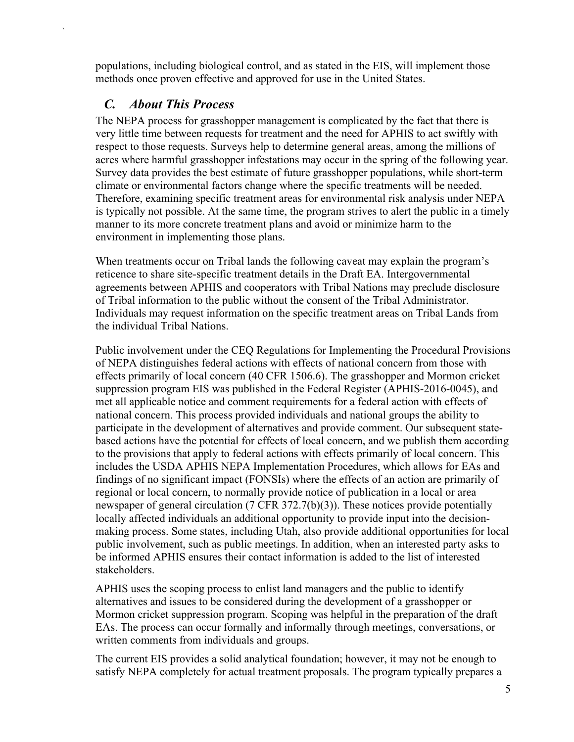populations, including biological control, and as stated in the EIS, will implement those methods once proven effective and approved for use in the United States.

### *C. About This Process*

`

<span id="page-8-0"></span>The NEPA process for grasshopper management is complicated by the fact that there is very little time between requests for treatment and the need for APHIS to act swiftly with respect to those requests. Surveys help to determine general areas, among the millions of acres where harmful grasshopper infestations may occur in the spring of the following year. Survey data provides the best estimate of future grasshopper populations, while short-term climate or environmental factors change where the specific treatments will be needed. Therefore, examining specific treatment areas for environmental risk analysis under NEPA is typically not possible. At the same time, the program strives to alert the public in a timely manner to its more concrete treatment plans and avoid or minimize harm to the environment in implementing those plans.

When treatments occur on Tribal lands the following caveat may explain the program's reticence to share site-specific treatment details in the Draft EA. Intergovernmental agreements between APHIS and cooperators with Tribal Nations may preclude disclosure of Tribal information to the public without the consent of the Tribal Administrator. Individuals may request information on the specific treatment areas on Tribal Lands from the individual Tribal Nations.

Public involvement under the CEQ Regulations for Implementing the Procedural Provisions of NEPA distinguishes federal actions with effects of national concern from those with effects primarily of local concern (40 CFR 1506.6). The grasshopper and Mormon cricket suppression program EIS was published in the Federal Register (APHIS-2016-0045), and met all applicable notice and comment requirements for a federal action with effects of national concern. This process provided individuals and national groups the ability to participate in the development of alternatives and provide comment. Our subsequent statebased actions have the potential for effects of local concern, and we publish them according to the provisions that apply to federal actions with effects primarily of local concern. This includes the USDA APHIS NEPA Implementation Procedures, which allows for EAs and findings of no significant impact (FONSIs) where the effects of an action are primarily of regional or local concern, to normally provide notice of publication in a local or area newspaper of general circulation (7 CFR 372.7(b)(3)). These notices provide potentially locally affected individuals an additional opportunity to provide input into the decisionmaking process. Some states, including Utah, also provide additional opportunities for local public involvement, such as public meetings. In addition, when an interested party asks to be informed APHIS ensures their contact information is added to the list of interested stakeholders.

APHIS uses the scoping process to enlist land managers and the public to identify alternatives and issues to be considered during the development of a grasshopper or Mormon cricket suppression program. Scoping was helpful in the preparation of the draft EAs. The process can occur formally and informally through meetings, conversations, or written comments from individuals and groups.

The current EIS provides a solid analytical foundation; however, it may not be enough to satisfy NEPA completely for actual treatment proposals. The program typically prepares a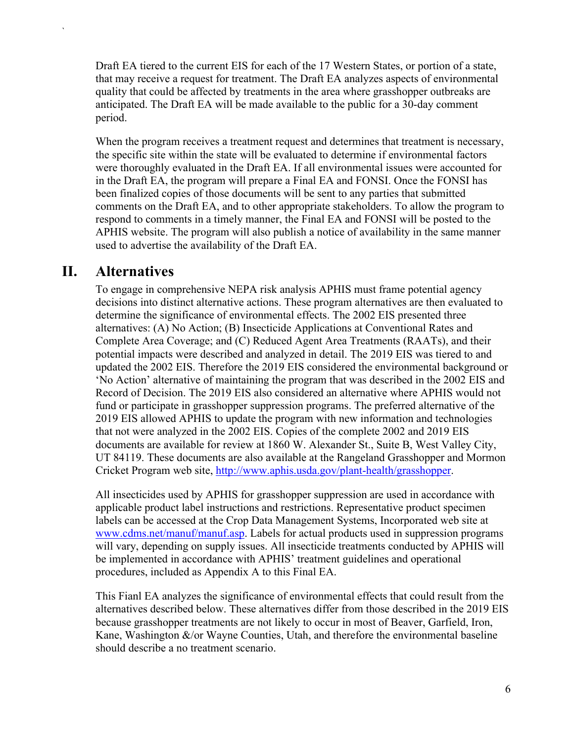Draft EA tiered to the current EIS for each of the 17 Western States, or portion of a state, that may receive a request for treatment. The Draft EA analyzes aspects of environmental quality that could be affected by treatments in the area where grasshopper outbreaks are anticipated. The Draft EA will be made available to the public for a 30-day comment period.

When the program receives a treatment request and determines that treatment is necessary, the specific site within the state will be evaluated to determine if environmental factors were thoroughly evaluated in the Draft EA. If all environmental issues were accounted for in the Draft EA, the program will prepare a Final EA and FONSI. Once the FONSI has been finalized copies of those documents will be sent to any parties that submitted comments on the Draft EA, and to other appropriate stakeholders. To allow the program to respond to comments in a timely manner, the Final EA and FONSI will be posted to the APHIS website. The program will also publish a notice of availability in the same manner used to advertise the availability of the Draft EA.

### <span id="page-9-0"></span>**II. Alternatives**

`

To engage in comprehensive NEPA risk analysis APHIS must frame potential agency decisions into distinct alternative actions. These program alternatives are then evaluated to determine the significance of environmental effects. The 2002 EIS presented three alternatives: (A) No Action; (B) Insecticide Applications at Conventional Rates and Complete Area Coverage; and (C) Reduced Agent Area Treatments (RAATs), and their potential impacts were described and analyzed in detail. The 2019 EIS was tiered to and updated the 2002 EIS. Therefore the 2019 EIS considered the environmental background or 'No Action' alternative of maintaining the program that was described in the 2002 EIS and Record of Decision. The 2019 EIS also considered an alternative where APHIS would not fund or participate in grasshopper suppression programs. The preferred alternative of the 2019 EIS allowed APHIS to update the program with new information and technologies that not were analyzed in the 2002 EIS. Copies of the complete 2002 and 2019 EIS documents are available for review at 1860 W. Alexander St., Suite B, West Valley City, UT 84119. These documents are also available at the Rangeland Grasshopper and Mormon Cricket Program web site, [http://www.aphis.usda.gov/plant-health/grasshopper.](http://www.aphis.usda.gov/plant-health/grasshopper)

All insecticides used by APHIS for grasshopper suppression are used in accordance with applicable product label instructions and restrictions. Representative product specimen labels can be accessed at the Crop Data Management Systems, Incorporated web site at [www.cdms.net/manuf/manuf.asp.](http://www.cdms.net/manuf/manuf.asp) Labels for actual products used in suppression programs will vary, depending on supply issues. All insecticide treatments conducted by APHIS will be implemented in accordance with APHIS' treatment guidelines and operational procedures, included as Appendix A to this Final EA.

This Fianl EA analyzes the significance of environmental effects that could result from the alternatives described below. These alternatives differ from those described in the 2019 EIS because grasshopper treatments are not likely to occur in most of Beaver, Garfield, Iron, Kane, Washington  $\&$ /or Wayne Counties, Utah, and therefore the environmental baseline should describe a no treatment scenario.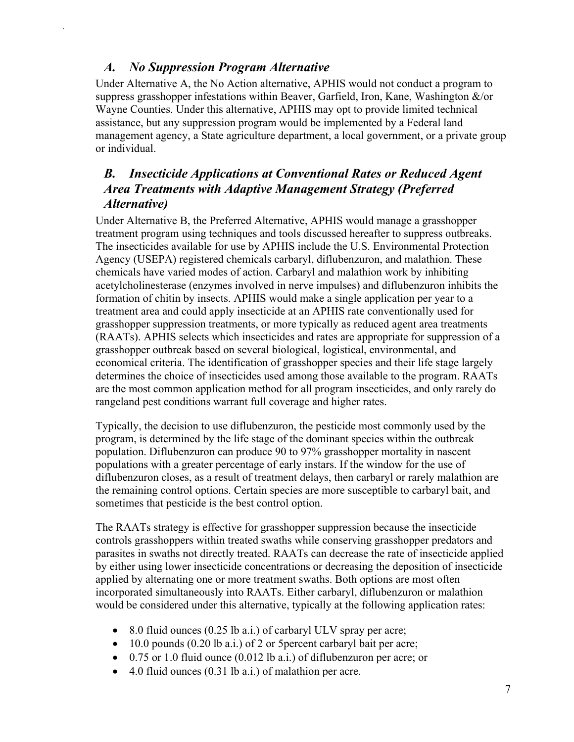### *A. No Suppression Program Alternative*

<span id="page-10-0"></span>`

Under Alternative A, the No Action alternative, APHIS would not conduct a program to suppress grasshopper infestations within Beaver, Garfield, Iron, Kane, Washington  $\&$ /or Wayne Counties. Under this alternative, APHIS may opt to provide limited technical assistance, but any suppression program would be implemented by a Federal land management agency, a State agriculture department, a local government, or a private group or individual.

### <span id="page-10-1"></span>*B. Insecticide Applications at Conventional Rates or Reduced Agent Area Treatments with Adaptive Management Strategy (Preferred Alternative)*

Under Alternative B, the Preferred Alternative, APHIS would manage a grasshopper treatment program using techniques and tools discussed hereafter to suppress outbreaks. The insecticides available for use by APHIS include the U.S. Environmental Protection Agency (USEPA) registered chemicals carbaryl, diflubenzuron, and malathion. These chemicals have varied modes of action. Carbaryl and malathion work by inhibiting acetylcholinesterase (enzymes involved in nerve impulses) and diflubenzuron inhibits the formation of chitin by insects. APHIS would make a single application per year to a treatment area and could apply insecticide at an APHIS rate conventionally used for grasshopper suppression treatments, or more typically as reduced agent area treatments (RAATs). APHIS selects which insecticides and rates are appropriate for suppression of a grasshopper outbreak based on several biological, logistical, environmental, and economical criteria. The identification of grasshopper species and their life stage largely determines the choice of insecticides used among those available to the program. RAATs are the most common application method for all program insecticides, and only rarely do rangeland pest conditions warrant full coverage and higher rates.

Typically, the decision to use diflubenzuron, the pesticide most commonly used by the program, is determined by the life stage of the dominant species within the outbreak population. Diflubenzuron can produce 90 to 97% grasshopper mortality in nascent populations with a greater percentage of early instars. If the window for the use of diflubenzuron closes, as a result of treatment delays, then carbaryl or rarely malathion are the remaining control options. Certain species are more susceptible to carbaryl bait, and sometimes that pesticide is the best control option.

The RAATs strategy is effective for grasshopper suppression because the insecticide controls grasshoppers within treated swaths while conserving grasshopper predators and parasites in swaths not directly treated. RAATs can decrease the rate of insecticide applied by either using lower insecticide concentrations or decreasing the deposition of insecticide applied by alternating one or more treatment swaths. Both options are most often incorporated simultaneously into RAATs. Either carbaryl, diflubenzuron or malathion would be considered under this alternative, typically at the following application rates:

- 8.0 fluid ounces (0.25 lb a.i.) of carbaryl ULV spray per acre;
- 10.0 pounds (0.20 lb a.i.) of 2 or 5 percent carbaryl bait per acre;
- 0.75 or 1.0 fluid ounce (0.012 lb a.i.) of diflubenzuron per acre; or
- 4.0 fluid ounces (0.31 lb a.i.) of malathion per acre.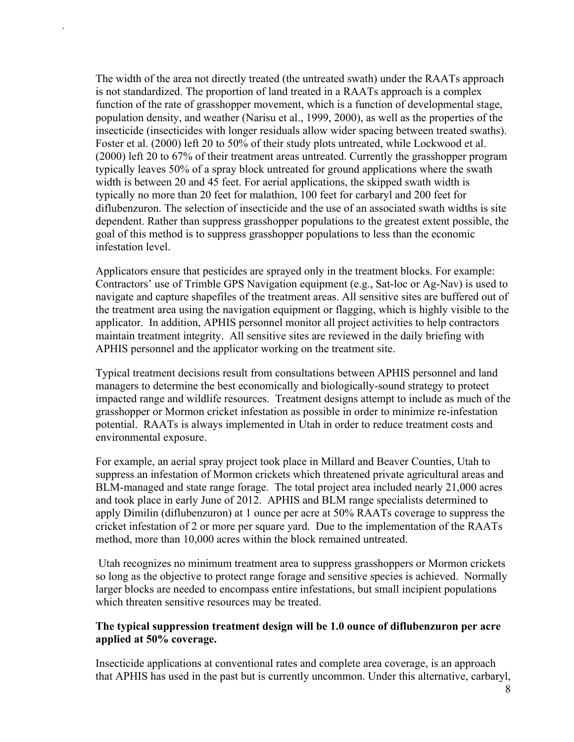The width of the area not directly treated (the untreated swath) under the RAATs approach is not standardized. The proportion of land treated in a RAATs approach is a complex function of the rate of grasshopper movement, which is a function of developmental stage, population density, and weather (Narisu et al., 1999, 2000), as well as the properties of the insecticide (insecticides with longer residuals allow wider spacing between treated swaths). Foster et al. (2000) left 20 to 50% of their study plots untreated, while Lockwood et al. (2000) left 20 to 67% of their treatment areas untreated. Currently the grasshopper program typically leaves 50% of a spray block untreated for ground applications where the swath width is between 20 and 45 feet. For aerial applications, the skipped swath width is typically no more than 20 feet for malathion, 100 feet for carbaryl and 200 feet for diflubenzuron. The selection of insecticide and the use of an associated swath widths is site dependent. Rather than suppress grasshopper populations to the greatest extent possible, the goal of this method is to suppress grasshopper populations to less than the economic infestation level.

`

Applicators ensure that pesticides are sprayed only in the treatment blocks. For example: Contractors' use of Trimble GPS Navigation equipment (e.g., Sat-loc or Ag-Nav) is used to navigate and capture shapefiles of the treatment areas. All sensitive sites are buffered out of the treatment area using the navigation equipment or flagging, which is highly visible to the applicator. In addition, APHIS personnel monitor all project activities to help contractors maintain treatment integrity. All sensitive sites are reviewed in the daily briefing with APHIS personnel and the applicator working on the treatment site.

Typical treatment decisions result from consultations between APHIS personnel and land managers to determine the best economically and biologically-sound strategy to protect impacted range and wildlife resources. Treatment designs attempt to include as much of the grasshopper or Mormon cricket infestation as possible in order to minimize re-infestation potential. RAATs is always implemented in Utah in order to reduce treatment costs and environmental exposure.

For example, an aerial spray project took place in Millard and Beaver Counties, Utah to suppress an infestation of Mormon crickets which threatened private agricultural areas and BLM-managed and state range forage. The total project area included nearly 21,000 acres and took place in early June of 2012. APHIS and BLM range specialists determined to apply Dimilin (diflubenzuron) at 1 ounce per acre at 50% RAATs coverage to suppress the cricket infestation of 2 or more per square yard. Due to the implementation of the RAATs method, more than 10,000 acres within the block remained untreated.

Utah recognizes no minimum treatment area to suppress grasshoppers or Mormon crickets so long as the objective to protect range forage and sensitive species is achieved. Normally larger blocks are needed to encompass entire infestations, but small incipient populations which threaten sensitive resources may be treated.

#### **The typical suppression treatment design will be 1.0 ounce of diflubenzuron per acre applied at 50% coverage.**

Insecticide applications at conventional rates and complete area coverage, is an approach that APHIS has used in the past but is currently uncommon. Under this alternative, carbaryl,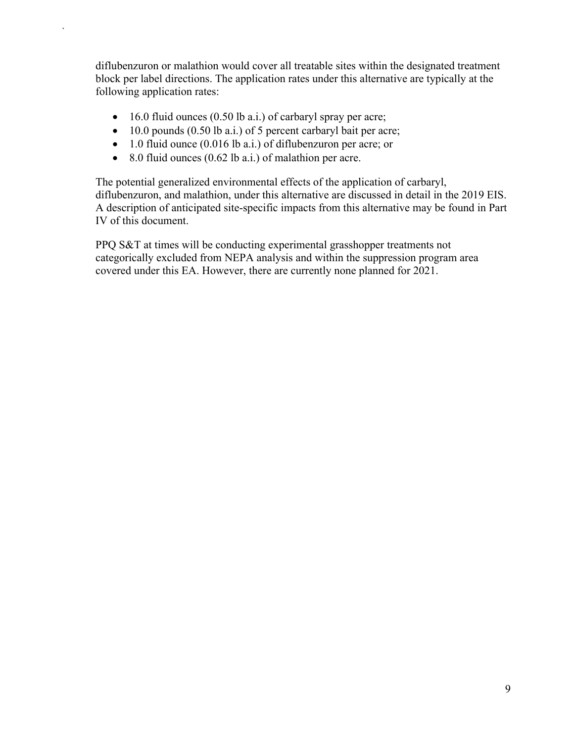diflubenzuron or malathion would cover all treatable sites within the designated treatment block per label directions. The application rates under this alternative are typically at the following application rates:

- 16.0 fluid ounces (0.50 lb a.i.) of carbaryl spray per acre;
- 10.0 pounds (0.50 lb a.i.) of 5 percent carbaryl bait per acre;
- 1.0 fluid ounce (0.016 lb a.i.) of diflubenzuron per acre; or
- 8.0 fluid ounces  $(0.62 \text{ lb a.i.})$  of malathion per acre.

`

The potential generalized environmental effects of the application of carbaryl, diflubenzuron, and malathion, under this alternative are discussed in detail in the 2019 EIS. A description of anticipated site-specific impacts from this alternative may be found in Part IV of this document.

PPQ S&T at times will be conducting experimental grasshopper treatments not categorically excluded from NEPA analysis and within the suppression program area covered under this EA. However, there are currently none planned for 2021.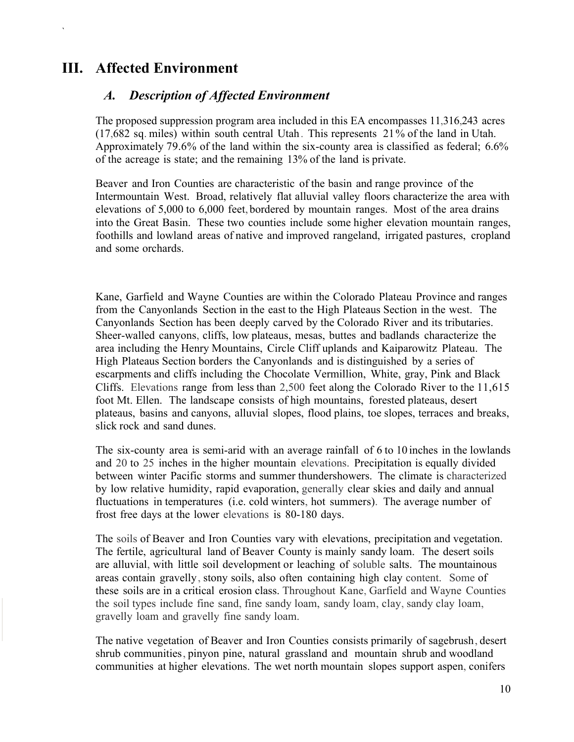### <span id="page-13-1"></span><span id="page-13-0"></span>**III. Affected Environment**

`

#### *A. Description of Affected Environment*

The proposed suppression program area included in this EA encompasses 11,316,243 acres (17,682 sq. miles) within south central Utah. This represents 21 % of the land in Utah. Approximately 79.6% of the land within the six-county area is classified as federal; 6.6% of the acreage is state; and the remaining 13% of the land is private.

Beaver and Iron Counties are characteristic of the basin and range province of the Intermountain West. Broad, relatively flat alluvial valley floors characterize the area with elevations of 5,000 to 6,000 feet, bordered by mountain ranges. Most of the area drains into the Great Basin. These two counties include some higher elevation mountain ranges, foothills and lowland areas of native and improved rangeland, irrigated pastures, cropland and some orchards.

Kane, Garfield and Wayne Counties are within the Colorado Plateau Province and ranges from the Canyonlands Section in the east to the High Plateaus Section in the west. The Canyonlands Section has been deeply carved by the Colorado River and its tributaries. Sheer-walled canyons, cliffs, low plateaus, mesas, buttes and badlands characterize the area including the Henry Mountains, Circle Cliff uplands and Kaiparowitz Plateau. The High Plateaus Section borders the Canyonlands and is distinguished by a series of escarpments and cliffs including the Chocolate Vermillion, White, gray, Pink and Black Cliffs. Elevations range from less than 2,500 feet along the Colorado River to the 11,615 foot Mt. Ellen. The landscape consists of high mountains, forested plateaus, desert plateaus, basins and canyons, alluvial slopes, flood plains, toe slopes, terraces and breaks, slick rock and sand dunes.

The six-county area is semi-arid with an average rainfall of 6 to 10 inches in the lowlands and 20 to 25 inches in the higher mountain elevations. Precipitation is equally divided between winter Pacific storms and summer thundershowers. The climate is characterized by low relative humidity, rapid evaporation, generally clear skies and daily and annual fluctuations in temperatures (i.e. cold winters, hot summers). The average number of frost free days at the lower elevations is 80-180 days.

The soils of Beaver and Iron Counties vary with elevations, precipitation and vegetation. The fertile, agricultural land of Beaver County is mainly sandy loam. The desert soils are alluvial, with little soil development or leaching of soluble salts. The mountainous areas contain gravelly, stony soils, also often containing high clay content. Some of these soils are in a critical erosion class. Throughout Kane, Garfield and Wayne Counties the soil types include fine sand, fine sandy loam, sandy loam, clay, sandy clay loam, gravelly loam and gravelly fine sandy loam.

The native vegetation of Beaver and Iron Counties consists primarily of sagebrush, desert shrub communities, pinyon pine, natural grassland and mountain shrub and woodland communities at higher elevations. The wet north mountain slopes support aspen, conifers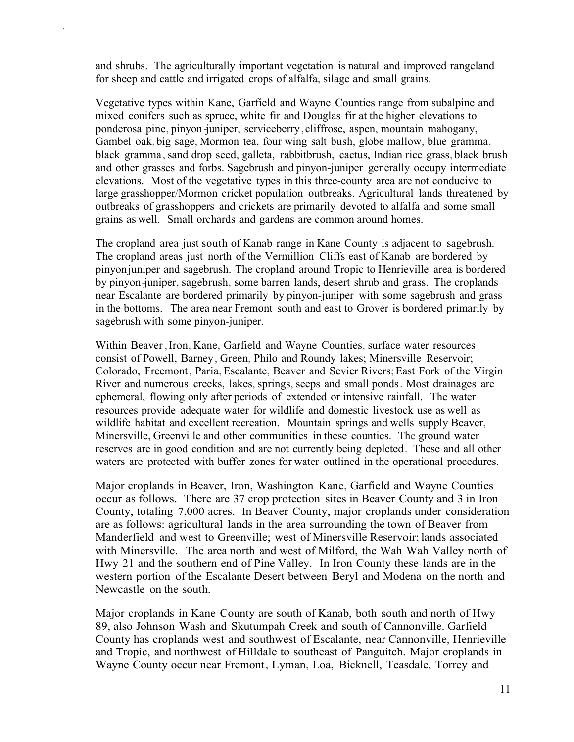and shrubs. The agriculturally important vegetation is natural and improved rangeland for sheep and cattle and irrigated crops of alfalfa, silage and small grains.

`

Vegetative types within Kane, Garfield and Wayne Counties range from subalpine and mixed conifers such as spruce, white fir and Douglas fir at the higher elevations to ponderosa pine, pinyon -juniper, serviceberry, cliffrose, aspen, mountain mahogany, Gambel oak, big sage, Mormon tea, four wing salt bush, globe mallow, blue gramma, black gramma, sand drop seed, galleta, rabbitbrush, cactus, Indian rice grass, black brush and other grasses and forbs. Sagebrush and pinyon-juniper generally occupy intermediate elevations. Most of the vegetative types in this three-county area are not conducive to large grasshopper/Mormon cricket population outbreaks. Agricultural lands threatened by outbreaks of grasshoppers and crickets are primarily devoted to alfalfa and some small grains as well. Small orchards and gardens are common around homes.

The cropland area just south of Kanab range in Kane County is adjacent to sagebrush. The cropland areas just north of the Vermillion Cliffs east of Kanab are bordered by pinyon juniper and sagebrush. The cropland around Tropic to Henrieville area is bordered by pinyon-juniper, sagebrush, some barren lands, desert shrub and grass. The croplands near Escalante are bordered primarily by pinyon-juniper with some sagebrush and grass in the bottoms. The area near Fremont south and east to Grover is bordered primarily by sagebrush with some pinyon-juniper.

Within Beaver, Iron, Kane, Garfield and Wayne Counties, surface water resources consist of Powell, Barney, Green, Philo and Roundy lakes; Minersville Reservoir; Colorado, Freemont, Paria, Escalante, Beaver and Sevier Rivers; East Fork of the Virgin River and numerous creeks, lakes, springs, seeps and small ponds. Most drainages are ephemeral, flowing only after periods of extended or intensive rainfall. The water resources provide adequate water for wildlife and domestic livestock use as well as wildlife habitat and excellent recreation. Mountain springs and wells supply Beaver, Minersville, Greenville and other communities in these counties. The ground water reserves are in good condition and are not currently being depleted. These and all other waters are protected with buffer zones for water outlined in the operational procedures.

Major croplands in Beaver, Iron, Washington Kane, Garfield and Wayne Counties occur as follows. There are 37 crop protection sites in Beaver County and 3 in Iron County, totaling 7,000 acres. In Beaver County, major croplands under consideration are as follows: agricultural lands in the area surrounding the town of Beaver from Manderfield and west to Greenville; west of Minersville Reservoir; lands associated with Minersville. The area north and west of Milford, the Wah Wah Valley north of Hwy 21 and the southern end of Pine Valley. In Iron County these lands are in the western portion of the Escalante Desert between Beryl and Modena on the north and Newcastle on the south.

Major croplands in Kane County are south of Kanab, both south and north of Hwy 89, also Johnson Wash and Skutumpah Creek and south of Cannonville. Garfield County has croplands west and southwest of Escalante, near Cannonville, Henrieville and Tropic, and northwest of Hilldale to southeast of Panguitch. Major croplands in Wayne County occur near Fremont, Lyman, Loa, Bicknell, Teasdale, Torrey and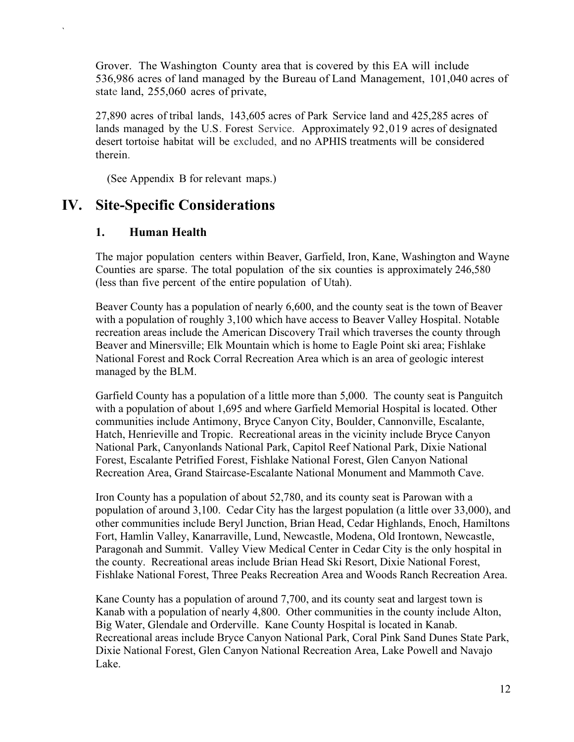Grover. The Washington County area that is covered by this EA will include 536,986 acres of land managed by the Bureau of Land Management, 101,040 acres of state land, 255,060 acres of private,

27,890 acres of tribal lands, 143,605 acres of Park Service land and 425,285 acres of lands managed by the U.S. Forest Service. Approximately 92,019 acres of designated desert tortoise habitat will be excluded, and no APHIS treatments will be considered therein.

(See Appendix B for relevant maps.)

### <span id="page-15-1"></span><span id="page-15-0"></span>**IV. Site-Specific Considerations**

#### **1. Human Health**

`

The major population centers within Beaver, Garfield, Iron, Kane, Washington and Wayne Counties are sparse. The total population of the six counties is approximately 246,580 (less than five percent of the entire population of Utah).

Beaver County has a population of nearly 6,600, and the county seat is the town of Beaver with a population of roughly 3,100 which have access to Beaver Valley Hospital. Notable recreation areas include the American Discovery Trail which traverses the county through Beaver and Minersville; Elk Mountain which is home to Eagle Point ski area; Fishlake National Forest and Rock Corral Recreation Area which is an area of geologic interest managed by the BLM.

Garfield County has a population of a little more than 5,000. The county seat is Panguitch with a population of about 1,695 and where Garfield Memorial Hospital is located. Other communities include Antimony, Bryce Canyon City, Boulder, Cannonville, Escalante, Hatch, Henrieville and Tropic. Recreational areas in the vicinity include Bryce Canyon National Park, Canyonlands National Park, Capitol Reef National Park, Dixie National Forest, Escalante Petrified Forest, Fishlake National Forest, Glen Canyon National Recreation Area, Grand Staircase-Escalante National Monument and Mammoth Cave.

Iron County has a population of about 52,780, and its county seat is Parowan with a population of around 3,100. Cedar City has the largest population (a little over 33,000), and other communities include Beryl Junction, Brian Head, Cedar Highlands, Enoch, Hamiltons Fort, Hamlin Valley, Kanarraville, Lund, Newcastle, Modena, Old Irontown, Newcastle, Paragonah and Summit. Valley View Medical Center in Cedar City is the only hospital in the county. Recreational areas include Brian Head Ski Resort, Dixie National Forest, Fishlake National Forest, Three Peaks Recreation Area and Woods Ranch Recreation Area.

Kane County has a population of around 7,700, and its county seat and largest town is Kanab with a population of nearly 4,800. Other communities in the county include Alton, Big Water, Glendale and Orderville. Kane County Hospital is located in Kanab. Recreational areas include Bryce Canyon National Park, Coral Pink Sand Dunes State Park, Dixie National Forest, Glen Canyon National Recreation Area, Lake Powell and Navajo Lake.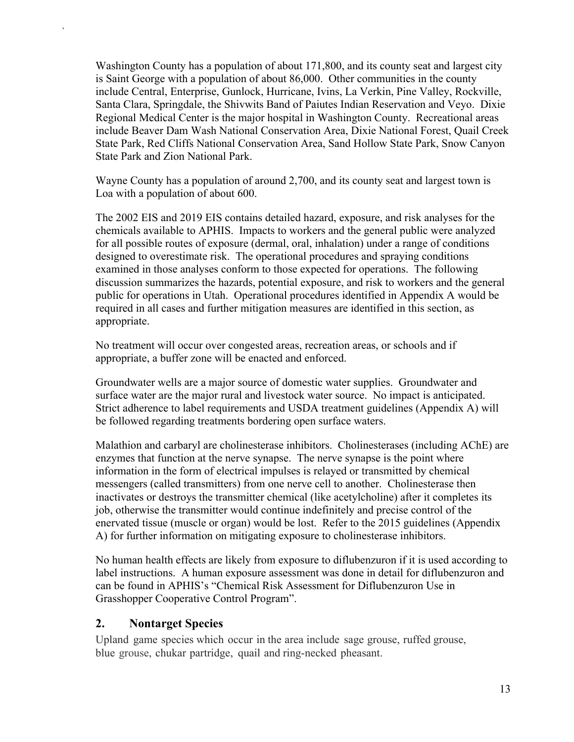Washington County has a population of about 171,800, and its county seat and largest city is Saint George with a population of about 86,000. Other communities in the county include Central, Enterprise, Gunlock, Hurricane, Ivins, La Verkin, Pine Valley, Rockville, Santa Clara, Springdale, the Shivwits Band of Paiutes Indian Reservation and Veyo. Dixie Regional Medical Center is the major hospital in Washington County. Recreational areas include Beaver Dam Wash National Conservation Area, Dixie National Forest, Quail Creek State Park, Red Cliffs National Conservation Area, Sand Hollow State Park, Snow Canyon State Park and Zion National Park.

Wayne County has a population of around 2,700, and its county seat and largest town is Loa with a population of about 600.

The 2002 EIS and 2019 EIS contains detailed hazard, exposure, and risk analyses for the chemicals available to APHIS. Impacts to workers and the general public were analyzed for all possible routes of exposure (dermal, oral, inhalation) under a range of conditions designed to overestimate risk. The operational procedures and spraying conditions examined in those analyses conform to those expected for operations. The following discussion summarizes the hazards, potential exposure, and risk to workers and the general public for operations in Utah. Operational procedures identified in Appendix A would be required in all cases and further mitigation measures are identified in this section, as appropriate.

No treatment will occur over congested areas, recreation areas, or schools and if appropriate, a buffer zone will be enacted and enforced.

Groundwater wells are a major source of domestic water supplies. Groundwater and surface water are the major rural and livestock water source. No impact is anticipated. Strict adherence to label requirements and USDA treatment guidelines (Appendix A) will be followed regarding treatments bordering open surface waters.

Malathion and carbaryl are cholinesterase inhibitors. Cholinesterases (including AChE) are enzymes that function at the nerve synapse. The nerve synapse is the point where information in the form of electrical impulses is relayed or transmitted by chemical messengers (called transmitters) from one nerve cell to another. Cholinesterase then inactivates or destroys the transmitter chemical (like acetylcholine) after it completes its job, otherwise the transmitter would continue indefinitely and precise control of the enervated tissue (muscle or organ) would be lost. Refer to the 2015 guidelines (Appendix A) for further information on mitigating exposure to cholinesterase inhibitors.

No human health effects are likely from exposure to diflubenzuron if it is used according to label instructions. A human exposure assessment was done in detail for diflubenzuron and can be found in APHIS's "Chemical Risk Assessment for Diflubenzuron Use in Grasshopper Cooperative Control Program".

#### <span id="page-16-0"></span>**2. Nontarget Species**

`

Upland game species which occur in the area include sage grouse, ruffed grouse, blue grouse, chukar partridge, quail and ring-necked pheasant.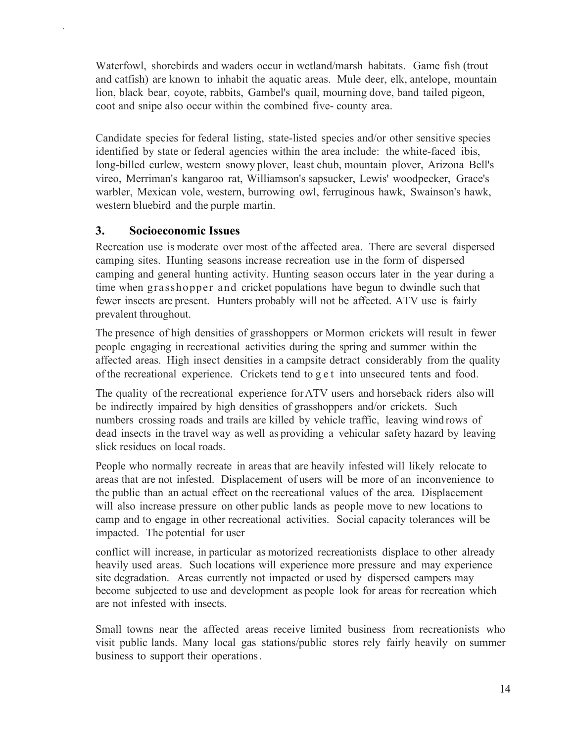Waterfowl, shorebirds and waders occur in wetland/marsh habitats. Game fish (trout and catfish) are known to inhabit the aquatic areas. Mule deer, elk, antelope, mountain lion, black bear, coyote, rabbits, Gambel's quail, mourning dove, band tailed pigeon, coot and snipe also occur within the combined five- county area.

Candidate species for federal listing, state-listed species and/or other sensitive species identified by state or federal agencies within the area include: the white-faced ibis, long-billed curlew, western snowy plover, least chub, mountain plover, Arizona Bell's vireo, Merriman's kangaroo rat, Williamson's sapsucker, Lewis' woodpecker, Grace's warbler, Mexican vole, western, burrowing owl, ferruginous hawk, Swainson's hawk, western bluebird and the purple martin.

#### <span id="page-17-0"></span>**3. Socioeconomic Issues**

`

Recreation use is moderate over most of the affected area. There are several dispersed camping sites. Hunting seasons increase recreation use in the form of dispersed camping and general hunting activity. Hunting season occurs later in the year during a time when grasshopper and cricket populations have begun to dwindle such that fewer insects are present. Hunters probably will not be affected. ATV use is fairly prevalent throughout.

The presence of high densities of grasshoppers or Mormon crickets will result in fewer people engaging in recreational activities during the spring and summer within the affected areas. High insect densities in a campsite detract considerably from the quality of the recreational experience. Crickets tend to get into unsecured tents and food.

The quality of the recreational experience forATV users and horseback riders also will be indirectly impaired by high densities of grasshoppers and/or crickets. Such numbers crossing roads and trails are killed by vehicle traffic, leaving wind rows of dead insects in the travel way as well as providing a vehicular safety hazard by leaving slick residues on local roads.

People who normally recreate in areas that are heavily infested will likely relocate to areas that are not infested. Displacement of users will be more of an inconvenience to the public than an actual effect on the recreational values of the area. Displacement will also increase pressure on other public lands as people move to new locations to camp and to engage in other recreational activities. Social capacity tolerances will be impacted. The potential for user

conflict will increase, in particular as motorized recreationists displace to other already heavily used areas. Such locations will experience more pressure and may experience site degradation. Areas currently not impacted or used by dispersed campers may become subjected to use and development as people look for areas for recreation which are not infested with insects.

Small towns near the affected areas receive limited business from recreationists who visit public lands. Many local gas stations/public stores rely fairly heavily on summer business to support their operations.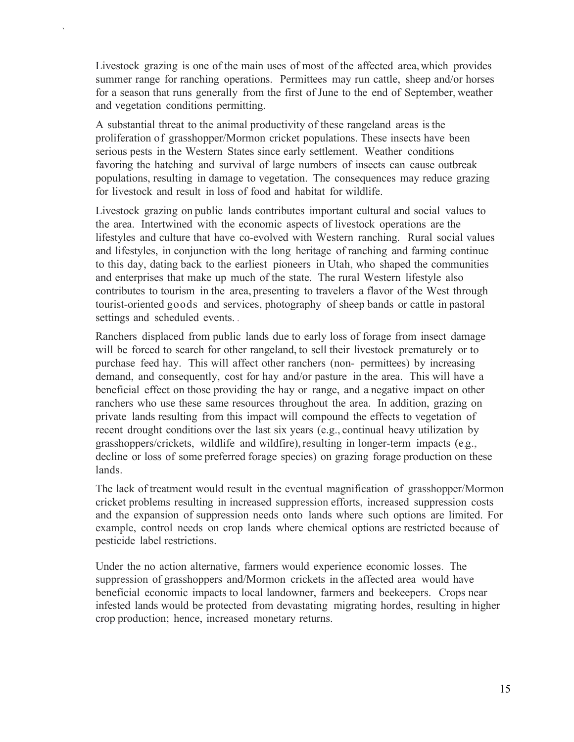Livestock grazing is one of the main uses of most of the affected area, which provides summer range for ranching operations. Permittees may run cattle, sheep and/or horses for a season that runs generally from the first of June to the end of September, weather and vegetation conditions permitting.

`

A substantial threat to the animal productivity of these rangeland areas is the proliferation of grasshopper/Mormon cricket populations. These insects have been serious pests in the Western States since early settlement. Weather conditions favoring the hatching and survival of large numbers of insects can cause outbreak populations, resulting in damage to vegetation. The consequences may reduce grazing for livestock and result in loss of food and habitat for wildlife.

Livestock grazing on public lands contributes important cultural and social values to the area. Intertwined with the economic aspects of livestock operations are the lifestyles and culture that have co-evolved with Western ranching. Rural social values and lifestyles, in conjunction with the long heritage of ranching and farming continue to this day, dating back to the earliest pioneers in Utah, who shaped the communities and enterprises that make up much of the state. The rural Western lifestyle also contributes to tourism in the area, presenting to travelers a flavor of the West through tourist-oriented goods and services, photography of sheep bands or cattle in pastoral settings and scheduled events. .

Ranchers displaced from public lands due to early loss of forage from insect damage will be forced to search for other rangeland, to sell their livestock prematurely or to purchase feed hay. This will affect other ranchers (non- permittees) by increasing demand, and consequently, cost for hay and/or pasture in the area. This will have a beneficial effect on those providing the hay or range, and a negative impact on other ranchers who use these same resources throughout the area. In addition, grazing on private lands resulting from this impact will compound the effects to vegetation of recent drought conditions over the last six years (e.g., continual heavy utilization by grasshoppers/crickets, wildlife and wildfire), resulting in longer-term impacts (e.g., decline or loss of some preferred forage species) on grazing forage production on these lands.

The lack of treatment would result in the eventual magnification of grasshopper/Mormon cricket problems resulting in increased suppression efforts, increased suppression costs and the expansion of suppression needs onto lands where such options are limited. For example, control needs on crop lands where chemical options are restricted because of pesticide label restrictions.

Under the no action alternative, farmers would experience economic losses. The suppression of grasshoppers and/Mormon crickets in the affected area would have beneficial economic impacts to local landowner, farmers and beekeepers. Crops near infested lands would be protected from devastating migrating hordes, resulting in higher crop production; hence, increased monetary returns.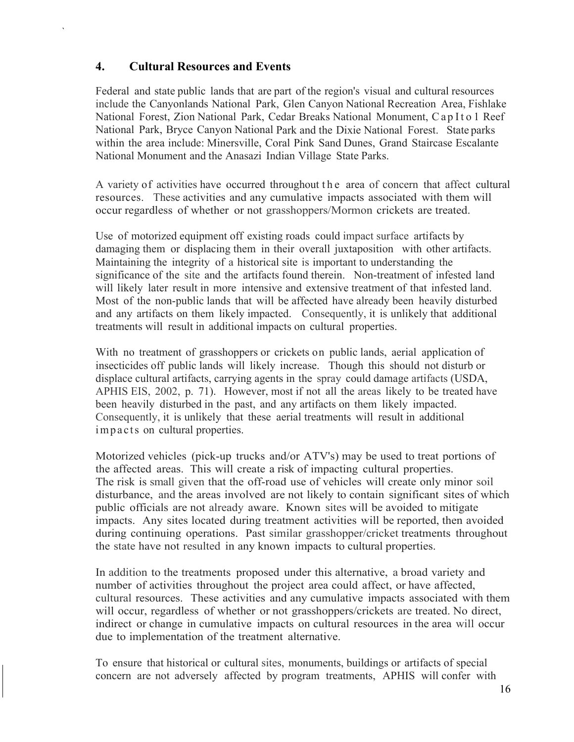#### **4. Cultural Resources and Events**

<span id="page-19-0"></span>`

Federal and state public lands that are part of the region's visual and cultural resources include the Canyonlands National Park, Glen Canyon National Recreation Area, Fishlake National Forest, Zion National Park, Cedar Breaks National Monument, C ap I t o 1 Reef National Park, Bryce Canyon National Park and the Dixie National Forest. State parks within the area include: Minersville, Coral Pink Sand Dunes, Grand Staircase Escalante National Monument and the Anasazi Indian Village State Parks.

A variety of activities have occurred throughout the area of concern that affect cultural resources. These activities and any cumulative impacts associated with them will occur regardless of whether or not grasshoppers/Mormon crickets are treated.

Use of motorized equipment off existing roads could impact surface artifacts by damaging them or displacing them in their overall juxtaposition with other artifacts. Maintaining the integrity of a historical site is important to understanding the significance of the site and the artifacts found therein. Non-treatment of infested land will likely later result in more intensive and extensive treatment of that infested land. Most of the non-public lands that will be affected have already been heavily disturbed and any artifacts on them likely impacted. Consequently, it is unlikely that additional treatments will result in additional impacts on cultural properties.

With no treatment of grasshoppers or crickets on public lands, aerial application of insecticides off public lands will likely increase. Though this should not disturb or displace cultural artifacts, carrying agents in the spray could damage artifacts (USDA, APHIS EIS, 2002, p. 71). However, most if not all the areas likely to be treated have been heavily disturbed in the past, and any artifacts on them likely impacted. Consequently, it is unlikely that these aerial treatments will result in additional impacts on cultural properties.

Motorized vehicles (pick-up trucks and/or ATV's) may be used to treat portions of the affected areas. This will create a risk of impacting cultural properties. The risk is small given that the off-road use of vehicles will create only minor soil disturbance, and the areas involved are not likely to contain significant sites of which public officials are not already aware. Known sites will be avoided to mitigate impacts. Any sites located during treatment activities will be reported, then avoided during continuing operations. Past similar grasshopper/cricket treatments throughout the state have not resulted in any known impacts to cultural properties.

In addition to the treatments proposed under this alternative, a broad variety and number of activities throughout the project area could affect, or have affected, cultural resources. These activities and any cumulative impacts associated with them will occur, regardless of whether or not grasshoppers/crickets are treated. No direct, indirect or change in cumulative impacts on cultural resources in the area will occur due to implementation of the treatment alternative.

To ensure that historical or cultural sites, monuments, buildings or artifacts of special concern are not adversely affected by program treatments, APHIS will confer with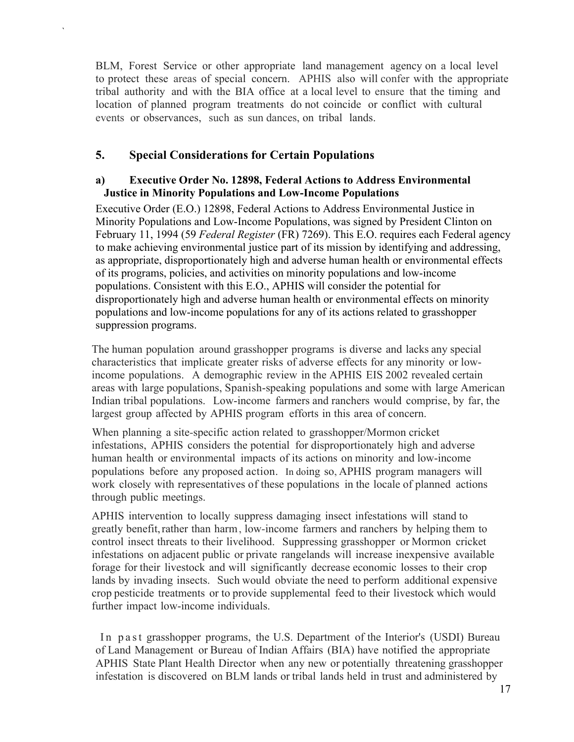BLM, Forest Service or other appropriate land management agency on a local level to protect these areas of special concern. APHIS also will confer with the appropriate tribal authority and with the BIA office at a local level to ensure that the timing and location of planned program treatments do not coincide or conflict with cultural events or observances, such as sun dances, on tribal lands.

#### <span id="page-20-0"></span>**5. Special Considerations for Certain Populations**

`

#### **a) Executive Order No. 12898, Federal Actions to Address Environmental Justice in Minority Populations and Low-Income Populations**

Executive Order (E.O.) 12898, Federal Actions to Address Environmental Justice in Minority Populations and Low-Income Populations, was signed by President Clinton on February 11, 1994 (59 *Federal Register* (FR) 7269). This E.O. requires each Federal agency to make achieving environmental justice part of its mission by identifying and addressing, as appropriate, disproportionately high and adverse human health or environmental effects of its programs, policies, and activities on minority populations and low-income populations. Consistent with this E.O., APHIS will consider the potential for disproportionately high and adverse human health or environmental effects on minority populations and low-income populations for any of its actions related to grasshopper suppression programs.

The human population around grasshopper programs is diverse and lacks any special characteristics that implicate greater risks of adverse effects for any minority or lowincome populations. A demographic review in the APHIS EIS 2002 revealed certain areas with large populations, Spanish-speaking populations and some with large American Indian tribal populations. Low-income farmers and ranchers would comprise, by far, the largest group affected by APHIS program efforts in this area of concern.

When planning a site-specific action related to grasshopper/Mormon cricket infestations, APHIS considers the potential for disproportionately high and adverse human health or environmental impacts of its actions on minority and low-income populations before any proposed action. In doing so, APHIS program managers will work closely with representatives of these populations in the locale of planned actions through public meetings.

APHIS intervention to locally suppress damaging insect infestations will stand to greatly benefit, rather than harm, low-income farmers and ranchers by helping them to control insect threats to their livelihood. Suppressing grasshopper or Mormon cricket infestations on adjacent public or private rangelands will increase inexpensive available forage for their livestock and will significantly decrease economic losses to their crop lands by invading insects. Such would obviate the need to perform additional expensive crop pesticide treatments or to provide supplemental feed to their livestock which would further impact low-income individuals.

In past grasshopper programs, the U.S. Department of the Interior's (USDI) Bureau of Land Management or Bureau of Indian Affairs (BIA) have notified the appropriate APHIS State Plant Health Director when any new or potentially threatening grasshopper infestation is discovered on BLM lands or tribal lands held in trust and administered by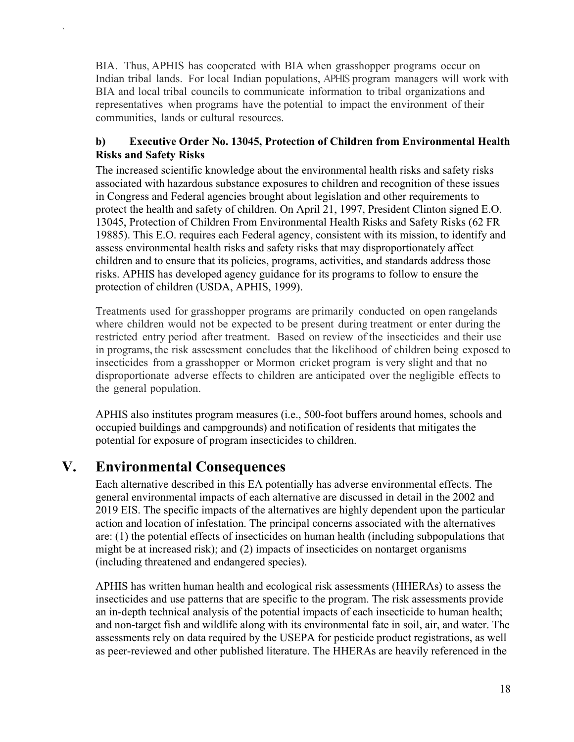BIA. Thus, APHIS has cooperated with BIA when grasshopper programs occur on Indian tribal lands. For local Indian populations, APHIS program managers will work with BIA and local tribal councils to communicate information to tribal organizations and representatives when programs have the potential to impact the environment of their communities, lands or cultural resources.

#### **b) Executive Order No. 13045, Protection of Children from Environmental Health Risks and Safety Risks**

The increased scientific knowledge about the environmental health risks and safety risks associated with hazardous substance exposures to children and recognition of these issues in Congress and Federal agencies brought about legislation and other requirements to protect the health and safety of children. On April 21, 1997, President Clinton signed E.O. 13045, Protection of Children From Environmental Health Risks and Safety Risks (62 FR 19885). This E.O. requires each Federal agency, consistent with its mission, to identify and assess environmental health risks and safety risks that may disproportionately affect children and to ensure that its policies, programs, activities, and standards address those risks. APHIS has developed agency guidance for its programs to follow to ensure the protection of children (USDA, APHIS, 1999).

Treatments used for grasshopper programs are primarily conducted on open rangelands where children would not be expected to be present during treatment or enter during the restricted entry period after treatment. Based on review of the insecticides and their use in programs, the risk assessment concludes that the likelihood of children being exposed to insecticides from a grasshopper or Mormon cricket program is very slight and that no disproportionate adverse effects to children are anticipated over the negligible effects to the general population.

APHIS also institutes program measures (i.e., 500-foot buffers around homes, schools and occupied buildings and campgrounds) and notification of residents that mitigates the potential for exposure of program insecticides to children.

## <span id="page-21-0"></span>**V. Environmental Consequences**

`

Each alternative described in this EA potentially has adverse environmental effects. The general environmental impacts of each alternative are discussed in detail in the 2002 and 2019 EIS. The specific impacts of the alternatives are highly dependent upon the particular action and location of infestation. The principal concerns associated with the alternatives are: (1) the potential effects of insecticides on human health (including subpopulations that might be at increased risk); and (2) impacts of insecticides on nontarget organisms (including threatened and endangered species).

APHIS has written human health and ecological risk assessments (HHERAs) to assess the insecticides and use patterns that are specific to the program. The risk assessments provide an in-depth technical analysis of the potential impacts of each insecticide to human health; and non-target fish and wildlife along with its environmental fate in soil, air, and water. The assessments rely on data required by the USEPA for pesticide product registrations, as well as peer-reviewed and other published literature. The HHERAs are heavily referenced in the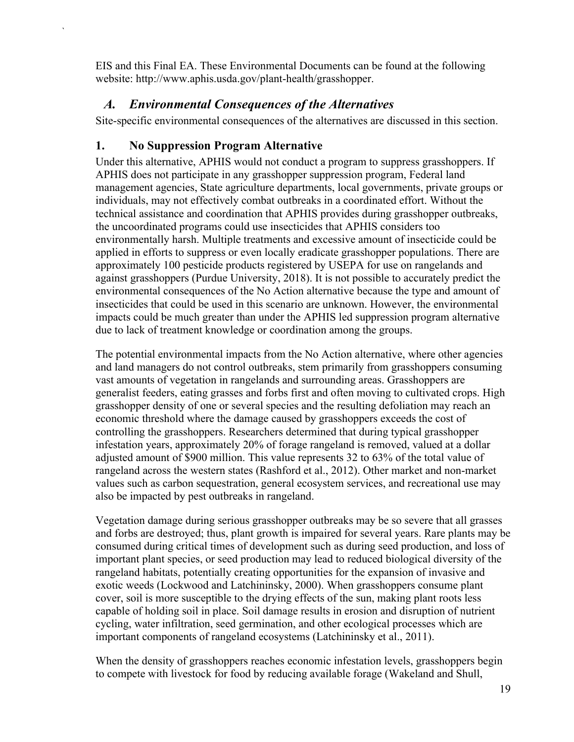<span id="page-22-0"></span>EIS and this Final EA. These Environmental Documents can be found at the following website: http://www.aphis.usda.gov/plant-health/grasshopper.

### *A. Environmental Consequences of the Alternatives*

<span id="page-22-1"></span>Site-specific environmental consequences of the alternatives are discussed in this section.

### **1. No Suppression Program Alternative**

`

Under this alternative, APHIS would not conduct a program to suppress grasshoppers. If APHIS does not participate in any grasshopper suppression program, Federal land management agencies, State agriculture departments, local governments, private groups or individuals, may not effectively combat outbreaks in a coordinated effort. Without the technical assistance and coordination that APHIS provides during grasshopper outbreaks, the uncoordinated programs could use insecticides that APHIS considers too environmentally harsh. Multiple treatments and excessive amount of insecticide could be applied in efforts to suppress or even locally eradicate grasshopper populations. There are approximately 100 pesticide products registered by USEPA for use on rangelands and against grasshoppers (Purdue University, 2018). It is not possible to accurately predict the environmental consequences of the No Action alternative because the type and amount of insecticides that could be used in this scenario are unknown. However, the environmental impacts could be much greater than under the APHIS led suppression program alternative due to lack of treatment knowledge or coordination among the groups.

The potential environmental impacts from the No Action alternative, where other agencies and land managers do not control outbreaks, stem primarily from grasshoppers consuming vast amounts of vegetation in rangelands and surrounding areas. Grasshoppers are generalist feeders, eating grasses and forbs first and often moving to cultivated crops. High grasshopper density of one or several species and the resulting defoliation may reach an economic threshold where the damage caused by grasshoppers exceeds the cost of controlling the grasshoppers. Researchers determined that during typical grasshopper infestation years, approximately 20% of forage rangeland is removed, valued at a dollar adjusted amount of \$900 million. This value represents 32 to 63% of the total value of rangeland across the western states (Rashford et al., 2012). Other market and non-market values such as carbon sequestration, general ecosystem services, and recreational use may also be impacted by pest outbreaks in rangeland.

Vegetation damage during serious grasshopper outbreaks may be so severe that all grasses and forbs are destroyed; thus, plant growth is impaired for several years. Rare plants may be consumed during critical times of development such as during seed production, and loss of important plant species, or seed production may lead to reduced biological diversity of the rangeland habitats, potentially creating opportunities for the expansion of invasive and exotic weeds (Lockwood and Latchininsky, 2000). When grasshoppers consume plant cover, soil is more susceptible to the drying effects of the sun, making plant roots less capable of holding soil in place. Soil damage results in erosion and disruption of nutrient cycling, water infiltration, seed germination, and other ecological processes which are important components of rangeland ecosystems (Latchininsky et al., 2011).

When the density of grasshoppers reaches economic infestation levels, grasshoppers begin to compete with livestock for food by reducing available forage (Wakeland and Shull,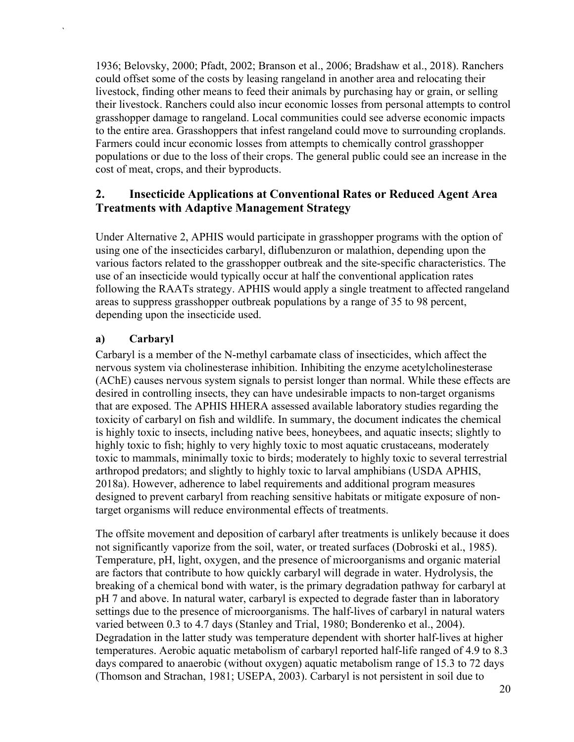1936; Belovsky, 2000; Pfadt, 2002; Branson et al., 2006; Bradshaw et al., 2018). Ranchers could offset some of the costs by leasing rangeland in another area and relocating their livestock, finding other means to feed their animals by purchasing hay or grain, or selling their livestock. Ranchers could also incur economic losses from personal attempts to control grasshopper damage to rangeland. Local communities could see adverse economic impacts to the entire area. Grasshoppers that infest rangeland could move to surrounding croplands. Farmers could incur economic losses from attempts to chemically control grasshopper populations or due to the loss of their crops. The general public could see an increase in the cost of meat, crops, and their byproducts.

### <span id="page-23-0"></span>**2. Insecticide Applications at Conventional Rates or Reduced Agent Area Treatments with Adaptive Management Strategy**

Under Alternative 2, APHIS would participate in grasshopper programs with the option of using one of the insecticides carbaryl, diflubenzuron or malathion, depending upon the various factors related to the grasshopper outbreak and the site-specific characteristics. The use of an insecticide would typically occur at half the conventional application rates following the RAATs strategy. APHIS would apply a single treatment to affected rangeland areas to suppress grasshopper outbreak populations by a range of 35 to 98 percent, depending upon the insecticide used.

#### **a) Carbaryl**

`

Carbaryl is a member of the N-methyl carbamate class of insecticides, which affect the nervous system via cholinesterase inhibition. Inhibiting the enzyme acetylcholinesterase (AChE) causes nervous system signals to persist longer than normal. While these effects are desired in controlling insects, they can have undesirable impacts to non-target organisms that are exposed. The APHIS HHERA assessed available laboratory studies regarding the toxicity of carbaryl on fish and wildlife. In summary, the document indicates the chemical is highly toxic to insects, including native bees, honeybees, and aquatic insects; slightly to highly toxic to fish; highly to very highly toxic to most aquatic crustaceans, moderately toxic to mammals, minimally toxic to birds; moderately to highly toxic to several terrestrial arthropod predators; and slightly to highly toxic to larval amphibians (USDA APHIS, 2018a). However, adherence to label requirements and additional program measures designed to prevent carbaryl from reaching sensitive habitats or mitigate exposure of nontarget organisms will reduce environmental effects of treatments.

The offsite movement and deposition of carbaryl after treatments is unlikely because it does not significantly vaporize from the soil, water, or treated surfaces (Dobroski et al., 1985). Temperature, pH, light, oxygen, and the presence of microorganisms and organic material are factors that contribute to how quickly carbaryl will degrade in water. Hydrolysis, the breaking of a chemical bond with water, is the primary degradation pathway for carbaryl at pH 7 and above. In natural water, carbaryl is expected to degrade faster than in laboratory settings due to the presence of microorganisms. The half-lives of carbaryl in natural waters varied between 0.3 to 4.7 days (Stanley and Trial, 1980; Bonderenko et al., 2004). Degradation in the latter study was temperature dependent with shorter half-lives at higher temperatures. Aerobic aquatic metabolism of carbaryl reported half-life ranged of 4.9 to 8.3 days compared to anaerobic (without oxygen) aquatic metabolism range of 15.3 to 72 days (Thomson and Strachan, 1981; USEPA, 2003). Carbaryl is not persistent in soil due to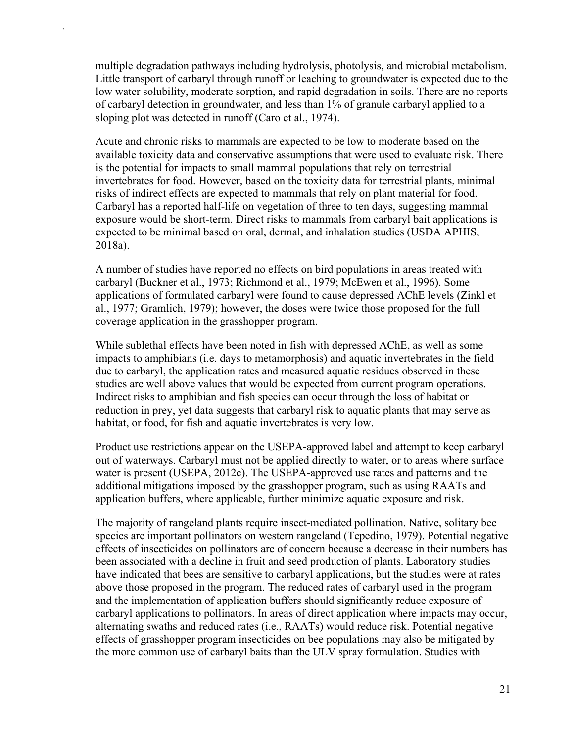multiple degradation pathways including hydrolysis, photolysis, and microbial metabolism. Little transport of carbaryl through runoff or leaching to groundwater is expected due to the low water solubility, moderate sorption, and rapid degradation in soils. There are no reports of carbaryl detection in groundwater, and less than 1% of granule carbaryl applied to a sloping plot was detected in runoff (Caro et al., 1974).

`

Acute and chronic risks to mammals are expected to be low to moderate based on the available toxicity data and conservative assumptions that were used to evaluate risk. There is the potential for impacts to small mammal populations that rely on terrestrial invertebrates for food. However, based on the toxicity data for terrestrial plants, minimal risks of indirect effects are expected to mammals that rely on plant material for food. Carbaryl has a reported half-life on vegetation of three to ten days, suggesting mammal exposure would be short-term. Direct risks to mammals from carbaryl bait applications is expected to be minimal based on oral, dermal, and inhalation studies (USDA APHIS, 2018a).

A number of studies have reported no effects on bird populations in areas treated with carbaryl (Buckner et al., 1973; Richmond et al., 1979; McEwen et al., 1996). Some applications of formulated carbaryl were found to cause depressed AChE levels (Zinkl et al., 1977; Gramlich, 1979); however, the doses were twice those proposed for the full coverage application in the grasshopper program.

While sublethal effects have been noted in fish with depressed AChE, as well as some impacts to amphibians (i.e. days to metamorphosis) and aquatic invertebrates in the field due to carbaryl, the application rates and measured aquatic residues observed in these studies are well above values that would be expected from current program operations. Indirect risks to amphibian and fish species can occur through the loss of habitat or reduction in prey, yet data suggests that carbaryl risk to aquatic plants that may serve as habitat, or food, for fish and aquatic invertebrates is very low.

Product use restrictions appear on the USEPA-approved label and attempt to keep carbaryl out of waterways. Carbaryl must not be applied directly to water, or to areas where surface water is present (USEPA, 2012c). The USEPA-approved use rates and patterns and the additional mitigations imposed by the grasshopper program, such as using RAATs and application buffers, where applicable, further minimize aquatic exposure and risk.

The majority of rangeland plants require insect-mediated pollination. Native, solitary bee species are important pollinators on western rangeland (Tepedino, 1979). Potential negative effects of insecticides on pollinators are of concern because a decrease in their numbers has been associated with a decline in fruit and seed production of plants. Laboratory studies have indicated that bees are sensitive to carbaryl applications, but the studies were at rates above those proposed in the program. The reduced rates of carbaryl used in the program and the implementation of application buffers should significantly reduce exposure of carbaryl applications to pollinators. In areas of direct application where impacts may occur, alternating swaths and reduced rates (i.e., RAATs) would reduce risk. Potential negative effects of grasshopper program insecticides on bee populations may also be mitigated by the more common use of carbaryl baits than the ULV spray formulation. Studies with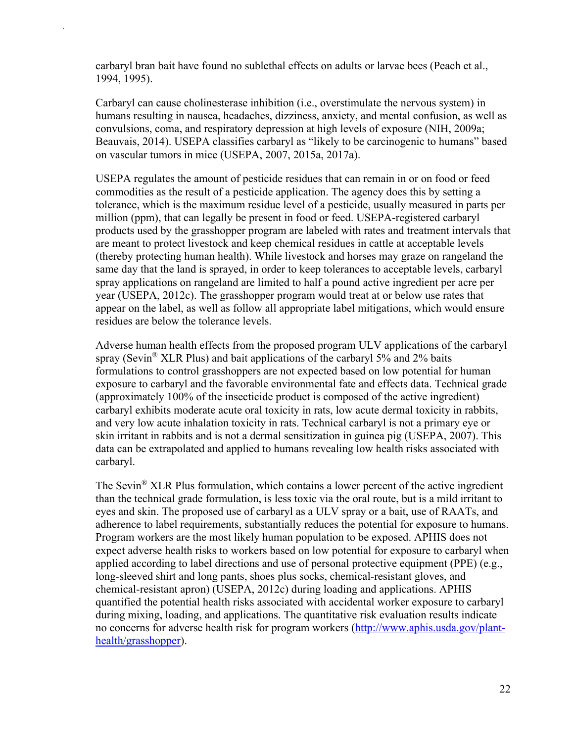carbaryl bran bait have found no sublethal effects on adults or larvae bees (Peach et al., 1994, 1995).

`

Carbaryl can cause cholinesterase inhibition (i.e., overstimulate the nervous system) in humans resulting in nausea, headaches, dizziness, anxiety, and mental confusion, as well as convulsions, coma, and respiratory depression at high levels of exposure (NIH, 2009a; Beauvais, 2014). USEPA classifies carbaryl as "likely to be carcinogenic to humans" based on vascular tumors in mice (USEPA, 2007, 2015a, 2017a).

USEPA regulates the amount of pesticide residues that can remain in or on food or feed commodities as the result of a pesticide application. The agency does this by setting a tolerance, which is the maximum residue level of a pesticide, usually measured in parts per million (ppm), that can legally be present in food or feed. USEPA-registered carbaryl products used by the grasshopper program are labeled with rates and treatment intervals that are meant to protect livestock and keep chemical residues in cattle at acceptable levels (thereby protecting human health). While livestock and horses may graze on rangeland the same day that the land is sprayed, in order to keep tolerances to acceptable levels, carbaryl spray applications on rangeland are limited to half a pound active ingredient per acre per year (USEPA, 2012c). The grasshopper program would treat at or below use rates that appear on the label, as well as follow all appropriate label mitigations, which would ensure residues are below the tolerance levels.

Adverse human health effects from the proposed program ULV applications of the carbaryl spray (Sevin<sup>®</sup> XLR Plus) and bait applications of the carbaryl 5% and 2% baits formulations to control grasshoppers are not expected based on low potential for human exposure to carbaryl and the favorable environmental fate and effects data. Technical grade (approximately 100% of the insecticide product is composed of the active ingredient) carbaryl exhibits moderate acute oral toxicity in rats, low acute dermal toxicity in rabbits, and very low acute inhalation toxicity in rats. Technical carbaryl is not a primary eye or skin irritant in rabbits and is not a dermal sensitization in guinea pig (USEPA, 2007). This data can be extrapolated and applied to humans revealing low health risks associated with carbaryl.

The Sevin<sup>®</sup> XLR Plus formulation, which contains a lower percent of the active ingredient than the technical grade formulation, is less toxic via the oral route, but is a mild irritant to eyes and skin. The proposed use of carbaryl as a ULV spray or a bait, use of RAATs, and adherence to label requirements, substantially reduces the potential for exposure to humans. Program workers are the most likely human population to be exposed. APHIS does not expect adverse health risks to workers based on low potential for exposure to carbaryl when applied according to label directions and use of personal protective equipment (PPE) (e.g., long-sleeved shirt and long pants, shoes plus socks, chemical-resistant gloves, and chemical-resistant apron) (USEPA, 2012c) during loading and applications. APHIS quantified the potential health risks associated with accidental worker exposure to carbaryl during mixing, loading, and applications. The quantitative risk evaluation results indicate no concerns for adverse health risk for program workers [\(http://www.aphis.usda.gov/plant](http://www.aphis.usda.gov/plant-health/grasshopper)[health/grasshopper\)](http://www.aphis.usda.gov/plant-health/grasshopper).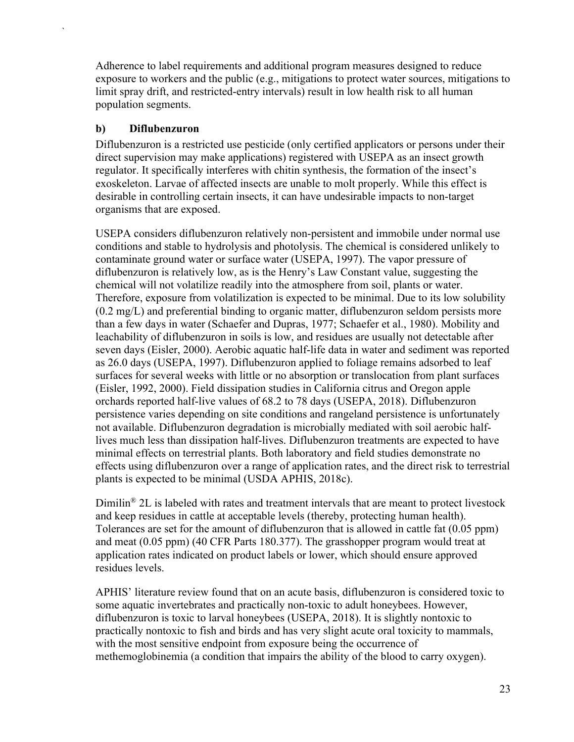Adherence to label requirements and additional program measures designed to reduce exposure to workers and the public (e.g., mitigations to protect water sources, mitigations to limit spray drift, and restricted-entry intervals) result in low health risk to all human population segments.

#### **b) Diflubenzuron**

`

Diflubenzuron is a restricted use pesticide (only certified applicators or persons under their direct supervision may make applications) registered with USEPA as an insect growth regulator. It specifically interferes with chitin synthesis, the formation of the insect's exoskeleton. Larvae of affected insects are unable to molt properly. While this effect is desirable in controlling certain insects, it can have undesirable impacts to non-target organisms that are exposed.

USEPA considers diflubenzuron relatively non-persistent and immobile under normal use conditions and stable to hydrolysis and photolysis. The chemical is considered unlikely to contaminate ground water or surface water (USEPA, 1997). The vapor pressure of diflubenzuron is relatively low, as is the Henry's Law Constant value, suggesting the chemical will not volatilize readily into the atmosphere from soil, plants or water. Therefore, exposure from volatilization is expected to be minimal. Due to its low solubility (0.2 mg/L) and preferential binding to organic matter, diflubenzuron seldom persists more than a few days in water (Schaefer and Dupras, 1977; Schaefer et al., 1980). Mobility and leachability of diflubenzuron in soils is low, and residues are usually not detectable after seven days (Eisler, 2000). Aerobic aquatic half-life data in water and sediment was reported as 26.0 days (USEPA, 1997). Diflubenzuron applied to foliage remains adsorbed to leaf surfaces for several weeks with little or no absorption or translocation from plant surfaces (Eisler, 1992, 2000). Field dissipation studies in California citrus and Oregon apple orchards reported half-live values of 68.2 to 78 days (USEPA, 2018). Diflubenzuron persistence varies depending on site conditions and rangeland persistence is unfortunately not available. Diflubenzuron degradation is microbially mediated with soil aerobic halflives much less than dissipation half-lives. Diflubenzuron treatments are expected to have minimal effects on terrestrial plants. Both laboratory and field studies demonstrate no effects using diflubenzuron over a range of application rates, and the direct risk to terrestrial plants is expected to be minimal (USDA APHIS, 2018c).

Dimilin<sup>®</sup> 2L is labeled with rates and treatment intervals that are meant to protect livestock and keep residues in cattle at acceptable levels (thereby, protecting human health). Tolerances are set for the amount of diflubenzuron that is allowed in cattle fat (0.05 ppm) and meat (0.05 ppm) (40 CFR Parts 180.377). The grasshopper program would treat at application rates indicated on product labels or lower, which should ensure approved residues levels.

APHIS' literature review found that on an acute basis, diflubenzuron is considered toxic to some aquatic invertebrates and practically non-toxic to adult honeybees. However, diflubenzuron is toxic to larval honeybees (USEPA, 2018). It is slightly nontoxic to practically nontoxic to fish and birds and has very slight acute oral toxicity to mammals, with the most sensitive endpoint from exposure being the occurrence of methemoglobinemia (a condition that impairs the ability of the blood to carry oxygen).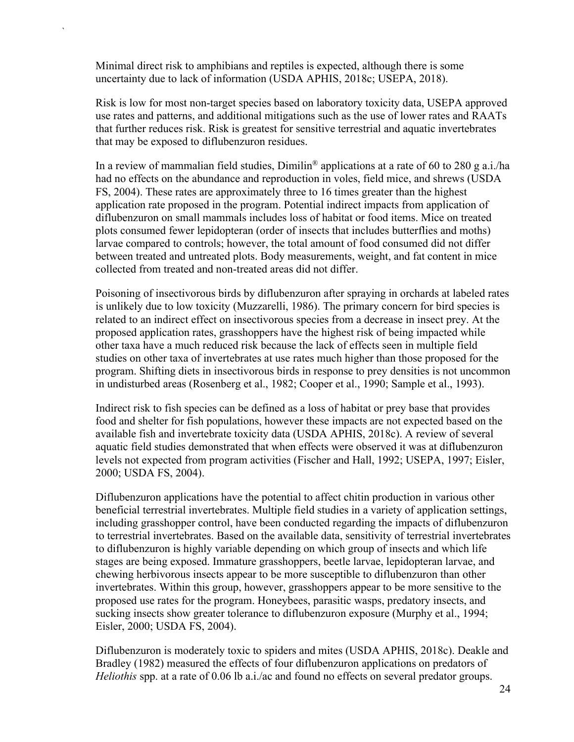Minimal direct risk to amphibians and reptiles is expected, although there is some uncertainty due to lack of information (USDA APHIS, 2018c; USEPA, 2018).

`

Risk is low for most non-target species based on laboratory toxicity data, USEPA approved use rates and patterns, and additional mitigations such as the use of lower rates and RAATs that further reduces risk. Risk is greatest for sensitive terrestrial and aquatic invertebrates that may be exposed to diflubenzuron residues.

In a review of mammalian field studies,  $Dim^{\circ}$  applications at a rate of 60 to 280 g a.i./ha had no effects on the abundance and reproduction in voles, field mice, and shrews (USDA FS, 2004). These rates are approximately three to 16 times greater than the highest application rate proposed in the program. Potential indirect impacts from application of diflubenzuron on small mammals includes loss of habitat or food items. Mice on treated plots consumed fewer lepidopteran (order of insects that includes butterflies and moths) larvae compared to controls; however, the total amount of food consumed did not differ between treated and untreated plots. Body measurements, weight, and fat content in mice collected from treated and non-treated areas did not differ.

Poisoning of insectivorous birds by diflubenzuron after spraying in orchards at labeled rates is unlikely due to low toxicity (Muzzarelli, 1986). The primary concern for bird species is related to an indirect effect on insectivorous species from a decrease in insect prey. At the proposed application rates, grasshoppers have the highest risk of being impacted while other taxa have a much reduced risk because the lack of effects seen in multiple field studies on other taxa of invertebrates at use rates much higher than those proposed for the program. Shifting diets in insectivorous birds in response to prey densities is not uncommon in undisturbed areas (Rosenberg et al., 1982; Cooper et al., 1990; Sample et al., 1993).

Indirect risk to fish species can be defined as a loss of habitat or prey base that provides food and shelter for fish populations, however these impacts are not expected based on the available fish and invertebrate toxicity data (USDA APHIS, 2018c). A review of several aquatic field studies demonstrated that when effects were observed it was at diflubenzuron levels not expected from program activities (Fischer and Hall, 1992; USEPA, 1997; Eisler, 2000; USDA FS, 2004).

Diflubenzuron applications have the potential to affect chitin production in various other beneficial terrestrial invertebrates. Multiple field studies in a variety of application settings, including grasshopper control, have been conducted regarding the impacts of diflubenzuron to terrestrial invertebrates. Based on the available data, sensitivity of terrestrial invertebrates to diflubenzuron is highly variable depending on which group of insects and which life stages are being exposed. Immature grasshoppers, beetle larvae, lepidopteran larvae, and chewing herbivorous insects appear to be more susceptible to diflubenzuron than other invertebrates. Within this group, however, grasshoppers appear to be more sensitive to the proposed use rates for the program. Honeybees, parasitic wasps, predatory insects, and sucking insects show greater tolerance to diflubenzuron exposure (Murphy et al., 1994; Eisler, 2000; USDA FS, 2004).

Diflubenzuron is moderately toxic to spiders and mites (USDA APHIS, 2018c). Deakle and Bradley (1982) measured the effects of four diflubenzuron applications on predators of *Heliothis* spp. at a rate of 0.06 lb a.i./ac and found no effects on several predator groups.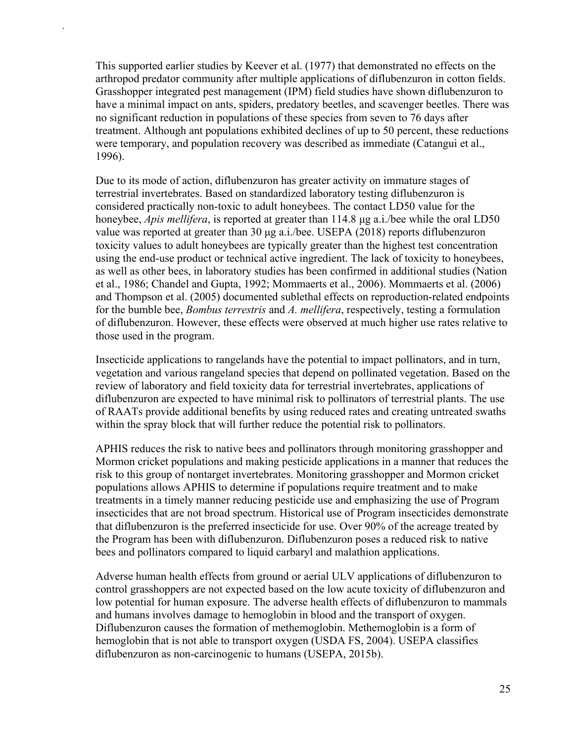This supported earlier studies by Keever et al. (1977) that demonstrated no effects on the arthropod predator community after multiple applications of diflubenzuron in cotton fields. Grasshopper integrated pest management (IPM) field studies have shown diflubenzuron to have a minimal impact on ants, spiders, predatory beetles, and scavenger beetles. There was no significant reduction in populations of these species from seven to 76 days after treatment. Although ant populations exhibited declines of up to 50 percent, these reductions were temporary, and population recovery was described as immediate (Catangui et al., 1996).

`

Due to its mode of action, diflubenzuron has greater activity on immature stages of terrestrial invertebrates. Based on standardized laboratory testing diflubenzuron is considered practically non-toxic to adult honeybees. The contact LD50 value for the honeybee, *Apis mellifera*, is reported at greater than 114.8 μg a.i./bee while the oral LD50 value was reported at greater than 30 μg a.i./bee. USEPA (2018) reports diflubenzuron toxicity values to adult honeybees are typically greater than the highest test concentration using the end-use product or technical active ingredient. The lack of toxicity to honeybees, as well as other bees, in laboratory studies has been confirmed in additional studies (Nation et al., 1986; Chandel and Gupta, 1992; Mommaerts et al., 2006). Mommaerts et al. (2006) and Thompson et al. (2005) documented sublethal effects on reproduction-related endpoints for the bumble bee, *Bombus terrestris* and *A. mellifera*, respectively, testing a formulation of diflubenzuron. However, these effects were observed at much higher use rates relative to those used in the program.

Insecticide applications to rangelands have the potential to impact pollinators, and in turn, vegetation and various rangeland species that depend on pollinated vegetation. Based on the review of laboratory and field toxicity data for terrestrial invertebrates, applications of diflubenzuron are expected to have minimal risk to pollinators of terrestrial plants. The use of RAATs provide additional benefits by using reduced rates and creating untreated swaths within the spray block that will further reduce the potential risk to pollinators.

APHIS reduces the risk to native bees and pollinators through monitoring grasshopper and Mormon cricket populations and making pesticide applications in a manner that reduces the risk to this group of nontarget invertebrates. Monitoring grasshopper and Mormon cricket populations allows APHIS to determine if populations require treatment and to make treatments in a timely manner reducing pesticide use and emphasizing the use of Program insecticides that are not broad spectrum. Historical use of Program insecticides demonstrate that diflubenzuron is the preferred insecticide for use. Over 90% of the acreage treated by the Program has been with diflubenzuron. Diflubenzuron poses a reduced risk to native bees and pollinators compared to liquid carbaryl and malathion applications.

Adverse human health effects from ground or aerial ULV applications of diflubenzuron to control grasshoppers are not expected based on the low acute toxicity of diflubenzuron and low potential for human exposure. The adverse health effects of diflubenzuron to mammals and humans involves damage to hemoglobin in blood and the transport of oxygen. Diflubenzuron causes the formation of methemoglobin. Methemoglobin is a form of hemoglobin that is not able to transport oxygen (USDA FS, 2004). USEPA classifies diflubenzuron as non-carcinogenic to humans (USEPA, 2015b).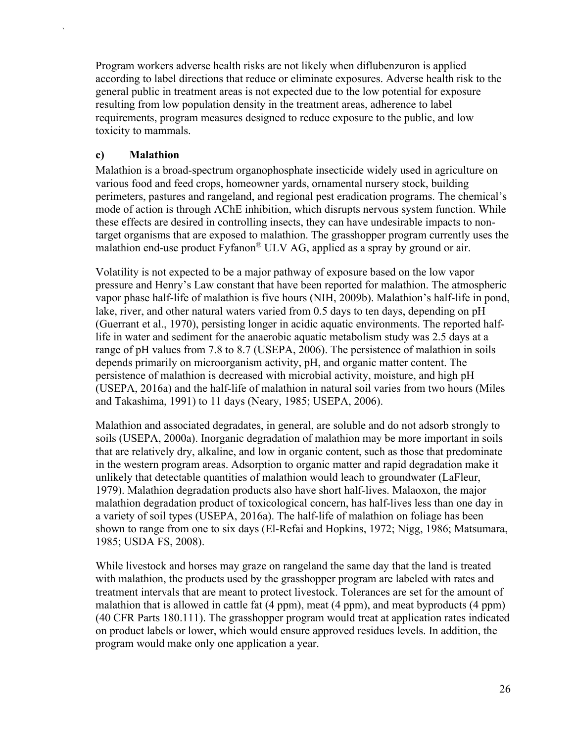Program workers adverse health risks are not likely when diflubenzuron is applied according to label directions that reduce or eliminate exposures. Adverse health risk to the general public in treatment areas is not expected due to the low potential for exposure resulting from low population density in the treatment areas, adherence to label requirements, program measures designed to reduce exposure to the public, and low toxicity to mammals.

#### **c) Malathion**

`

Malathion is a broad-spectrum organophosphate insecticide widely used in agriculture on various food and feed crops, homeowner yards, ornamental nursery stock, building perimeters, pastures and rangeland, and regional pest eradication programs. The chemical's mode of action is through AChE inhibition, which disrupts nervous system function. While these effects are desired in controlling insects, they can have undesirable impacts to nontarget organisms that are exposed to malathion. The grasshopper program currently uses the malathion end-use product Fyfanon® ULV AG, applied as a spray by ground or air.

Volatility is not expected to be a major pathway of exposure based on the low vapor pressure and Henry's Law constant that have been reported for malathion. The atmospheric vapor phase half-life of malathion is five hours (NIH, 2009b). Malathion's half-life in pond, lake, river, and other natural waters varied from 0.5 days to ten days, depending on pH (Guerrant et al., 1970), persisting longer in acidic aquatic environments. The reported halflife in water and sediment for the anaerobic aquatic metabolism study was 2.5 days at a range of pH values from 7.8 to 8.7 (USEPA, 2006). The persistence of malathion in soils depends primarily on microorganism activity, pH, and organic matter content. The persistence of malathion is decreased with microbial activity, moisture, and high pH (USEPA, 2016a) and the half-life of malathion in natural soil varies from two hours (Miles and Takashima, 1991) to 11 days (Neary, 1985; USEPA, 2006).

Malathion and associated degradates, in general, are soluble and do not adsorb strongly to soils (USEPA, 2000a). Inorganic degradation of malathion may be more important in soils that are relatively dry, alkaline, and low in organic content, such as those that predominate in the western program areas. Adsorption to organic matter and rapid degradation make it unlikely that detectable quantities of malathion would leach to groundwater (LaFleur, 1979). Malathion degradation products also have short half-lives. Malaoxon, the major malathion degradation product of toxicological concern, has half-lives less than one day in a variety of soil types (USEPA, 2016a). The half-life of malathion on foliage has been shown to range from one to six days (El-Refai and Hopkins, 1972; Nigg, 1986; Matsumara, 1985; USDA FS, 2008).

While livestock and horses may graze on rangeland the same day that the land is treated with malathion, the products used by the grasshopper program are labeled with rates and treatment intervals that are meant to protect livestock. Tolerances are set for the amount of malathion that is allowed in cattle fat (4 ppm), meat (4 ppm), and meat byproducts (4 ppm) (40 CFR Parts 180.111). The grasshopper program would treat at application rates indicated on product labels or lower, which would ensure approved residues levels. In addition, the program would make only one application a year.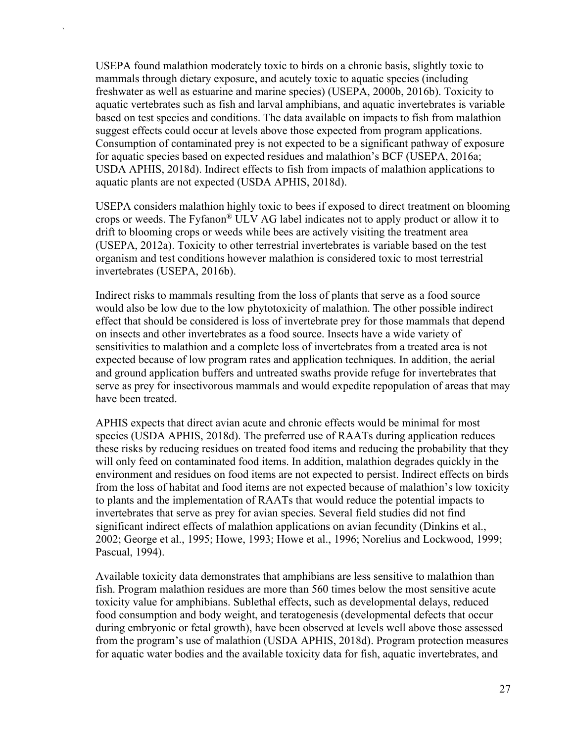USEPA found malathion moderately toxic to birds on a chronic basis, slightly toxic to mammals through dietary exposure, and acutely toxic to aquatic species (including freshwater as well as estuarine and marine species) (USEPA, 2000b, 2016b). Toxicity to aquatic vertebrates such as fish and larval amphibians, and aquatic invertebrates is variable based on test species and conditions. The data available on impacts to fish from malathion suggest effects could occur at levels above those expected from program applications. Consumption of contaminated prey is not expected to be a significant pathway of exposure for aquatic species based on expected residues and malathion's BCF (USEPA, 2016a; USDA APHIS, 2018d). Indirect effects to fish from impacts of malathion applications to aquatic plants are not expected (USDA APHIS, 2018d).

`

USEPA considers malathion highly toxic to bees if exposed to direct treatment on blooming crops or weeds. The Fyfanon® ULV AG label indicates not to apply product or allow it to drift to blooming crops or weeds while bees are actively visiting the treatment area (USEPA, 2012a). Toxicity to other terrestrial invertebrates is variable based on the test organism and test conditions however malathion is considered toxic to most terrestrial invertebrates (USEPA, 2016b).

Indirect risks to mammals resulting from the loss of plants that serve as a food source would also be low due to the low phytotoxicity of malathion. The other possible indirect effect that should be considered is loss of invertebrate prey for those mammals that depend on insects and other invertebrates as a food source. Insects have a wide variety of sensitivities to malathion and a complete loss of invertebrates from a treated area is not expected because of low program rates and application techniques. In addition, the aerial and ground application buffers and untreated swaths provide refuge for invertebrates that serve as prey for insectivorous mammals and would expedite repopulation of areas that may have been treated.

APHIS expects that direct avian acute and chronic effects would be minimal for most species (USDA APHIS, 2018d). The preferred use of RAATs during application reduces these risks by reducing residues on treated food items and reducing the probability that they will only feed on contaminated food items. In addition, malathion degrades quickly in the environment and residues on food items are not expected to persist. Indirect effects on birds from the loss of habitat and food items are not expected because of malathion's low toxicity to plants and the implementation of RAATs that would reduce the potential impacts to invertebrates that serve as prey for avian species. Several field studies did not find significant indirect effects of malathion applications on avian fecundity (Dinkins et al., 2002; George et al., 1995; Howe, 1993; Howe et al., 1996; Norelius and Lockwood, 1999; Pascual, 1994).

Available toxicity data demonstrates that amphibians are less sensitive to malathion than fish. Program malathion residues are more than 560 times below the most sensitive acute toxicity value for amphibians. Sublethal effects, such as developmental delays, reduced food consumption and body weight, and teratogenesis (developmental defects that occur during embryonic or fetal growth), have been observed at levels well above those assessed from the program's use of malathion (USDA APHIS, 2018d). Program protection measures for aquatic water bodies and the available toxicity data for fish, aquatic invertebrates, and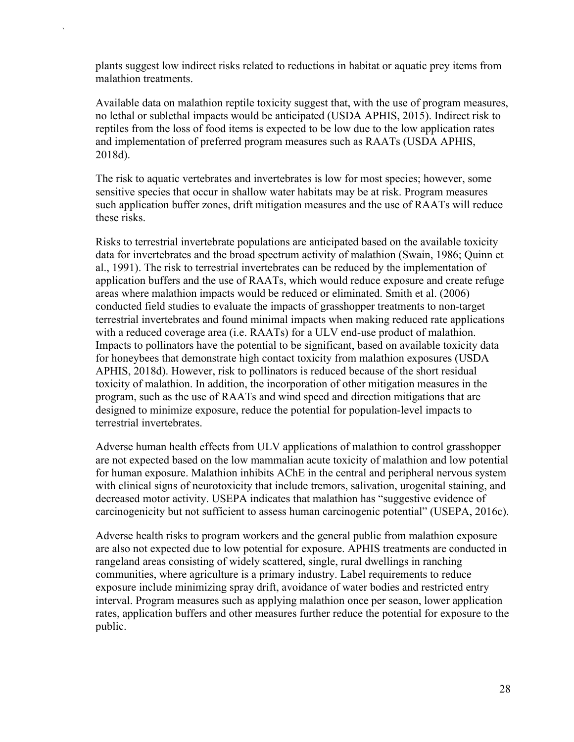plants suggest low indirect risks related to reductions in habitat or aquatic prey items from malathion treatments.

`

Available data on malathion reptile toxicity suggest that, with the use of program measures, no lethal or sublethal impacts would be anticipated (USDA APHIS, 2015). Indirect risk to reptiles from the loss of food items is expected to be low due to the low application rates and implementation of preferred program measures such as RAATs (USDA APHIS, 2018d).

The risk to aquatic vertebrates and invertebrates is low for most species; however, some sensitive species that occur in shallow water habitats may be at risk. Program measures such application buffer zones, drift mitigation measures and the use of RAATs will reduce these risks.

Risks to terrestrial invertebrate populations are anticipated based on the available toxicity data for invertebrates and the broad spectrum activity of malathion (Swain, 1986; Quinn et al., 1991). The risk to terrestrial invertebrates can be reduced by the implementation of application buffers and the use of RAATs, which would reduce exposure and create refuge areas where malathion impacts would be reduced or eliminated. Smith et al. (2006) conducted field studies to evaluate the impacts of grasshopper treatments to non-target terrestrial invertebrates and found minimal impacts when making reduced rate applications with a reduced coverage area (i.e. RAATs) for a ULV end-use product of malathion. Impacts to pollinators have the potential to be significant, based on available toxicity data for honeybees that demonstrate high contact toxicity from malathion exposures (USDA APHIS, 2018d). However, risk to pollinators is reduced because of the short residual toxicity of malathion. In addition, the incorporation of other mitigation measures in the program, such as the use of RAATs and wind speed and direction mitigations that are designed to minimize exposure, reduce the potential for population-level impacts to terrestrial invertebrates.

Adverse human health effects from ULV applications of malathion to control grasshopper are not expected based on the low mammalian acute toxicity of malathion and low potential for human exposure. Malathion inhibits AChE in the central and peripheral nervous system with clinical signs of neurotoxicity that include tremors, salivation, urogenital staining, and decreased motor activity. USEPA indicates that malathion has "suggestive evidence of carcinogenicity but not sufficient to assess human carcinogenic potential" (USEPA, 2016c).

Adverse health risks to program workers and the general public from malathion exposure are also not expected due to low potential for exposure. APHIS treatments are conducted in rangeland areas consisting of widely scattered, single, rural dwellings in ranching communities, where agriculture is a primary industry. Label requirements to reduce exposure include minimizing spray drift, avoidance of water bodies and restricted entry interval. Program measures such as applying malathion once per season, lower application rates, application buffers and other measures further reduce the potential for exposure to the public.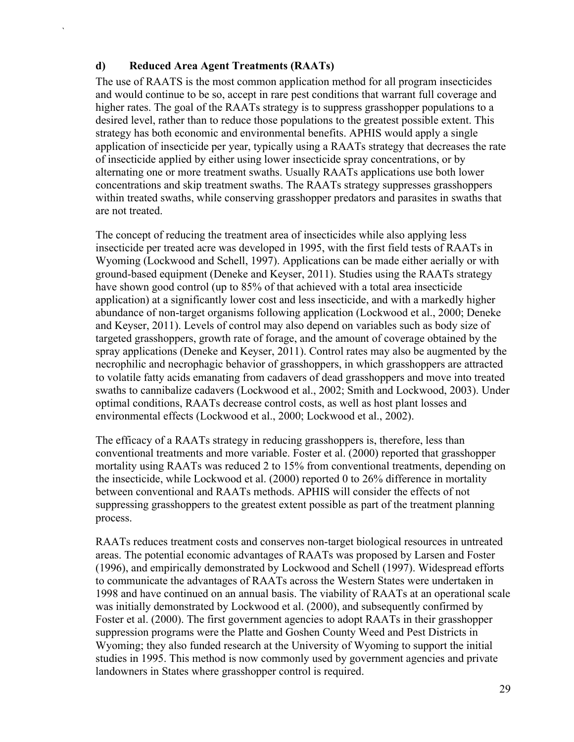#### **d) Reduced Area Agent Treatments (RAATs)**

`

The use of RAATS is the most common application method for all program insecticides and would continue to be so, accept in rare pest conditions that warrant full coverage and higher rates. The goal of the RAATs strategy is to suppress grasshopper populations to a desired level, rather than to reduce those populations to the greatest possible extent. This strategy has both economic and environmental benefits. APHIS would apply a single application of insecticide per year, typically using a RAATs strategy that decreases the rate of insecticide applied by either using lower insecticide spray concentrations, or by alternating one or more treatment swaths. Usually RAATs applications use both lower concentrations and skip treatment swaths. The RAATs strategy suppresses grasshoppers within treated swaths, while conserving grasshopper predators and parasites in swaths that are not treated.

The concept of reducing the treatment area of insecticides while also applying less insecticide per treated acre was developed in 1995, with the first field tests of RAATs in Wyoming (Lockwood and Schell, 1997). Applications can be made either aerially or with ground-based equipment (Deneke and Keyser, 2011). Studies using the RAATs strategy have shown good control (up to 85% of that achieved with a total area insecticide application) at a significantly lower cost and less insecticide, and with a markedly higher abundance of non-target organisms following application (Lockwood et al., 2000; Deneke and Keyser, 2011). Levels of control may also depend on variables such as body size of targeted grasshoppers, growth rate of forage, and the amount of coverage obtained by the spray applications (Deneke and Keyser, 2011). Control rates may also be augmented by the necrophilic and necrophagic behavior of grasshoppers, in which grasshoppers are attracted to volatile fatty acids emanating from cadavers of dead grasshoppers and move into treated swaths to cannibalize cadavers (Lockwood et al., 2002; Smith and Lockwood, 2003). Under optimal conditions, RAATs decrease control costs, as well as host plant losses and environmental effects (Lockwood et al., 2000; Lockwood et al., 2002).

The efficacy of a RAATs strategy in reducing grasshoppers is, therefore, less than conventional treatments and more variable. Foster et al. (2000) reported that grasshopper mortality using RAATs was reduced 2 to 15% from conventional treatments, depending on the insecticide, while Lockwood et al. (2000) reported 0 to 26% difference in mortality between conventional and RAATs methods. APHIS will consider the effects of not suppressing grasshoppers to the greatest extent possible as part of the treatment planning process.

RAATs reduces treatment costs and conserves non-target biological resources in untreated areas. The potential economic advantages of RAATs was proposed by Larsen and Foster (1996), and empirically demonstrated by Lockwood and Schell (1997). Widespread efforts to communicate the advantages of RAATs across the Western States were undertaken in 1998 and have continued on an annual basis. The viability of RAATs at an operational scale was initially demonstrated by Lockwood et al. (2000), and subsequently confirmed by Foster et al. (2000). The first government agencies to adopt RAATs in their grasshopper suppression programs were the Platte and Goshen County Weed and Pest Districts in Wyoming; they also funded research at the University of Wyoming to support the initial studies in 1995. This method is now commonly used by government agencies and private landowners in States where grasshopper control is required.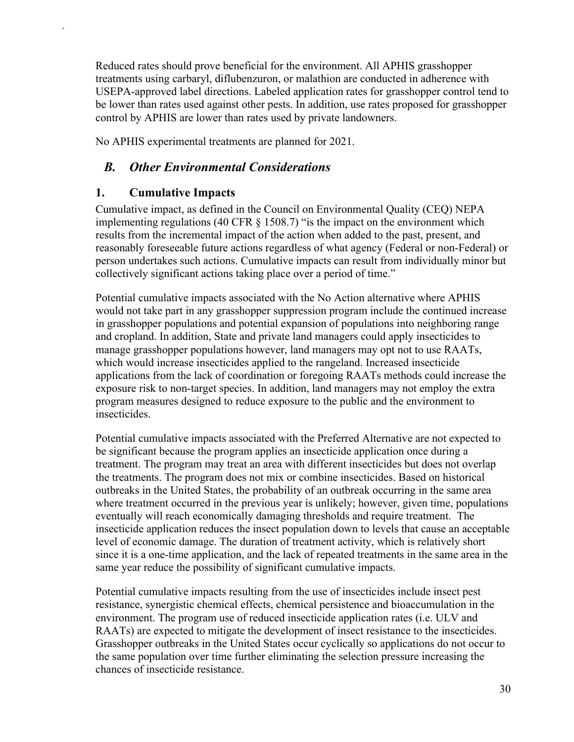Reduced rates should prove beneficial for the environment. All APHIS grasshopper treatments using carbaryl, diflubenzuron, or malathion are conducted in adherence with USEPA-approved label directions. Labeled application rates for grasshopper control tend to be lower than rates used against other pests. In addition, use rates proposed for grasshopper control by APHIS are lower than rates used by private landowners.

<span id="page-33-0"></span>No APHIS experimental treatments are planned for 2021.

### *B. Other Environmental Considerations*

### <span id="page-33-1"></span>**1. Cumulative Impacts**

`

Cumulative impact, as defined in the Council on Environmental Quality (CEQ) NEPA implementing regulations (40 CFR § 1508.7) "is the impact on the environment which results from the incremental impact of the action when added to the past, present, and reasonably foreseeable future actions regardless of what agency (Federal or non-Federal) or person undertakes such actions. Cumulative impacts can result from individually minor but collectively significant actions taking place over a period of time."

Potential cumulative impacts associated with the No Action alternative where APHIS would not take part in any grasshopper suppression program include the continued increase in grasshopper populations and potential expansion of populations into neighboring range and cropland. In addition, State and private land managers could apply insecticides to manage grasshopper populations however, land managers may opt not to use RAATs, which would increase insecticides applied to the rangeland. Increased insecticide applications from the lack of coordination or foregoing RAATs methods could increase the exposure risk to non-target species. In addition, land managers may not employ the extra program measures designed to reduce exposure to the public and the environment to insecticides.

Potential cumulative impacts associated with the Preferred Alternative are not expected to be significant because the program applies an insecticide application once during a treatment. The program may treat an area with different insecticides but does not overlap the treatments. The program does not mix or combine insecticides. Based on historical outbreaks in the United States, the probability of an outbreak occurring in the same area where treatment occurred in the previous year is unlikely; however, given time, populations eventually will reach economically damaging thresholds and require treatment. The insecticide application reduces the insect population down to levels that cause an acceptable level of economic damage. The duration of treatment activity, which is relatively short since it is a one-time application, and the lack of repeated treatments in the same area in the same year reduce the possibility of significant cumulative impacts.

Potential cumulative impacts resulting from the use of insecticides include insect pest resistance, synergistic chemical effects, chemical persistence and bioaccumulation in the environment. The program use of reduced insecticide application rates (i.e. ULV and RAATs) are expected to mitigate the development of insect resistance to the insecticides. Grasshopper outbreaks in the United States occur cyclically so applications do not occur to the same population over time further eliminating the selection pressure increasing the chances of insecticide resistance.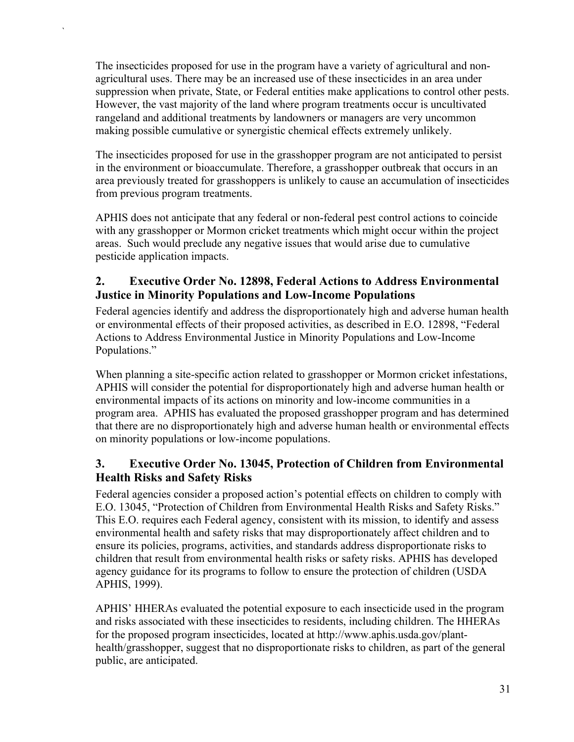The insecticides proposed for use in the program have a variety of agricultural and nonagricultural uses. There may be an increased use of these insecticides in an area under suppression when private, State, or Federal entities make applications to control other pests. However, the vast majority of the land where program treatments occur is uncultivated rangeland and additional treatments by landowners or managers are very uncommon making possible cumulative or synergistic chemical effects extremely unlikely.

`

The insecticides proposed for use in the grasshopper program are not anticipated to persist in the environment or bioaccumulate. Therefore, a grasshopper outbreak that occurs in an area previously treated for grasshoppers is unlikely to cause an accumulation of insecticides from previous program treatments.

APHIS does not anticipate that any federal or non-federal pest control actions to coincide with any grasshopper or Mormon cricket treatments which might occur within the project areas. Such would preclude any negative issues that would arise due to cumulative pesticide application impacts.

### <span id="page-34-0"></span>**2. Executive Order No. 12898, Federal Actions to Address Environmental Justice in Minority Populations and Low-Income Populations**

Federal agencies identify and address the disproportionately high and adverse human health or environmental effects of their proposed activities, as described in E.O. 12898, "Federal Actions to Address Environmental Justice in Minority Populations and Low-Income Populations."

When planning a site-specific action related to grasshopper or Mormon cricket infestations, APHIS will consider the potential for disproportionately high and adverse human health or environmental impacts of its actions on minority and low-income communities in a program area. APHIS has evaluated the proposed grasshopper program and has determined that there are no disproportionately high and adverse human health or environmental effects on minority populations or low-income populations.

### <span id="page-34-1"></span>**3. Executive Order No. 13045, Protection of Children from Environmental Health Risks and Safety Risks**

Federal agencies consider a proposed action's potential effects on children to comply with E.O. 13045, "Protection of Children from Environmental Health Risks and Safety Risks." This E.O. requires each Federal agency, consistent with its mission, to identify and assess environmental health and safety risks that may disproportionately affect children and to ensure its policies, programs, activities, and standards address disproportionate risks to children that result from environmental health risks or safety risks. APHIS has developed agency guidance for its programs to follow to ensure the protection of children (USDA APHIS, 1999).

APHIS' HHERAs evaluated the potential exposure to each insecticide used in the program and risks associated with these insecticides to residents, including children. The HHERAs for the proposed program insecticides, located at http://www.aphis.usda.gov/planthealth/grasshopper, suggest that no disproportionate risks to children, as part of the general public, are anticipated.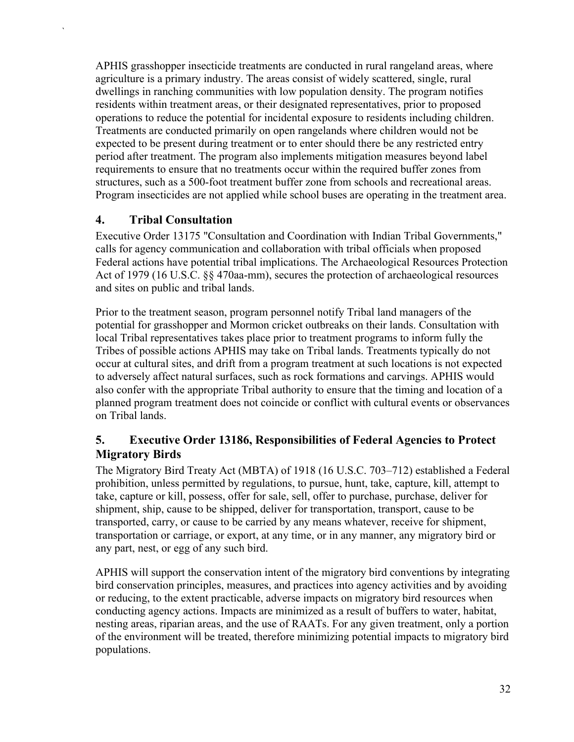APHIS grasshopper insecticide treatments are conducted in rural rangeland areas, where agriculture is a primary industry. The areas consist of widely scattered, single, rural dwellings in ranching communities with low population density. The program notifies residents within treatment areas, or their designated representatives, prior to proposed operations to reduce the potential for incidental exposure to residents including children. Treatments are conducted primarily on open rangelands where children would not be expected to be present during treatment or to enter should there be any restricted entry period after treatment. The program also implements mitigation measures beyond label requirements to ensure that no treatments occur within the required buffer zones from structures, such as a 500-foot treatment buffer zone from schools and recreational areas. Program insecticides are not applied while school buses are operating in the treatment area.

### <span id="page-35-0"></span>**4. Tribal Consultation**

`

Executive Order 13175 "Consultation and Coordination with Indian Tribal Governments," calls for agency communication and collaboration with tribal officials when proposed Federal actions have potential tribal implications. The Archaeological Resources Protection Act of 1979 (16 U.S.C. §§ 470aa-mm), secures the protection of archaeological resources and sites on public and tribal lands.

Prior to the treatment season, program personnel notify Tribal land managers of the potential for grasshopper and Mormon cricket outbreaks on their lands. Consultation with local Tribal representatives takes place prior to treatment programs to inform fully the Tribes of possible actions APHIS may take on Tribal lands. Treatments typically do not occur at cultural sites, and drift from a program treatment at such locations is not expected to adversely affect natural surfaces, such as rock formations and carvings. APHIS would also confer with the appropriate Tribal authority to ensure that the timing and location of a planned program treatment does not coincide or conflict with cultural events or observances on Tribal lands.

### <span id="page-35-1"></span>**5. Executive Order 13186, Responsibilities of Federal Agencies to Protect Migratory Birds**

The Migratory Bird Treaty Act (MBTA) of 1918 (16 U.S.C. 703–712) established a Federal prohibition, unless permitted by regulations, to pursue, hunt, take, capture, kill, attempt to take, capture or kill, possess, offer for sale, sell, offer to purchase, purchase, deliver for shipment, ship, cause to be shipped, deliver for transportation, transport, cause to be transported, carry, or cause to be carried by any means whatever, receive for shipment, transportation or carriage, or export, at any time, or in any manner, any migratory bird or any part, nest, or egg of any such bird.

APHIS will support the conservation intent of the migratory bird conventions by integrating bird conservation principles, measures, and practices into agency activities and by avoiding or reducing, to the extent practicable, adverse impacts on migratory bird resources when conducting agency actions. Impacts are minimized as a result of buffers to water, habitat, nesting areas, riparian areas, and the use of RAATs. For any given treatment, only a portion of the environment will be treated, therefore minimizing potential impacts to migratory bird populations.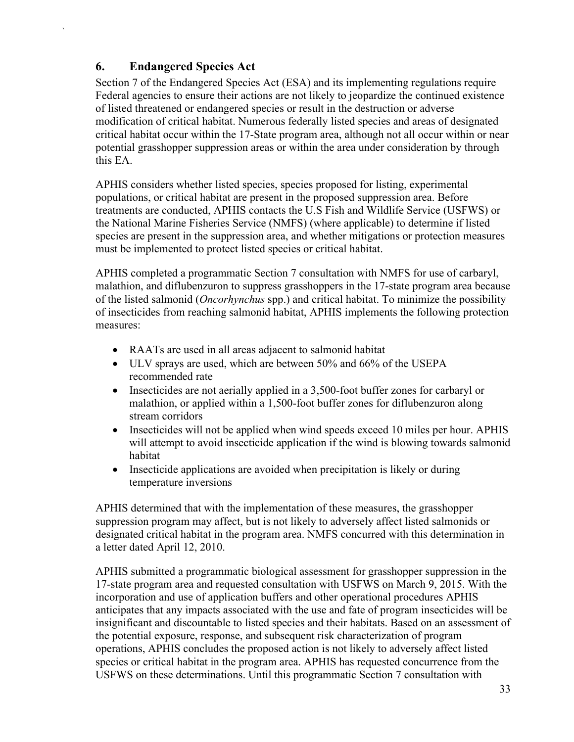### **6. Endangered Species Act**

<span id="page-36-0"></span>`

Section 7 of the Endangered Species Act (ESA) and its implementing regulations require Federal agencies to ensure their actions are not likely to jeopardize the continued existence of listed threatened or endangered species or result in the destruction or adverse modification of critical habitat. Numerous federally listed species and areas of designated critical habitat occur within the 17-State program area, although not all occur within or near potential grasshopper suppression areas or within the area under consideration by through this EA.

APHIS considers whether listed species, species proposed for listing, experimental populations, or critical habitat are present in the proposed suppression area. Before treatments are conducted, APHIS contacts the U.S Fish and Wildlife Service (USFWS) or the National Marine Fisheries Service (NMFS) (where applicable) to determine if listed species are present in the suppression area, and whether mitigations or protection measures must be implemented to protect listed species or critical habitat.

APHIS completed a programmatic Section 7 consultation with NMFS for use of carbaryl, malathion, and diflubenzuron to suppress grasshoppers in the 17-state program area because of the listed salmonid (*Oncorhynchus* spp.) and critical habitat. To minimize the possibility of insecticides from reaching salmonid habitat, APHIS implements the following protection measures:

- RAATs are used in all areas adjacent to salmonid habitat
- ULV sprays are used, which are between 50% and 66% of the USEPA recommended rate
- Insecticides are not aerially applied in a 3,500-foot buffer zones for carbaryl or malathion, or applied within a 1,500-foot buffer zones for diflubenzuron along stream corridors
- Insecticides will not be applied when wind speeds exceed 10 miles per hour. APHIS will attempt to avoid insecticide application if the wind is blowing towards salmonid habitat
- Insecticide applications are avoided when precipitation is likely or during temperature inversions

APHIS determined that with the implementation of these measures, the grasshopper suppression program may affect, but is not likely to adversely affect listed salmonids or designated critical habitat in the program area. NMFS concurred with this determination in a letter dated April 12, 2010.

APHIS submitted a programmatic biological assessment for grasshopper suppression in the 17-state program area and requested consultation with USFWS on March 9, 2015. With the incorporation and use of application buffers and other operational procedures APHIS anticipates that any impacts associated with the use and fate of program insecticides will be insignificant and discountable to listed species and their habitats. Based on an assessment of the potential exposure, response, and subsequent risk characterization of program operations, APHIS concludes the proposed action is not likely to adversely affect listed species or critical habitat in the program area. APHIS has requested concurrence from the USFWS on these determinations. Until this programmatic Section 7 consultation with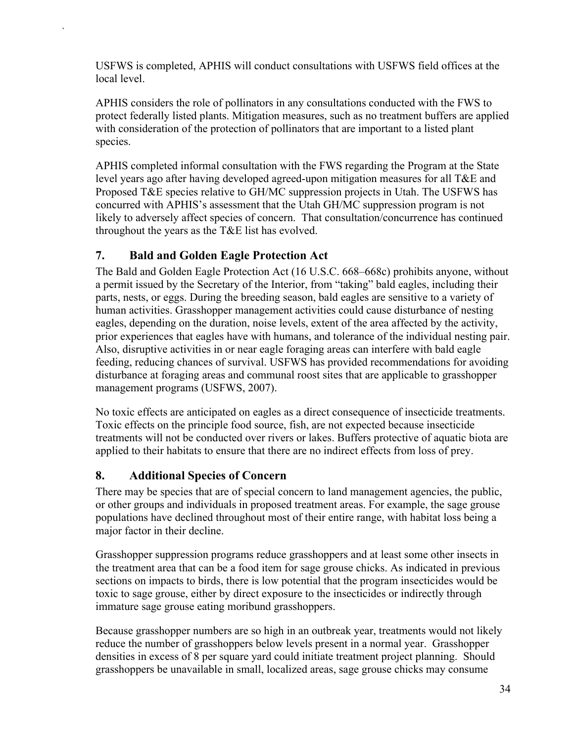USFWS is completed, APHIS will conduct consultations with USFWS field offices at the local level.

APHIS considers the role of pollinators in any consultations conducted with the FWS to protect federally listed plants. Mitigation measures, such as no treatment buffers are applied with consideration of the protection of pollinators that are important to a listed plant species.

APHIS completed informal consultation with the FWS regarding the Program at the State level years ago after having developed agreed-upon mitigation measures for all T&E and Proposed T&E species relative to GH/MC suppression projects in Utah. The USFWS has concurred with APHIS's assessment that the Utah GH/MC suppression program is not likely to adversely affect species of concern. That consultation/concurrence has continued throughout the years as the T&E list has evolved.

#### <span id="page-37-0"></span>**7. Bald and Golden Eagle Protection Act**

`

The Bald and Golden Eagle Protection Act (16 U.S.C. 668–668c) prohibits anyone, without a permit issued by the Secretary of the Interior, from "taking" bald eagles, including their parts, nests, or eggs. During the breeding season, bald eagles are sensitive to a variety of human activities. Grasshopper management activities could cause disturbance of nesting eagles, depending on the duration, noise levels, extent of the area affected by the activity, prior experiences that eagles have with humans, and tolerance of the individual nesting pair. Also, disruptive activities in or near eagle foraging areas can interfere with bald eagle feeding, reducing chances of survival. USFWS has provided recommendations for avoiding disturbance at foraging areas and communal roost sites that are applicable to grasshopper management programs (USFWS, 2007).

No toxic effects are anticipated on eagles as a direct consequence of insecticide treatments. Toxic effects on the principle food source, fish, are not expected because insecticide treatments will not be conducted over rivers or lakes. Buffers protective of aquatic biota are applied to their habitats to ensure that there are no indirect effects from loss of prey.

### <span id="page-37-1"></span>**8. Additional Species of Concern**

There may be species that are of special concern to land management agencies, the public, or other groups and individuals in proposed treatment areas. For example, the sage grouse populations have declined throughout most of their entire range, with habitat loss being a major factor in their decline.

Grasshopper suppression programs reduce grasshoppers and at least some other insects in the treatment area that can be a food item for sage grouse chicks. As indicated in previous sections on impacts to birds, there is low potential that the program insecticides would be toxic to sage grouse, either by direct exposure to the insecticides or indirectly through immature sage grouse eating moribund grasshoppers.

Because grasshopper numbers are so high in an outbreak year, treatments would not likely reduce the number of grasshoppers below levels present in a normal year. Grasshopper densities in excess of 8 per square yard could initiate treatment project planning. Should grasshoppers be unavailable in small, localized areas, sage grouse chicks may consume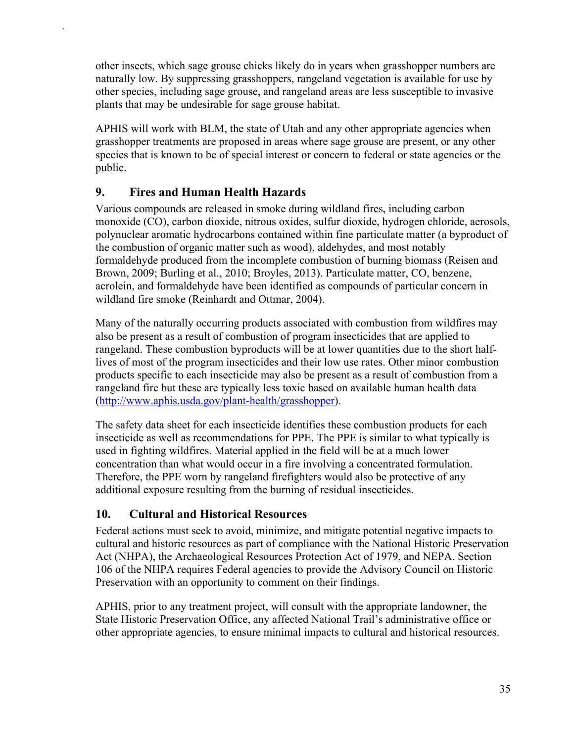other insects, which sage grouse chicks likely do in years when grasshopper numbers are naturally low. By suppressing grasshoppers, rangeland vegetation is available for use by other species, including sage grouse, and rangeland areas are less susceptible to invasive plants that may be undesirable for sage grouse habitat.

APHIS will work with BLM, the state of Utah and any other appropriate agencies when grasshopper treatments are proposed in areas where sage grouse are present, or any other species that is known to be of special interest or concern to federal or state agencies or the public.

### <span id="page-38-0"></span>**9. Fires and Human Health Hazards**

`

Various compounds are released in smoke during wildland fires, including carbon monoxide (CO), carbon dioxide, nitrous oxides, sulfur dioxide, hydrogen chloride, aerosols, polynuclear aromatic hydrocarbons contained within fine particulate matter (a byproduct of the combustion of organic matter such as wood), aldehydes, and most notably formaldehyde produced from the incomplete combustion of burning biomass (Reisen and Brown, 2009; Burling et al., 2010; Broyles, 2013). Particulate matter, CO, benzene, acrolein, and formaldehyde have been identified as compounds of particular concern in wildland fire smoke (Reinhardt and Ottmar, 2004).

Many of the naturally occurring products associated with combustion from wildfires may also be present as a result of combustion of program insecticides that are applied to rangeland. These combustion byproducts will be at lower quantities due to the short halflives of most of the program insecticides and their low use rates. Other minor combustion products specific to each insecticide may also be present as a result of combustion from a rangeland fire but these are typically less toxic based on available human health data [\(http://www.aphis.usda.gov/plant-health/grasshopper\)](http://www.aphis.usda.gov/plant-health/grasshopper).

The safety data sheet for each insecticide identifies these combustion products for each insecticide as well as recommendations for PPE. The PPE is similar to what typically is used in fighting wildfires. Material applied in the field will be at a much lower concentration than what would occur in a fire involving a concentrated formulation. Therefore, the PPE worn by rangeland firefighters would also be protective of any additional exposure resulting from the burning of residual insecticides.

### <span id="page-38-1"></span>**10. Cultural and Historical Resources**

Federal actions must seek to avoid, minimize, and mitigate potential negative impacts to cultural and historic resources as part of compliance with the National Historic Preservation Act (NHPA), the Archaeological Resources Protection Act of 1979, and NEPA. Section 106 of the NHPA requires Federal agencies to provide the Advisory Council on Historic Preservation with an opportunity to comment on their findings.

APHIS, prior to any treatment project, will consult with the appropriate landowner, the State Historic Preservation Office, any affected National Trail's administrative office or other appropriate agencies, to ensure minimal impacts to cultural and historical resources.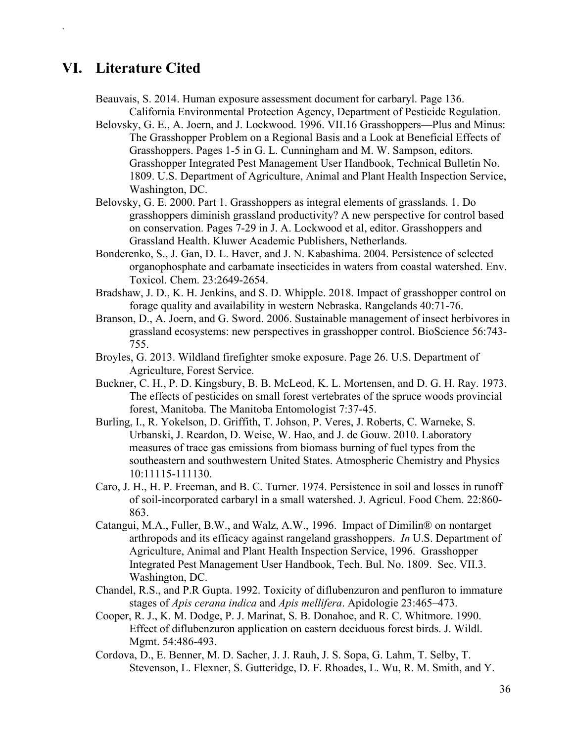### <span id="page-39-0"></span>**VI. Literature Cited**

`

Beauvais, S. 2014. Human exposure assessment document for carbaryl. Page 136. California Environmental Protection Agency, Department of Pesticide Regulation.

- Belovsky, G. E., A. Joern, and J. Lockwood. 1996. VII.16 Grasshoppers—Plus and Minus: The Grasshopper Problem on a Regional Basis and a Look at Beneficial Effects of Grasshoppers. Pages 1-5 in G. L. Cunningham and M. W. Sampson, editors. Grasshopper Integrated Pest Management User Handbook, Technical Bulletin No. 1809. U.S. Department of Agriculture, Animal and Plant Health Inspection Service, Washington, DC.
- Belovsky, G. E. 2000. Part 1. Grasshoppers as integral elements of grasslands. 1. Do grasshoppers diminish grassland productivity? A new perspective for control based on conservation. Pages 7-29 in J. A. Lockwood et al, editor. Grasshoppers and Grassland Health. Kluwer Academic Publishers, Netherlands.
- Bonderenko, S., J. Gan, D. L. Haver, and J. N. Kabashima. 2004. Persistence of selected organophosphate and carbamate insecticides in waters from coastal watershed. Env. Toxicol. Chem. 23:2649-2654.
- Bradshaw, J. D., K. H. Jenkins, and S. D. Whipple. 2018. Impact of grasshopper control on forage quality and availability in western Nebraska. Rangelands 40:71-76.
- Branson, D., A. Joern, and G. Sword. 2006. Sustainable management of insect herbivores in grassland ecosystems: new perspectives in grasshopper control. BioScience 56:743- 755.
- Broyles, G. 2013. Wildland firefighter smoke exposure. Page 26. U.S. Department of Agriculture, Forest Service.
- Buckner, C. H., P. D. Kingsbury, B. B. McLeod, K. L. Mortensen, and D. G. H. Ray. 1973. The effects of pesticides on small forest vertebrates of the spruce woods provincial forest, Manitoba. The Manitoba Entomologist 7:37-45.
- Burling, I., R. Yokelson, D. Griffith, T. Johson, P. Veres, J. Roberts, C. Warneke, S. Urbanski, J. Reardon, D. Weise, W. Hao, and J. de Gouw. 2010. Laboratory measures of trace gas emissions from biomass burning of fuel types from the southeastern and southwestern United States. Atmospheric Chemistry and Physics 10:11115-111130.
- Caro, J. H., H. P. Freeman, and B. C. Turner. 1974. Persistence in soil and losses in runoff of soil-incorporated carbaryl in a small watershed. J. Agricul. Food Chem. 22:860- 863.
- Catangui, M.A., Fuller, B.W., and Walz, A.W., 1996. Impact of Dimilin® on nontarget arthropods and its efficacy against rangeland grasshoppers. *In* U.S. Department of Agriculture, Animal and Plant Health Inspection Service, 1996. Grasshopper Integrated Pest Management User Handbook, Tech. Bul. No. 1809. Sec. VII.3. Washington, DC.
- Chandel, R.S., and P.R Gupta. 1992. Toxicity of diflubenzuron and penfluron to immature stages of *Apis cerana indica* and *Apis mellifera*. Apidologie 23:465–473.
- Cooper, R. J., K. M. Dodge, P. J. Marinat, S. B. Donahoe, and R. C. Whitmore. 1990. Effect of diflubenzuron application on eastern deciduous forest birds. J. Wildl. Mgmt. 54:486-493.
- Cordova, D., E. Benner, M. D. Sacher, J. J. Rauh, J. S. Sopa, G. Lahm, T. Selby, T. Stevenson, L. Flexner, S. Gutteridge, D. F. Rhoades, L. Wu, R. M. Smith, and Y.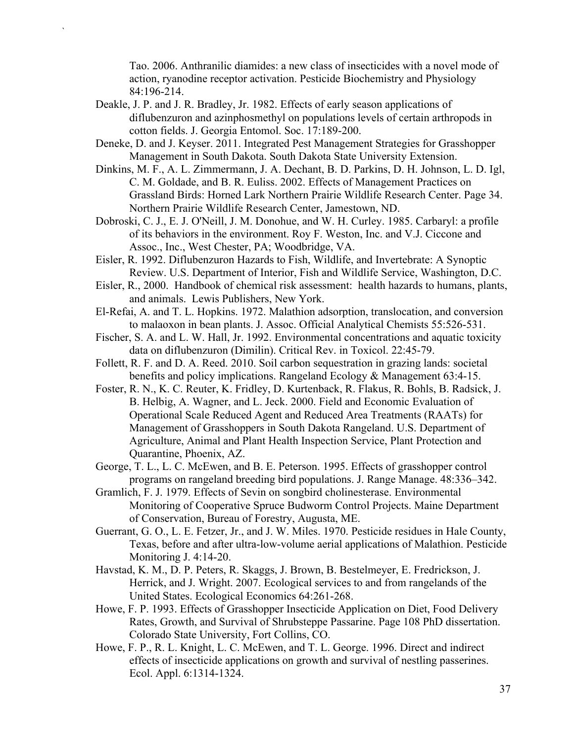Tao. 2006. Anthranilic diamides: a new class of insecticides with a novel mode of action, ryanodine receptor activation. Pesticide Biochemistry and Physiology 84:196-214.

Deakle, J. P. and J. R. Bradley, Jr. 1982. Effects of early season applications of diflubenzuron and azinphosmethyl on populations levels of certain arthropods in cotton fields. J. Georgia Entomol. Soc. 17:189-200.

- Deneke, D. and J. Keyser. 2011. Integrated Pest Management Strategies for Grasshopper Management in South Dakota. South Dakota State University Extension.
- Dinkins, M. F., A. L. Zimmermann, J. A. Dechant, B. D. Parkins, D. H. Johnson, L. D. Igl, C. M. Goldade, and B. R. Euliss. 2002. Effects of Management Practices on Grassland Birds: Horned Lark Northern Prairie Wildlife Research Center. Page 34. Northern Prairie Wildlife Research Center, Jamestown, ND.
- Dobroski, C. J., E. J. O'Neill, J. M. Donohue, and W. H. Curley. 1985. Carbaryl: a profile of its behaviors in the environment. Roy F. Weston, Inc. and V.J. Ciccone and Assoc., Inc., West Chester, PA; Woodbridge, VA.
- Eisler, R. 1992. Diflubenzuron Hazards to Fish, Wildlife, and Invertebrate: A Synoptic Review. U.S. Department of Interior, Fish and Wildlife Service, Washington, D.C.
- Eisler, R., 2000. Handbook of chemical risk assessment: health hazards to humans, plants, and animals. Lewis Publishers, New York.
- El-Refai, A. and T. L. Hopkins. 1972. Malathion adsorption, translocation, and conversion to malaoxon in bean plants. J. Assoc. Official Analytical Chemists 55:526-531.
- Fischer, S. A. and L. W. Hall, Jr. 1992. Environmental concentrations and aquatic toxicity data on diflubenzuron (Dimilin). Critical Rev. in Toxicol. 22:45-79.
- Follett, R. F. and D. A. Reed. 2010. Soil carbon sequestration in grazing lands: societal benefits and policy implications. Rangeland Ecology & Management 63:4-15.
- Foster, R. N., K. C. Reuter, K. Fridley, D. Kurtenback, R. Flakus, R. Bohls, B. Radsick, J. B. Helbig, A. Wagner, and L. Jeck. 2000. Field and Economic Evaluation of Operational Scale Reduced Agent and Reduced Area Treatments (RAATs) for Management of Grasshoppers in South Dakota Rangeland. U.S. Department of Agriculture, Animal and Plant Health Inspection Service, Plant Protection and Quarantine, Phoenix, AZ.
- George, T. L., L. C. McEwen, and B. E. Peterson. 1995. Effects of grasshopper control programs on rangeland breeding bird populations. J. Range Manage. 48:336–342.
- Gramlich, F. J. 1979. Effects of Sevin on songbird cholinesterase. Environmental Monitoring of Cooperative Spruce Budworm Control Projects. Maine Department of Conservation, Bureau of Forestry, Augusta, ME.
- Guerrant, G. O., L. E. Fetzer, Jr., and J. W. Miles. 1970. Pesticide residues in Hale County, Texas, before and after ultra-low-volume aerial applications of Malathion. Pesticide Monitoring J. 4:14-20.
- Havstad, K. M., D. P. Peters, R. Skaggs, J. Brown, B. Bestelmeyer, E. Fredrickson, J. Herrick, and J. Wright. 2007. Ecological services to and from rangelands of the United States. Ecological Economics 64:261-268.
- Howe, F. P. 1993. Effects of Grasshopper Insecticide Application on Diet, Food Delivery Rates, Growth, and Survival of Shrubsteppe Passarine. Page 108 PhD dissertation. Colorado State University, Fort Collins, CO.
- Howe, F. P., R. L. Knight, L. C. McEwen, and T. L. George. 1996. Direct and indirect effects of insecticide applications on growth and survival of nestling passerines. Ecol. Appl. 6:1314-1324.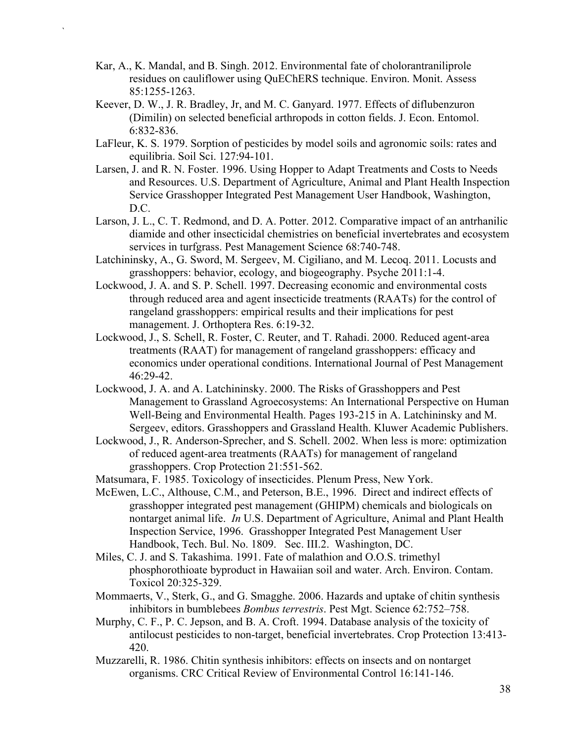Kar, A., K. Mandal, and B. Singh. 2012. Environmental fate of cholorantraniliprole residues on cauliflower using QuEChERS technique. Environ. Monit. Assess 85:1255-1263.

- Keever, D. W., J. R. Bradley, Jr, and M. C. Ganyard. 1977. Effects of diflubenzuron (Dimilin) on selected beneficial arthropods in cotton fields. J. Econ. Entomol. 6:832-836.
- LaFleur, K. S. 1979. Sorption of pesticides by model soils and agronomic soils: rates and equilibria. Soil Sci. 127:94-101.
- Larsen, J. and R. N. Foster. 1996. Using Hopper to Adapt Treatments and Costs to Needs and Resources. U.S. Department of Agriculture, Animal and Plant Health Inspection Service Grasshopper Integrated Pest Management User Handbook, Washington, D.C.
- Larson, J. L., C. T. Redmond, and D. A. Potter. 2012. Comparative impact of an antrhanilic diamide and other insecticidal chemistries on beneficial invertebrates and ecosystem services in turfgrass. Pest Management Science 68:740-748.
- Latchininsky, A., G. Sword, M. Sergeev, M. Cigiliano, and M. Lecoq. 2011. Locusts and grasshoppers: behavior, ecology, and biogeography. Psyche 2011:1-4.
- Lockwood, J. A. and S. P. Schell. 1997. Decreasing economic and environmental costs through reduced area and agent insecticide treatments (RAATs) for the control of rangeland grasshoppers: empirical results and their implications for pest management. J. Orthoptera Res. 6:19-32.
- Lockwood, J., S. Schell, R. Foster, C. Reuter, and T. Rahadi. 2000. Reduced agent-area treatments (RAAT) for management of rangeland grasshoppers: efficacy and economics under operational conditions. International Journal of Pest Management 46:29-42.
- Lockwood, J. A. and A. Latchininsky. 2000. The Risks of Grasshoppers and Pest Management to Grassland Agroecosystems: An International Perspective on Human Well-Being and Environmental Health. Pages 193-215 in A. Latchininsky and M. Sergeev, editors. Grasshoppers and Grassland Health. Kluwer Academic Publishers.
- Lockwood, J., R. Anderson-Sprecher, and S. Schell. 2002. When less is more: optimization of reduced agent-area treatments (RAATs) for management of rangeland grasshoppers. Crop Protection 21:551-562.
- Matsumara, F. 1985. Toxicology of insecticides. Plenum Press, New York.
- McEwen, L.C., Althouse, C.M., and Peterson, B.E., 1996. Direct and indirect effects of grasshopper integrated pest management (GHIPM) chemicals and biologicals on nontarget animal life. *In* U.S. Department of Agriculture, Animal and Plant Health Inspection Service, 1996. Grasshopper Integrated Pest Management User Handbook, Tech. Bul. No. 1809. Sec. III.2. Washington, DC.
- Miles, C. J. and S. Takashima. 1991. Fate of malathion and O.O.S. trimethyl phosphorothioate byproduct in Hawaiian soil and water. Arch. Environ. Contam. Toxicol 20:325-329.
- Mommaerts, V., Sterk, G., and G. Smagghe. 2006. Hazards and uptake of chitin synthesis inhibitors in bumblebees *Bombus terrestris*. Pest Mgt. Science 62:752–758.
- Murphy, C. F., P. C. Jepson, and B. A. Croft. 1994. Database analysis of the toxicity of antilocust pesticides to non-target, beneficial invertebrates. Crop Protection 13:413- 420.
- Muzzarelli, R. 1986. Chitin synthesis inhibitors: effects on insects and on nontarget organisms. CRC Critical Review of Environmental Control 16:141-146.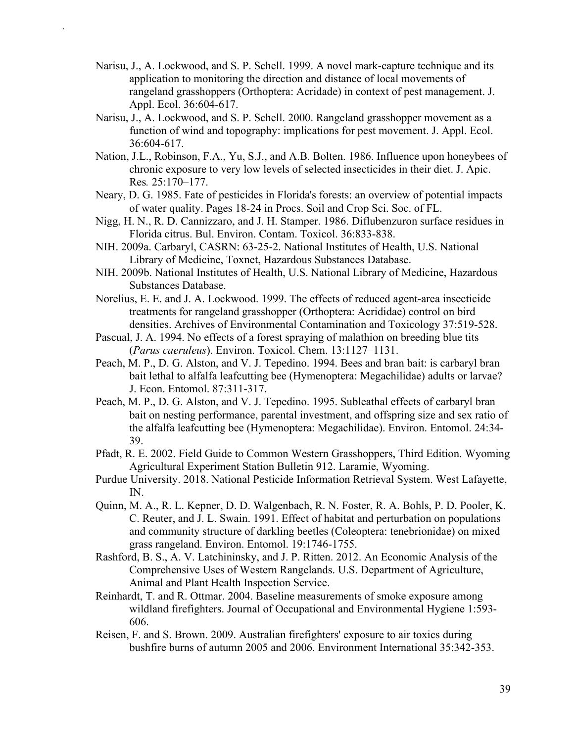Narisu, J., A. Lockwood, and S. P. Schell. 1999. A novel mark-capture technique and its application to monitoring the direction and distance of local movements of rangeland grasshoppers (Orthoptera: Acridade) in context of pest management. J. Appl. Ecol. 36:604-617.

- Narisu, J., A. Lockwood, and S. P. Schell. 2000. Rangeland grasshopper movement as a function of wind and topography: implications for pest movement. J. Appl. Ecol. 36:604-617.
- Nation, J.L., Robinson, F.A., Yu, S.J., and A.B. Bolten. 1986. Influence upon honeybees of chronic exposure to very low levels of selected insecticides in their diet. J. Apic. Res*.* 25:170–177.
- Neary, D. G. 1985. Fate of pesticides in Florida's forests: an overview of potential impacts of water quality. Pages 18-24 in Procs. Soil and Crop Sci. Soc. of FL.
- Nigg, H. N., R. D. Cannizzaro, and J. H. Stamper. 1986. Diflubenzuron surface residues in Florida citrus. Bul. Environ. Contam. Toxicol. 36:833-838.
- NIH. 2009a. Carbaryl, CASRN: 63-25-2. National Institutes of Health, U.S. National Library of Medicine, Toxnet, Hazardous Substances Database.
- NIH. 2009b. National Institutes of Health, U.S. National Library of Medicine, Hazardous Substances Database.
- Norelius, E. E. and J. A. Lockwood. 1999. The effects of reduced agent-area insecticide treatments for rangeland grasshopper (Orthoptera: Acrididae) control on bird densities. Archives of Environmental Contamination and Toxicology 37:519-528.
- Pascual, J. A. 1994. No effects of a forest spraying of malathion on breeding blue tits (*Parus caeruleus*). Environ. Toxicol. Chem. 13:1127–1131.
- Peach, M. P., D. G. Alston, and V. J. Tepedino. 1994. Bees and bran bait: is carbaryl bran bait lethal to alfalfa leafcutting bee (Hymenoptera: Megachilidae) adults or larvae? J. Econ. Entomol. 87:311-317.
- Peach, M. P., D. G. Alston, and V. J. Tepedino. 1995. Subleathal effects of carbaryl bran bait on nesting performance, parental investment, and offspring size and sex ratio of the alfalfa leafcutting bee (Hymenoptera: Megachilidae). Environ. Entomol. 24:34- 39.
- Pfadt, R. E. 2002. Field Guide to Common Western Grasshoppers, Third Edition. Wyoming Agricultural Experiment Station Bulletin 912. Laramie, Wyoming.
- Purdue University. 2018. National Pesticide Information Retrieval System. West Lafayette, IN.
- Quinn, M. A., R. L. Kepner, D. D. Walgenbach, R. N. Foster, R. A. Bohls, P. D. Pooler, K. C. Reuter, and J. L. Swain. 1991. Effect of habitat and perturbation on populations and community structure of darkling beetles (Coleoptera: tenebrionidae) on mixed grass rangeland. Environ. Entomol. 19:1746-1755.
- Rashford, B. S., A. V. Latchininsky, and J. P. Ritten. 2012. An Economic Analysis of the Comprehensive Uses of Western Rangelands. U.S. Department of Agriculture, Animal and Plant Health Inspection Service.
- Reinhardt, T. and R. Ottmar. 2004. Baseline measurements of smoke exposure among wildland firefighters. Journal of Occupational and Environmental Hygiene 1:593- 606.
- Reisen, F. and S. Brown. 2009. Australian firefighters' exposure to air toxics during bushfire burns of autumn 2005 and 2006. Environment International 35:342-353.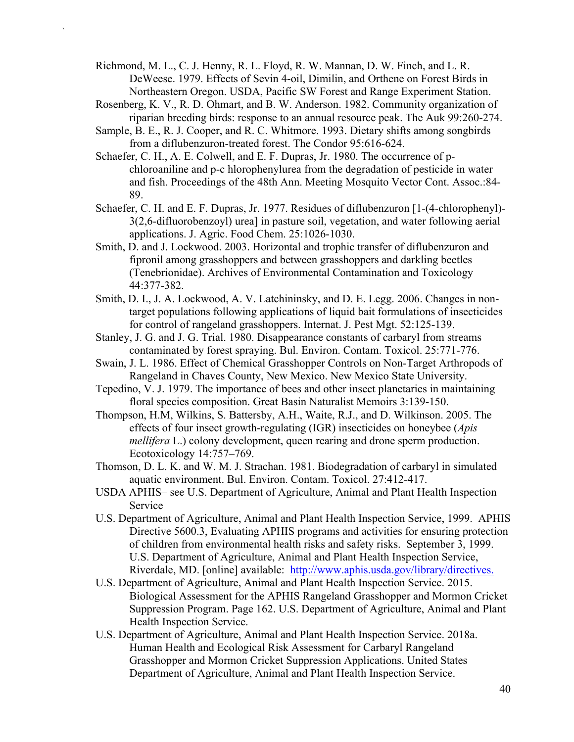Richmond, M. L., C. J. Henny, R. L. Floyd, R. W. Mannan, D. W. Finch, and L. R. DeWeese. 1979. Effects of Sevin 4-oil, Dimilin, and Orthene on Forest Birds in Northeastern Oregon. USDA, Pacific SW Forest and Range Experiment Station.

- Rosenberg, K. V., R. D. Ohmart, and B. W. Anderson. 1982. Community organization of riparian breeding birds: response to an annual resource peak. The Auk 99:260-274.
- Sample, B. E., R. J. Cooper, and R. C. Whitmore. 1993. Dietary shifts among songbirds from a diflubenzuron-treated forest. The Condor 95:616-624.
- Schaefer, C. H., A. E. Colwell, and E. F. Dupras, Jr. 1980. The occurrence of pchloroaniline and p-c hlorophenylurea from the degradation of pesticide in water and fish. Proceedings of the 48th Ann. Meeting Mosquito Vector Cont. Assoc.:84- 89.
- Schaefer, C. H. and E. F. Dupras, Jr. 1977. Residues of diflubenzuron [1-(4-chlorophenyl)- 3(2,6-difluorobenzoyl) urea] in pasture soil, vegetation, and water following aerial applications. J. Agric. Food Chem. 25:1026-1030.
- Smith, D. and J. Lockwood. 2003. Horizontal and trophic transfer of diflubenzuron and fipronil among grasshoppers and between grasshoppers and darkling beetles (Tenebrionidae). Archives of Environmental Contamination and Toxicology 44:377-382.
- Smith, D. I., J. A. Lockwood, A. V. Latchininsky, and D. E. Legg. 2006. Changes in nontarget populations following applications of liquid bait formulations of insecticides for control of rangeland grasshoppers. Internat. J. Pest Mgt. 52:125-139.
- Stanley, J. G. and J. G. Trial. 1980. Disappearance constants of carbaryl from streams contaminated by forest spraying. Bul. Environ. Contam. Toxicol. 25:771-776.
- Swain, J. L. 1986. Effect of Chemical Grasshopper Controls on Non-Target Arthropods of Rangeland in Chaves County, New Mexico. New Mexico State University.
- Tepedino, V. J. 1979. The importance of bees and other insect planetaries in maintaining floral species composition. Great Basin Naturalist Memoirs 3:139-150.
- Thompson, H.M, Wilkins, S. Battersby, A.H., Waite, R.J., and D. Wilkinson. 2005. The effects of four insect growth-regulating (IGR) insecticides on honeybee (*Apis mellifera* L.) colony development, queen rearing and drone sperm production. Ecotoxicology 14:757–769.
- Thomson, D. L. K. and W. M. J. Strachan. 1981. Biodegradation of carbaryl in simulated aquatic environment. Bul. Environ. Contam. Toxicol. 27:412-417.
- USDA APHIS– see U.S. Department of Agriculture, Animal and Plant Health Inspection Service
- U.S. Department of Agriculture, Animal and Plant Health Inspection Service, 1999. APHIS Directive 5600.3, Evaluating APHIS programs and activities for ensuring protection of children from environmental health risks and safety risks. September 3, 1999. U.S. Department of Agriculture, Animal and Plant Health Inspection Service, Riverdale, MD. [online] available: [http://www.aphis.usda.gov/library/directives.](http://www.aphis.usda.gov/library/directives)
- U.S. Department of Agriculture, Animal and Plant Health Inspection Service. 2015. Biological Assessment for the APHIS Rangeland Grasshopper and Mormon Cricket Suppression Program. Page 162. U.S. Department of Agriculture, Animal and Plant Health Inspection Service.
- U.S. Department of Agriculture, Animal and Plant Health Inspection Service. 2018a. Human Health and Ecological Risk Assessment for Carbaryl Rangeland Grasshopper and Mormon Cricket Suppression Applications. United States Department of Agriculture, Animal and Plant Health Inspection Service.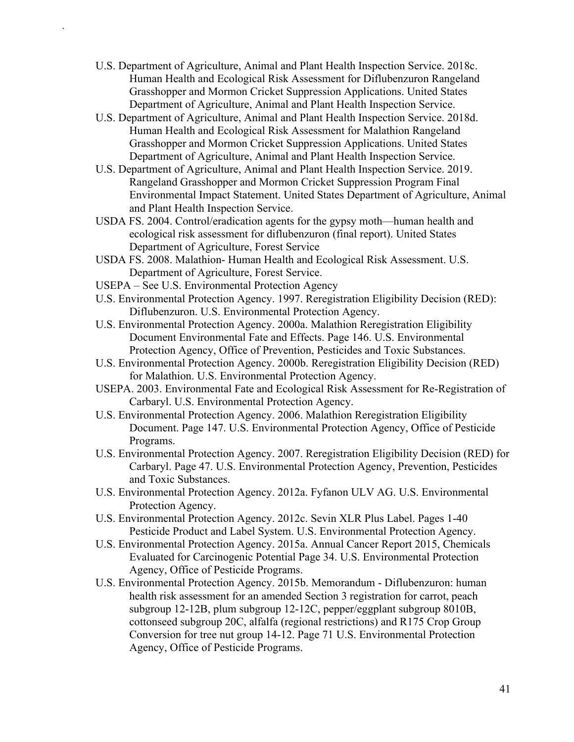- U.S. Department of Agriculture, Animal and Plant Health Inspection Service. 2018c. Human Health and Ecological Risk Assessment for Diflubenzuron Rangeland Grasshopper and Mormon Cricket Suppression Applications. United States Department of Agriculture, Animal and Plant Health Inspection Service.
- U.S. Department of Agriculture, Animal and Plant Health Inspection Service. 2018d. Human Health and Ecological Risk Assessment for Malathion Rangeland Grasshopper and Mormon Cricket Suppression Applications. United States Department of Agriculture, Animal and Plant Health Inspection Service.
- U.S. Department of Agriculture, Animal and Plant Health Inspection Service. 2019. Rangeland Grasshopper and Mormon Cricket Suppression Program Final Environmental Impact Statement. United States Department of Agriculture, Animal and Plant Health Inspection Service.
- USDA FS. 2004. Control/eradication agents for the gypsy moth—human health and ecological risk assessment for diflubenzuron (final report). United States Department of Agriculture, Forest Service
- USDA FS. 2008. Malathion- Human Health and Ecological Risk Assessment. U.S. Department of Agriculture, Forest Service.
- USEPA See U.S. Environmental Protection Agency

- U.S. Environmental Protection Agency. 1997. Reregistration Eligibility Decision (RED): Diflubenzuron. U.S. Environmental Protection Agency.
- U.S. Environmental Protection Agency. 2000a. Malathion Reregistration Eligibility Document Environmental Fate and Effects. Page 146. U.S. Environmental Protection Agency, Office of Prevention, Pesticides and Toxic Substances.
- U.S. Environmental Protection Agency. 2000b. Reregistration Eligibility Decision (RED) for Malathion. U.S. Environmental Protection Agency.
- USEPA. 2003. Environmental Fate and Ecological Risk Assessment for Re-Registration of Carbaryl. U.S. Environmental Protection Agency.
- U.S. Environmental Protection Agency. 2006. Malathion Reregistration Eligibility Document. Page 147. U.S. Environmental Protection Agency, Office of Pesticide Programs.
- U.S. Environmental Protection Agency. 2007. Reregistration Eligibility Decision (RED) for Carbaryl. Page 47. U.S. Environmental Protection Agency, Prevention, Pesticides and Toxic Substances.
- U.S. Environmental Protection Agency. 2012a. Fyfanon ULV AG. U.S. Environmental Protection Agency.
- U.S. Environmental Protection Agency. 2012c. Sevin XLR Plus Label. Pages 1-40 Pesticide Product and Label System. U.S. Environmental Protection Agency.
- U.S. Environmental Protection Agency. 2015a. Annual Cancer Report 2015, Chemicals Evaluated for Carcinogenic Potential Page 34. U.S. Environmental Protection Agency, Office of Pesticide Programs.
- U.S. Environmental Protection Agency. 2015b. Memorandum Diflubenzuron: human health risk assessment for an amended Section 3 registration for carrot, peach subgroup 12-12B, plum subgroup 12-12C, pepper/eggplant subgroup 8010B, cottonseed subgroup 20C, alfalfa (regional restrictions) and R175 Crop Group Conversion for tree nut group 14-12. Page 71 U.S. Environmental Protection Agency, Office of Pesticide Programs.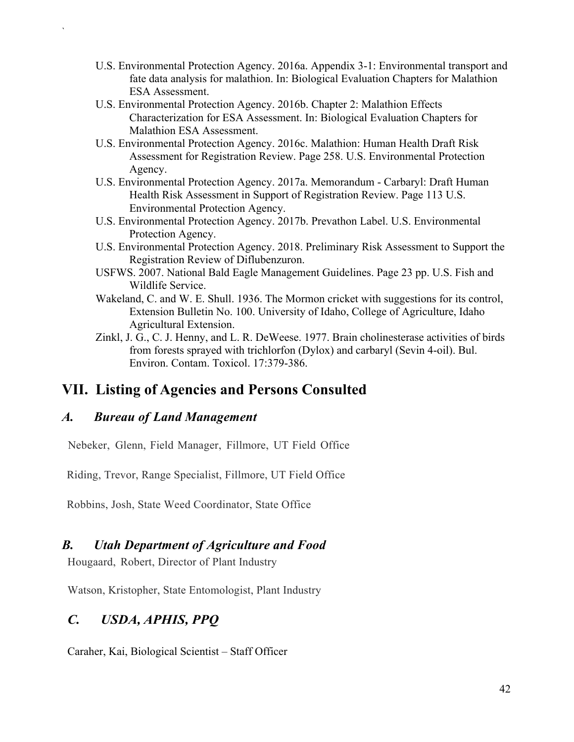- U.S. Environmental Protection Agency. 2016a. Appendix 3-1: Environmental transport and fate data analysis for malathion. In: Biological Evaluation Chapters for Malathion ESA Assessment.
- U.S. Environmental Protection Agency. 2016b. Chapter 2: Malathion Effects Characterization for ESA Assessment. In: Biological Evaluation Chapters for Malathion ESA Assessment.
- U.S. Environmental Protection Agency. 2016c. Malathion: Human Health Draft Risk Assessment for Registration Review. Page 258. U.S. Environmental Protection Agency.
- U.S. Environmental Protection Agency. 2017a. Memorandum Carbaryl: Draft Human Health Risk Assessment in Support of Registration Review. Page 113 U.S. Environmental Protection Agency.
- U.S. Environmental Protection Agency. 2017b. Prevathon Label. U.S. Environmental Protection Agency.
- U.S. Environmental Protection Agency. 2018. Preliminary Risk Assessment to Support the Registration Review of Diflubenzuron.
- USFWS. 2007. National Bald Eagle Management Guidelines. Page 23 pp. U.S. Fish and Wildlife Service.
- Wakeland, C. and W. E. Shull. 1936. The Mormon cricket with suggestions for its control, Extension Bulletin No. 100. University of Idaho, College of Agriculture, Idaho Agricultural Extension.
- Zinkl, J. G., C. J. Henny, and L. R. DeWeese. 1977. Brain cholinesterase activities of birds from forests sprayed with trichlorfon (Dylox) and carbaryl (Sevin 4-oil). Bul. Environ. Contam. Toxicol. 17:379-386.

## <span id="page-45-0"></span>**VII. Listing of Agencies and Persons Consulted**

### *A. Bureau of Land Management*

`

Nebeker, Glenn, Field Manager, Fillmore, UT Field Office

Riding, Trevor, Range Specialist, Fillmore, UT Field Office

Robbins, Josh, State Weed Coordinator, State Office

### *B. Utah Department of Agriculture and Food*

Hougaard, Robert, Director of Plant Industry

Watson, Kristopher, State Entomologist, Plant Industry

## *C. USDA, APHIS, PPQ*

Caraher, Kai, Biological Scientist – Staff Officer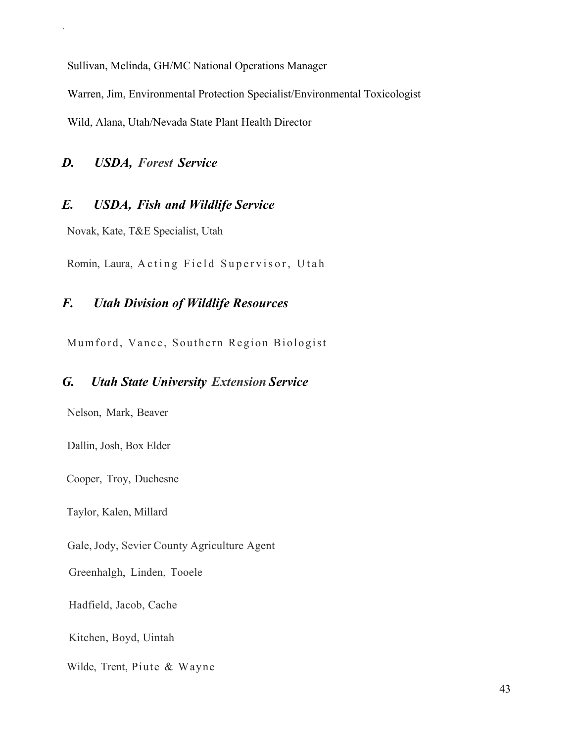Sullivan, Melinda, GH/MC National Operations Manager

Warren, Jim, Environmental Protection Specialist/Environmental Toxicologist

Wild, Alana, Utah/Nevada State Plant Health Director

#### *D. USDA, Forest Service*

`

#### *E. USDA, Fish and Wildlife Service*

Novak, Kate, T&E Specialist, Utah

Romin, Laura, Acting Field Supervisor, Utah

#### *F. Utah Division of Wildlife Resources*

Mumford, Vance, Southern Region Biologist

#### *G. Utah State University Extension Service*

Nelson, Mark, Beaver

Dallin, Josh, Box Elder

Cooper, Troy, Duchesne

Taylor, Kalen, Millard

Gale, Jody, Sevier County Agriculture Agent

Greenhalgh, Linden, Tooele

Hadfield, Jacob, Cache

Kitchen, Boyd, Uintah

Wilde, Trent, Piute & Wayne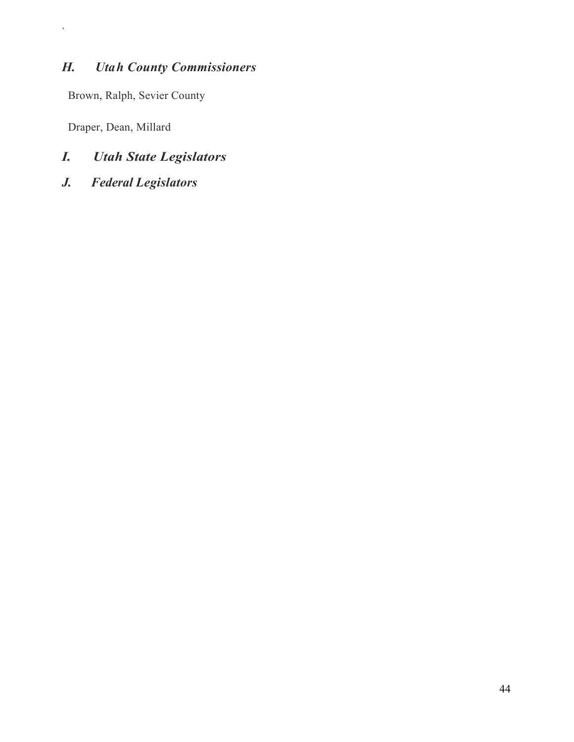## *H. Utah County Commissioners*

Brown, Ralph, Sevier County

Draper, Dean, Millard

 $\hat{\mathbf{v}}$ 

- *I. Utah State Legislators*
- *J. Federal Legislators*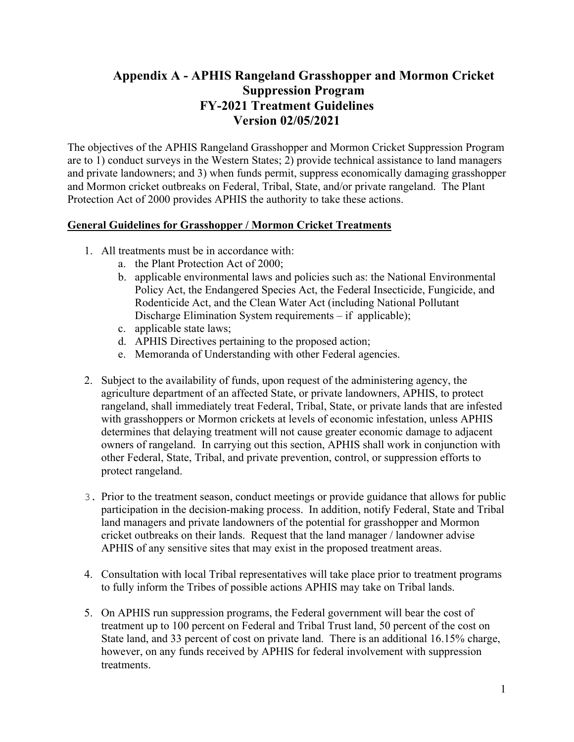### <span id="page-48-0"></span>**Appendix A - APHIS Rangeland Grasshopper and Mormon Cricket Suppression Program FY-2021 Treatment Guidelines Version 02/05/2021**

The objectives of the APHIS Rangeland Grasshopper and Mormon Cricket Suppression Program are to 1) conduct surveys in the Western States; 2) provide technical assistance to land managers and private landowners; and 3) when funds permit, suppress economically damaging grasshopper and Mormon cricket outbreaks on Federal, Tribal, State, and/or private rangeland. The Plant Protection Act of 2000 provides APHIS the authority to take these actions.

#### **General Guidelines for Grasshopper / Mormon Cricket Treatments**

- 1. All treatments must be in accordance with:
	- a. the Plant Protection Act of 2000;
	- b. applicable environmental laws and policies such as: the National Environmental Policy Act, the Endangered Species Act, the Federal Insecticide, Fungicide, and Rodenticide Act, and the Clean Water Act (including National Pollutant Discharge Elimination System requirements – if applicable);
	- c. applicable state laws;
	- d. APHIS Directives pertaining to the proposed action;
	- e. Memoranda of Understanding with other Federal agencies.
- 2. Subject to the availability of funds, upon request of the administering agency, the agriculture department of an affected State, or private landowners, APHIS, to protect rangeland, shall immediately treat Federal, Tribal, State, or private lands that are infested with grasshoppers or Mormon crickets at levels of economic infestation, unless APHIS determines that delaying treatment will not cause greater economic damage to adjacent owners of rangeland. In carrying out this section, APHIS shall work in conjunction with other Federal, State, Tribal, and private prevention, control, or suppression efforts to protect rangeland.
- 3. Prior to the treatment season, conduct meetings or provide guidance that allows for public participation in the decision-making process. In addition, notify Federal, State and Tribal land managers and private landowners of the potential for grasshopper and Mormon cricket outbreaks on their lands. Request that the land manager / landowner advise APHIS of any sensitive sites that may exist in the proposed treatment areas.
- 4. Consultation with local Tribal representatives will take place prior to treatment programs to fully inform the Tribes of possible actions APHIS may take on Tribal lands.
- 5. On APHIS run suppression programs, the Federal government will bear the cost of treatment up to 100 percent on Federal and Tribal Trust land, 50 percent of the cost on State land, and 33 percent of cost on private land. There is an additional 16.15% charge, however, on any funds received by APHIS for federal involvement with suppression treatments.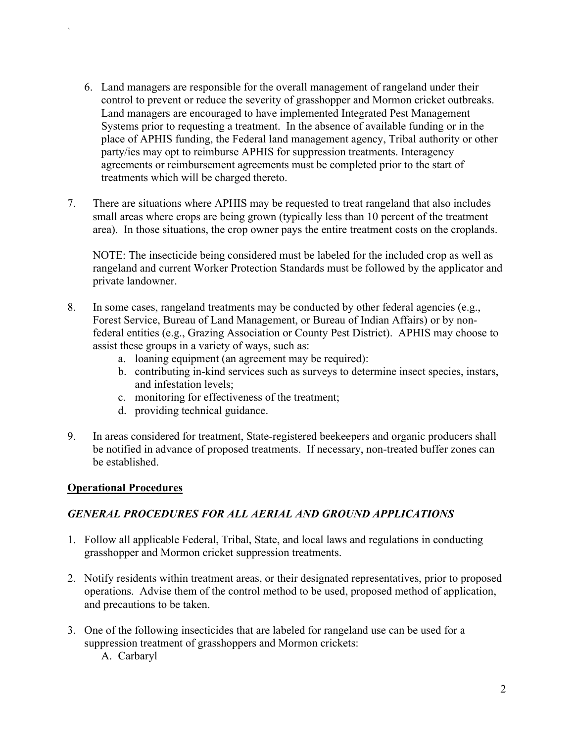- 6. Land managers are responsible for the overall management of rangeland under their control to prevent or reduce the severity of grasshopper and Mormon cricket outbreaks. Land managers are encouraged to have implemented Integrated Pest Management Systems prior to requesting a treatment. In the absence of available funding or in the place of APHIS funding, the Federal land management agency, Tribal authority or other party/ies may opt to reimburse APHIS for suppression treatments. Interagency agreements or reimbursement agreements must be completed prior to the start of treatments which will be charged thereto.
- 7. There are situations where APHIS may be requested to treat rangeland that also includes small areas where crops are being grown (typically less than 10 percent of the treatment area). In those situations, the crop owner pays the entire treatment costs on the croplands.

NOTE: The insecticide being considered must be labeled for the included crop as well as rangeland and current Worker Protection Standards must be followed by the applicator and private landowner.

- 8. In some cases, rangeland treatments may be conducted by other federal agencies (e.g., Forest Service, Bureau of Land Management, or Bureau of Indian Affairs) or by nonfederal entities (e.g., Grazing Association or County Pest District). APHIS may choose to assist these groups in a variety of ways, such as:
	- a. loaning equipment (an agreement may be required):
	- b. contributing in-kind services such as surveys to determine insect species, instars, and infestation levels;
	- c. monitoring for effectiveness of the treatment;
	- d. providing technical guidance.
- 9. In areas considered for treatment, State-registered beekeepers and organic producers shall be notified in advance of proposed treatments. If necessary, non-treated buffer zones can be established.

#### **Operational Procedures**

`

#### *GENERAL PROCEDURES FOR ALL AERIAL AND GROUND APPLICATIONS*

- 1. Follow all applicable Federal, Tribal, State, and local laws and regulations in conducting grasshopper and Mormon cricket suppression treatments.
- 2. Notify residents within treatment areas, or their designated representatives, prior to proposed operations. Advise them of the control method to be used, proposed method of application, and precautions to be taken.
- 3. One of the following insecticides that are labeled for rangeland use can be used for a suppression treatment of grasshoppers and Mormon crickets:
	- A. Carbaryl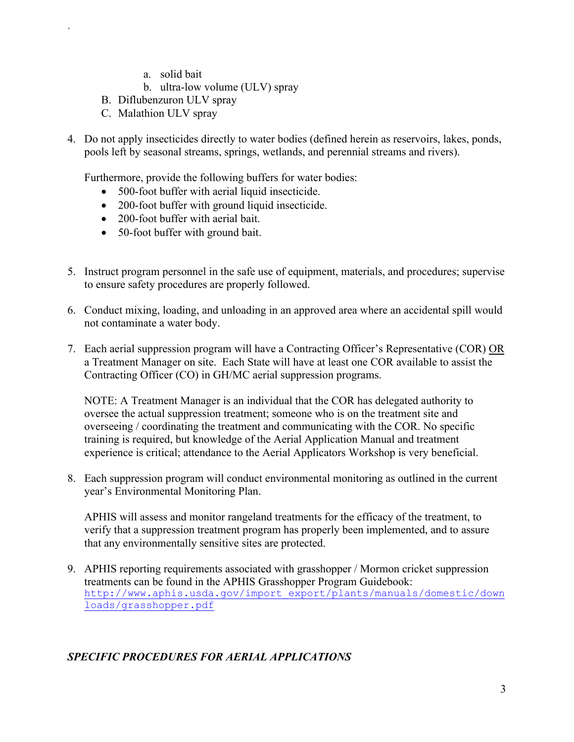- a. solid bait
- b. ultra-low volume (ULV) spray
- B. Diflubenzuron ULV spray
- C. Malathion ULV spray

`

4. Do not apply insecticides directly to water bodies (defined herein as reservoirs, lakes, ponds, pools left by seasonal streams, springs, wetlands, and perennial streams and rivers).

Furthermore, provide the following buffers for water bodies:

- 500-foot buffer with aerial liquid insecticide.
- 200-foot buffer with ground liquid insecticide.
- 200-foot buffer with aerial bait.
- 50-foot buffer with ground bait.
- 5. Instruct program personnel in the safe use of equipment, materials, and procedures; supervise to ensure safety procedures are properly followed.
- 6. Conduct mixing, loading, and unloading in an approved area where an accidental spill would not contaminate a water body.
- 7. Each aerial suppression program will have a Contracting Officer's Representative (COR) OR a Treatment Manager on site. Each State will have at least one COR available to assist the Contracting Officer (CO) in GH/MC aerial suppression programs.

NOTE: A Treatment Manager is an individual that the COR has delegated authority to oversee the actual suppression treatment; someone who is on the treatment site and overseeing / coordinating the treatment and communicating with the COR. No specific training is required, but knowledge of the Aerial Application Manual and treatment experience is critical; attendance to the Aerial Applicators Workshop is very beneficial.

8. Each suppression program will conduct environmental monitoring as outlined in the current year's Environmental Monitoring Plan.

APHIS will assess and monitor rangeland treatments for the efficacy of the treatment, to verify that a suppression treatment program has properly been implemented, and to assure that any environmentally sensitive sites are protected.

9. APHIS reporting requirements associated with grasshopper / Mormon cricket suppression treatments can be found in the APHIS Grasshopper Program Guidebook: [http://www.aphis.usda.gov/import\\_export/plants/manuals/domestic/down](http://www.aphis.usda.gov/import_export/plants/manuals/domestic/downloads/grasshopper.pdf) [loads/grasshopper.pdf](http://www.aphis.usda.gov/import_export/plants/manuals/domestic/downloads/grasshopper.pdf)

#### *SPECIFIC PROCEDURES FOR AERIAL APPLICATIONS*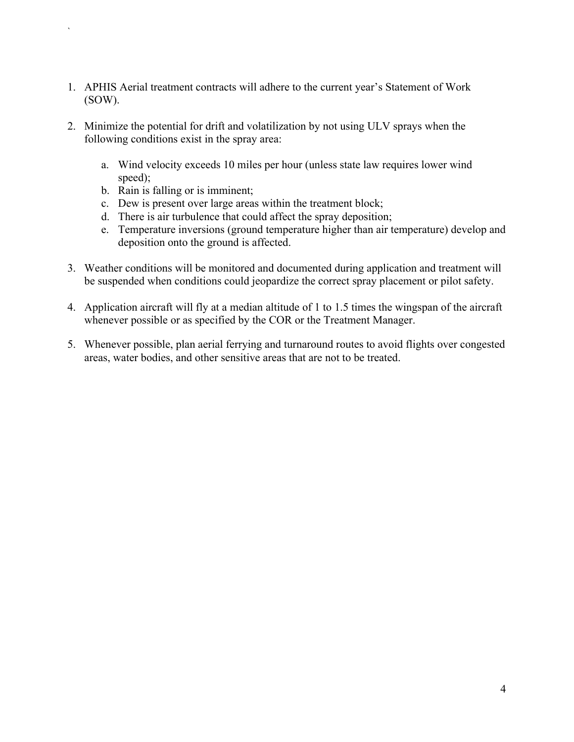- 1. APHIS Aerial treatment contracts will adhere to the current year's Statement of Work (SOW).
- 2. Minimize the potential for drift and volatilization by not using ULV sprays when the following conditions exist in the spray area:
	- a. Wind velocity exceeds 10 miles per hour (unless state law requires lower wind speed);
	- b. Rain is falling or is imminent;

- c. Dew is present over large areas within the treatment block;
- d. There is air turbulence that could affect the spray deposition;
- e. Temperature inversions (ground temperature higher than air temperature) develop and deposition onto the ground is affected.
- 3. Weather conditions will be monitored and documented during application and treatment will be suspended when conditions could jeopardize the correct spray placement or pilot safety.
- 4. Application aircraft will fly at a median altitude of 1 to 1.5 times the wingspan of the aircraft whenever possible or as specified by the COR or the Treatment Manager.
- 5. Whenever possible, plan aerial ferrying and turnaround routes to avoid flights over congested areas, water bodies, and other sensitive areas that are not to be treated.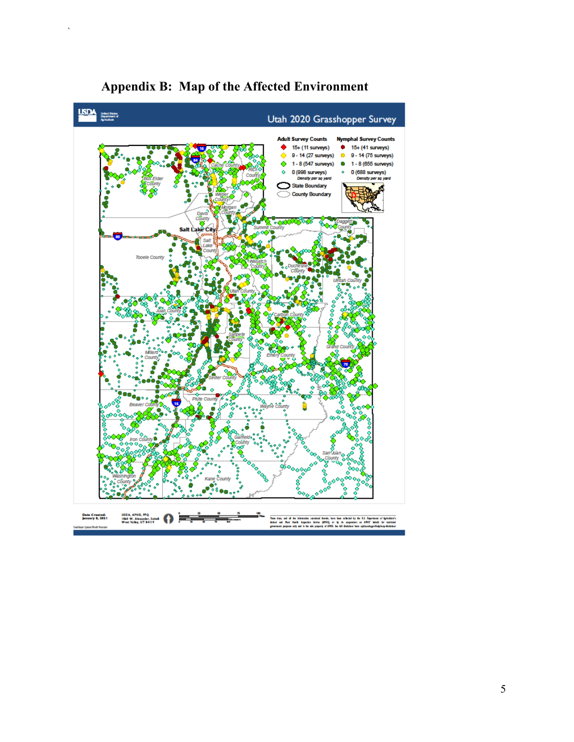<span id="page-52-0"></span>

## **Appendix B: Map of the Affected Environment**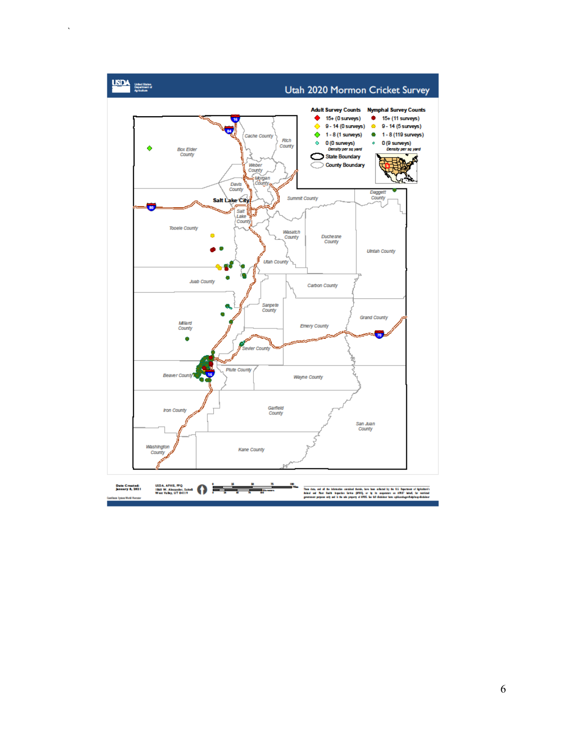

 $\bar{\mathbf{v}}$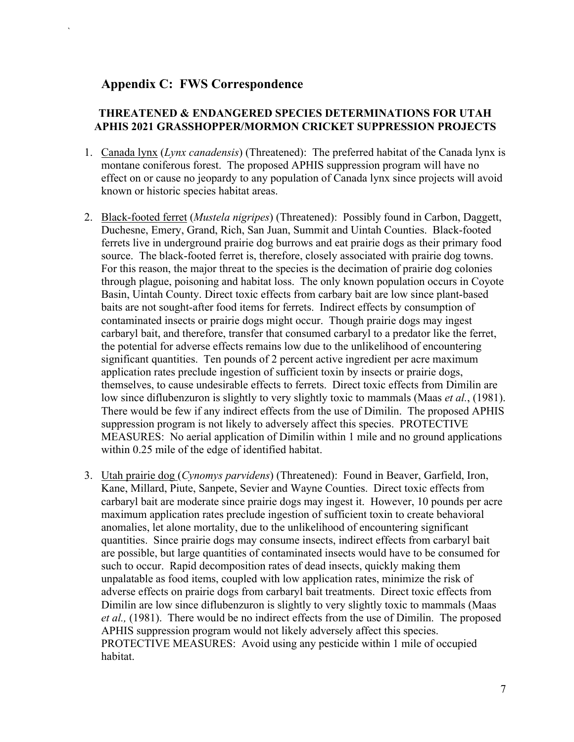#### <span id="page-54-0"></span>**Appendix C: FWS Correspondence**

`

#### **THREATENED & ENDANGERED SPECIES DETERMINATIONS FOR UTAH APHIS 2021 GRASSHOPPER/MORMON CRICKET SUPPRESSION PROJECTS**

- 1. Canada lynx (*Lynx canadensis*) (Threatened): The preferred habitat of the Canada lynx is montane coniferous forest. The proposed APHIS suppression program will have no effect on or cause no jeopardy to any population of Canada lynx since projects will avoid known or historic species habitat areas.
- 2. Black-footed ferret (*Mustela nigripes*) (Threatened): Possibly found in Carbon, Daggett, Duchesne, Emery, Grand, Rich, San Juan, Summit and Uintah Counties. Black-footed ferrets live in underground prairie dog burrows and eat prairie dogs as their primary food source. The black-footed ferret is, therefore, closely associated with prairie dog towns. For this reason, the major threat to the species is the decimation of prairie dog colonies through plague, poisoning and habitat loss. The only known population occurs in Coyote Basin, Uintah County. Direct toxic effects from carbary bait are low since plant-based baits are not sought-after food items for ferrets. Indirect effects by consumption of contaminated insects or prairie dogs might occur. Though prairie dogs may ingest carbaryl bait, and therefore, transfer that consumed carbaryl to a predator like the ferret, the potential for adverse effects remains low due to the unlikelihood of encountering significant quantities. Ten pounds of 2 percent active ingredient per acre maximum application rates preclude ingestion of sufficient toxin by insects or prairie dogs, themselves, to cause undesirable effects to ferrets. Direct toxic effects from Dimilin are low since diflubenzuron is slightly to very slightly toxic to mammals (Maas *et al.*, (1981). There would be few if any indirect effects from the use of Dimilin. The proposed APHIS suppression program is not likely to adversely affect this species. PROTECTIVE MEASURES: No aerial application of Dimilin within 1 mile and no ground applications within 0.25 mile of the edge of identified habitat.
- 3. Utah prairie dog (*Cynomys parvidens*) (Threatened): Found in Beaver, Garfield, Iron, Kane, Millard, Piute, Sanpete, Sevier and Wayne Counties. Direct toxic effects from carbaryl bait are moderate since prairie dogs may ingest it. However, 10 pounds per acre maximum application rates preclude ingestion of sufficient toxin to create behavioral anomalies, let alone mortality, due to the unlikelihood of encountering significant quantities. Since prairie dogs may consume insects, indirect effects from carbaryl bait are possible, but large quantities of contaminated insects would have to be consumed for such to occur. Rapid decomposition rates of dead insects, quickly making them unpalatable as food items, coupled with low application rates, minimize the risk of adverse effects on prairie dogs from carbaryl bait treatments. Direct toxic effects from Dimilin are low since diflubenzuron is slightly to very slightly toxic to mammals (Maas *et al.,* (1981). There would be no indirect effects from the use of Dimilin. The proposed APHIS suppression program would not likely adversely affect this species. PROTECTIVE MEASURES: Avoid using any pesticide within 1 mile of occupied habitat.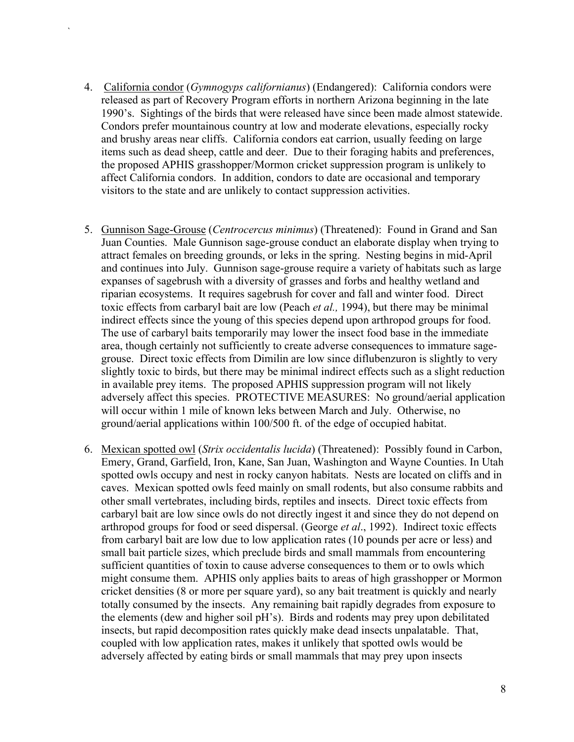4. California condor (*Gymnogyps californianus*) (Endangered): California condors were released as part of Recovery Program efforts in northern Arizona beginning in the late 1990's. Sightings of the birds that were released have since been made almost statewide. Condors prefer mountainous country at low and moderate elevations, especially rocky and brushy areas near cliffs. California condors eat carrion, usually feeding on large items such as dead sheep, cattle and deer. Due to their foraging habits and preferences, the proposed APHIS grasshopper/Mormon cricket suppression program is unlikely to affect California condors. In addition, condors to date are occasional and temporary visitors to the state and are unlikely to contact suppression activities.

- 5. Gunnison Sage-Grouse (*Centrocercus minimus*) (Threatened): Found in Grand and San Juan Counties. Male Gunnison sage-grouse conduct an elaborate display when trying to attract females on breeding grounds, or leks in the spring. Nesting begins in mid-April and continues into July. Gunnison sage-grouse require a variety of habitats such as large expanses of sagebrush with a diversity of grasses and forbs and healthy wetland and riparian ecosystems. It requires sagebrush for cover and fall and winter food. Direct toxic effects from carbaryl bait are low (Peach *et al.,* 1994), but there may be minimal indirect effects since the young of this species depend upon arthropod groups for food. The use of carbaryl baits temporarily may lower the insect food base in the immediate area, though certainly not sufficiently to create adverse consequences to immature sagegrouse. Direct toxic effects from Dimilin are low since diflubenzuron is slightly to very slightly toxic to birds, but there may be minimal indirect effects such as a slight reduction in available prey items. The proposed APHIS suppression program will not likely adversely affect this species. PROTECTIVE MEASURES: No ground/aerial application will occur within 1 mile of known leks between March and July. Otherwise, no ground/aerial applications within 100/500 ft. of the edge of occupied habitat.
- 6. Mexican spotted owl (*Strix occidentalis lucida*) (Threatened): Possibly found in Carbon, Emery, Grand, Garfield, Iron, Kane, San Juan, Washington and Wayne Counties. In Utah spotted owls occupy and nest in rocky canyon habitats. Nests are located on cliffs and in caves. Mexican spotted owls feed mainly on small rodents, but also consume rabbits and other small vertebrates, including birds, reptiles and insects. Direct toxic effects from carbaryl bait are low since owls do not directly ingest it and since they do not depend on arthropod groups for food or seed dispersal. (George *et al*., 1992). Indirect toxic effects from carbaryl bait are low due to low application rates (10 pounds per acre or less) and small bait particle sizes, which preclude birds and small mammals from encountering sufficient quantities of toxin to cause adverse consequences to them or to owls which might consume them. APHIS only applies baits to areas of high grasshopper or Mormon cricket densities (8 or more per square yard), so any bait treatment is quickly and nearly totally consumed by the insects. Any remaining bait rapidly degrades from exposure to the elements (dew and higher soil pH's). Birds and rodents may prey upon debilitated insects, but rapid decomposition rates quickly make dead insects unpalatable. That, coupled with low application rates, makes it unlikely that spotted owls would be adversely affected by eating birds or small mammals that may prey upon insects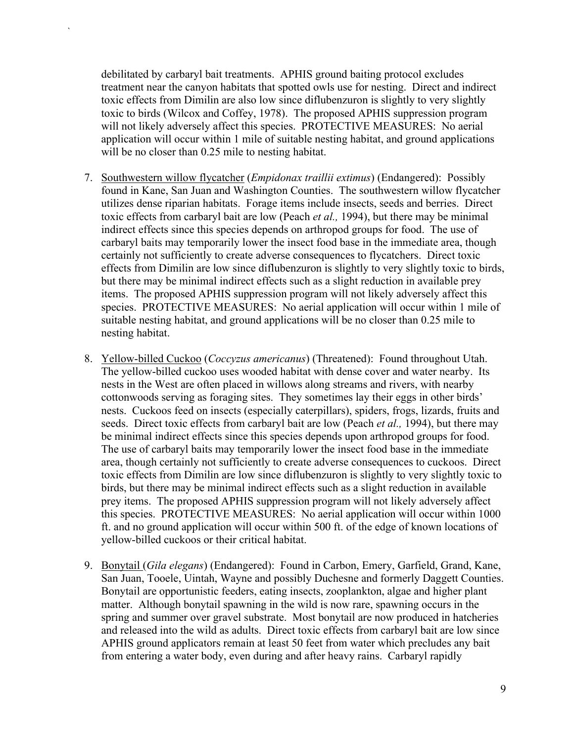debilitated by carbaryl bait treatments. APHIS ground baiting protocol excludes treatment near the canyon habitats that spotted owls use for nesting. Direct and indirect toxic effects from Dimilin are also low since diflubenzuron is slightly to very slightly toxic to birds (Wilcox and Coffey, 1978). The proposed APHIS suppression program will not likely adversely affect this species. PROTECTIVE MEASURES: No aerial application will occur within 1 mile of suitable nesting habitat, and ground applications will be no closer than 0.25 mile to nesting habitat.

- 7. Southwestern willow flycatcher (*Empidonax traillii extimus*) (Endangered): Possibly found in Kane, San Juan and Washington Counties. The southwestern willow flycatcher utilizes dense riparian habitats. Forage items include insects, seeds and berries. Direct toxic effects from carbaryl bait are low (Peach *et al.,* 1994), but there may be minimal indirect effects since this species depends on arthropod groups for food. The use of carbaryl baits may temporarily lower the insect food base in the immediate area, though certainly not sufficiently to create adverse consequences to flycatchers. Direct toxic effects from Dimilin are low since diflubenzuron is slightly to very slightly toxic to birds, but there may be minimal indirect effects such as a slight reduction in available prey items. The proposed APHIS suppression program will not likely adversely affect this species. PROTECTIVE MEASURES: No aerial application will occur within 1 mile of suitable nesting habitat, and ground applications will be no closer than 0.25 mile to nesting habitat.
- 8. Yellow-billed Cuckoo (*Coccyzus americanus*) (Threatened): Found throughout Utah. The yellow-billed cuckoo uses wooded habitat with dense cover and water nearby. Its nests in the West are often placed in willows along streams and rivers, with nearby cottonwoods serving as foraging sites. They sometimes lay their eggs in other birds' nests. Cuckoos feed on insects (especially caterpillars), spiders, frogs, lizards, fruits and seeds. Direct toxic effects from carbaryl bait are low (Peach *et al.,* 1994), but there may be minimal indirect effects since this species depends upon arthropod groups for food. The use of carbaryl baits may temporarily lower the insect food base in the immediate area, though certainly not sufficiently to create adverse consequences to cuckoos. Direct toxic effects from Dimilin are low since diflubenzuron is slightly to very slightly toxic to birds, but there may be minimal indirect effects such as a slight reduction in available prey items. The proposed APHIS suppression program will not likely adversely affect this species. PROTECTIVE MEASURES: No aerial application will occur within 1000 ft. and no ground application will occur within 500 ft. of the edge of known locations of yellow-billed cuckoos or their critical habitat.
- 9. Bonytail (*Gila elegans*) (Endangered): Found in Carbon, Emery, Garfield, Grand, Kane, San Juan, Tooele, Uintah, Wayne and possibly Duchesne and formerly Daggett Counties. Bonytail are opportunistic feeders, eating insects, zooplankton, algae and higher plant matter. Although bonytail spawning in the wild is now rare, spawning occurs in the spring and summer over gravel substrate. Most bonytail are now produced in hatcheries and released into the wild as adults. Direct toxic effects from carbaryl bait are low since APHIS ground applicators remain at least 50 feet from water which precludes any bait from entering a water body, even during and after heavy rains. Carbaryl rapidly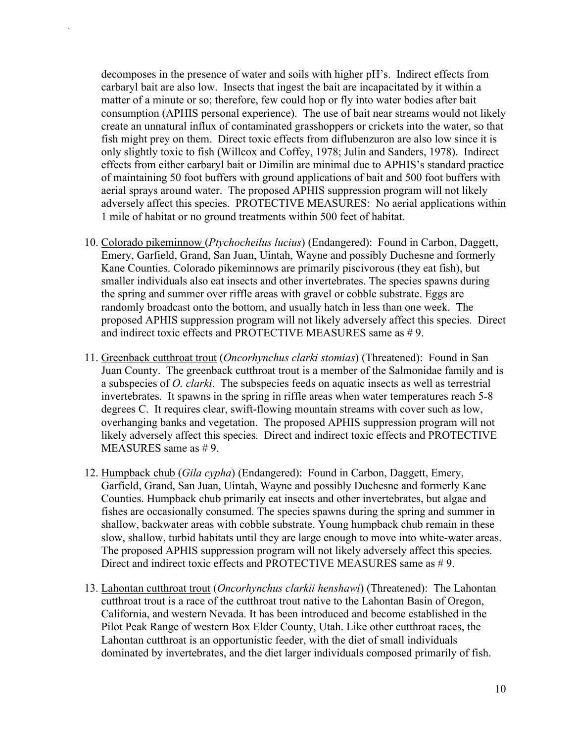decomposes in the presence of water and soils with higher pH's. Indirect effects from carbaryl bait are also low. Insects that ingest the bait are incapacitated by it within a matter of a minute or so; therefore, few could hop or fly into water bodies after bait consumption (APHIS personal experience). The use of bait near streams would not likely create an unnatural influx of contaminated grasshoppers or crickets into the water, so that fish might prey on them. Direct toxic effects from diflubenzuron are also low since it is only slightly toxic to fish (Willcox and Coffey, 1978; Julin and Sanders, 1978). Indirect effects from either carbaryl bait or Dimilin are minimal due to APHIS's standard practice of maintaining 50 foot buffers with ground applications of bait and 500 foot buffers with aerial sprays around water. The proposed APHIS suppression program will not likely adversely affect this species. PROTECTIVE MEASURES: No aerial applications within 1 mile of habitat or no ground treatments within 500 feet of habitat.

- 10. Colorado pikeminnow (*Ptychocheilus lucius*) (Endangered): Found in Carbon, Daggett, Emery, Garfield, Grand, San Juan, Uintah, Wayne and possibly Duchesne and formerly Kane Counties. Colorado pikeminnows are primarily piscivorous (they eat fish), but smaller individuals also eat insects and other invertebrates. The species spawns during the spring and summer over riffle areas with gravel or cobble substrate. Eggs are randomly broadcast onto the bottom, and usually hatch in less than one week. The proposed APHIS suppression program will not likely adversely affect this species. Direct and indirect toxic effects and PROTECTIVE MEASURES same as #9.
- 11. Greenback cutthroat trout (*Oncorhynchus clarki stomias*) (Threatened): Found in San Juan County. The greenback cutthroat trout is a member of the Salmonidae family and is a subspecies of *O. clarki*. The subspecies feeds on aquatic insects as well as terrestrial invertebrates. It spawns in the spring in riffle areas when water temperatures reach 5-8 degrees C. It requires clear, swift-flowing mountain streams with cover such as low, overhanging banks and vegetation. The proposed APHIS suppression program will not likely adversely affect this species. Direct and indirect toxic effects and PROTECTIVE MEASURES same as # 9.
- 12. Humpback chub (*Gila cypha*) (Endangered): Found in Carbon, Daggett, Emery, Garfield, Grand, San Juan, Uintah, Wayne and possibly Duchesne and formerly Kane Counties. Humpback chub primarily eat insects and other invertebrates, but algae and fishes are occasionally consumed. The species spawns during the spring and summer in shallow, backwater areas with cobble substrate. Young humpback chub remain in these slow, shallow, turbid habitats until they are large enough to move into white-water areas. The proposed APHIS suppression program will not likely adversely affect this species. Direct and indirect toxic effects and PROTECTIVE MEASURES same as # 9.
- 13. Lahontan cutthroat trout (*Oncorhynchus clarkii henshawi*) (Threatened): The Lahontan cutthroat trout is a race of the cutthroat trout native to the Lahontan Basin of Oregon, California, and western Nevada. It has been introduced and become established in the Pilot Peak Range of western Box Elder County, Utah. Like other cutthroat races, the Lahontan cutthroat is an opportunistic feeder, with the diet of small individuals dominated by invertebrates, and the diet larger individuals composed primarily of fish.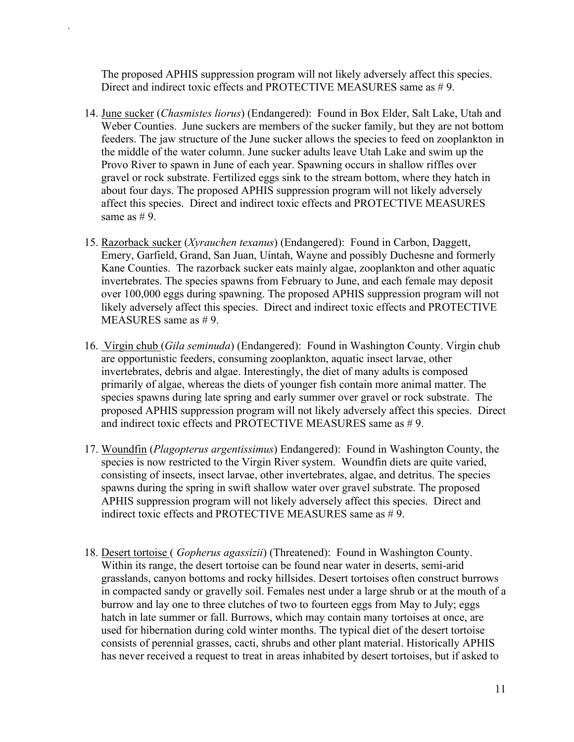The proposed APHIS suppression program will not likely adversely affect this species. Direct and indirect toxic effects and PROTECTIVE MEASURES same as #9.

- 14. June sucker (*Chasmistes liorus*) (Endangered): Found in Box Elder, Salt Lake, Utah and Weber Counties. June suckers are members of the sucker family, but they are not bottom feeders. The jaw structure of the June sucker allows the species to feed on zooplankton in the middle of the water column. June sucker adults leave Utah Lake and swim up the Provo River to spawn in June of each year. Spawning occurs in shallow riffles over gravel or rock substrate. Fertilized eggs sink to the stream bottom, where they hatch in about four days. The proposed APHIS suppression program will not likely adversely affect this species. Direct and indirect toxic effects and PROTECTIVE MEASURES same as  $# 9$ .
- 15. Razorback sucker (*Xyrauchen texanus*) (Endangered): Found in Carbon, Daggett, Emery, Garfield, Grand, San Juan, Uintah, Wayne and possibly Duchesne and formerly Kane Counties. The razorback sucker eats mainly algae, zooplankton and other aquatic invertebrates. The species spawns from February to June, and each female may deposit over 100,000 eggs during spawning. The proposed APHIS suppression program will not likely adversely affect this species. Direct and indirect toxic effects and PROTECTIVE MEASURES same as # 9.
- 16. Virgin chub (*Gila seminuda*) (Endangered): Found in Washington County. Virgin chub are opportunistic feeders, consuming zooplankton, aquatic insect larvae, other invertebrates, debris and algae. Interestingly, the diet of many adults is composed primarily of algae, whereas the diets of younger fish contain more animal matter. The species spawns during late spring and early summer over gravel or rock substrate. The proposed APHIS suppression program will not likely adversely affect this species. Direct and indirect toxic effects and PROTECTIVE MEASURES same as #9.
- 17. Woundfin (*Plagopterus argentissimus*) Endangered): Found in Washington County, the species is now restricted to the Virgin River system. Woundfin diets are quite varied, consisting of insects, insect larvae, other invertebrates, algae, and detritus. The species spawns during the spring in swift shallow water over gravel substrate. The proposed APHIS suppression program will not likely adversely affect this species. Direct and indirect toxic effects and PROTECTIVE MEASURES same as #9.
- 18. Desert tortoise ( *Gopherus agassizii*) (Threatened): Found in Washington County. Within its range, the desert tortoise can be found near water in deserts, semi-arid grasslands, canyon bottoms and rocky hillsides. Desert tortoises often construct burrows in compacted sandy or gravelly soil. Females nest under a large shrub or at the mouth of a burrow and lay one to three clutches of two to fourteen eggs from May to July; eggs hatch in late summer or fall. Burrows, which may contain many tortoises at once, are used for hibernation during cold winter months. The typical diet of the desert tortoise consists of perennial grasses, cacti, shrubs and other plant material. Historically APHIS has never received a request to treat in areas inhabited by desert tortoises, but if asked to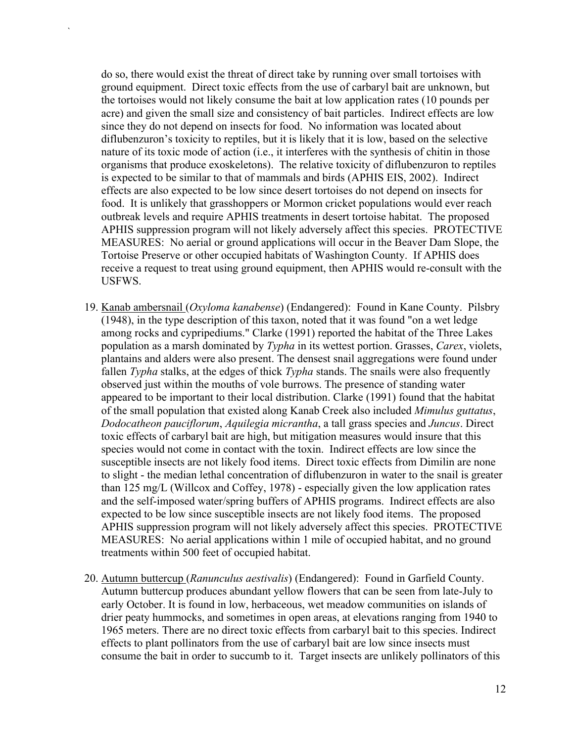do so, there would exist the threat of direct take by running over small tortoises with ground equipment. Direct toxic effects from the use of carbaryl bait are unknown, but the tortoises would not likely consume the bait at low application rates (10 pounds per acre) and given the small size and consistency of bait particles. Indirect effects are low since they do not depend on insects for food. No information was located about diflubenzuron's toxicity to reptiles, but it is likely that it is low, based on the selective nature of its toxic mode of action (i.e., it interferes with the synthesis of chitin in those organisms that produce exoskeletons). The relative toxicity of diflubenzuron to reptiles is expected to be similar to that of mammals and birds (APHIS EIS, 2002). Indirect effects are also expected to be low since desert tortoises do not depend on insects for food. It is unlikely that grasshoppers or Mormon cricket populations would ever reach outbreak levels and require APHIS treatments in desert tortoise habitat. The proposed APHIS suppression program will not likely adversely affect this species. PROTECTIVE MEASURES: No aerial or ground applications will occur in the Beaver Dam Slope, the Tortoise Preserve or other occupied habitats of Washington County. If APHIS does receive a request to treat using ground equipment, then APHIS would re-consult with the USFWS.

- 19. Kanab ambersnail (*Oxyloma kanabense*) (Endangered): Found in Kane County. Pilsbry (1948), in the type description of this taxon, noted that it was found "on a wet ledge among rocks and cypripediums." Clarke (1991) reported the habitat of the Three Lakes population as a marsh dominated by *Typha* in its wettest portion. Grasses, *Carex*, violets, plantains and alders were also present. The densest snail aggregations were found under fallen *Typha* stalks, at the edges of thick *Typha* stands. The snails were also frequently observed just within the mouths of vole burrows. The presence of standing water appeared to be important to their local distribution. Clarke (1991) found that the habitat of the small population that existed along Kanab Creek also included *Mimulus guttatus*, *Dodocatheon pauciflorum*, *Aquilegia micrantha*, a tall grass species and *Juncus*. Direct toxic effects of carbaryl bait are high, but mitigation measures would insure that this species would not come in contact with the toxin. Indirect effects are low since the susceptible insects are not likely food items. Direct toxic effects from Dimilin are none to slight - the median lethal concentration of diflubenzuron in water to the snail is greater than 125 mg/L (Willcox and Coffey, 1978) - especially given the low application rates and the self-imposed water/spring buffers of APHIS programs. Indirect effects are also expected to be low since susceptible insects are not likely food items. The proposed APHIS suppression program will not likely adversely affect this species. PROTECTIVE MEASURES: No aerial applications within 1 mile of occupied habitat, and no ground treatments within 500 feet of occupied habitat.
- 20. Autumn buttercup (*Ranunculus aestivalis*) (Endangered): Found in Garfield County. Autumn buttercup produces abundant yellow flowers that can be seen from late-July to early October. It is found in low, herbaceous, wet meadow communities on islands of drier peaty hummocks, and sometimes in open areas, at elevations ranging from 1940 to 1965 meters. There are no direct toxic effects from carbaryl bait to this species. Indirect effects to plant pollinators from the use of carbaryl bait are low since insects must consume the bait in order to succumb to it. Target insects are unlikely pollinators of this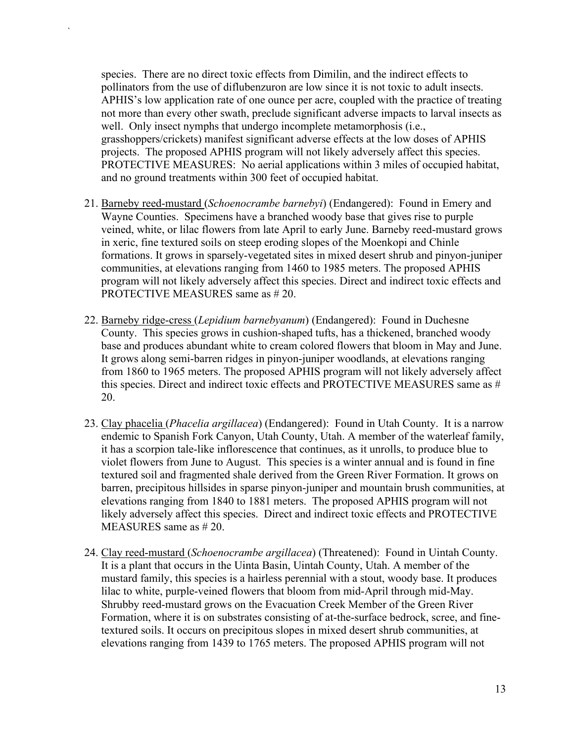species. There are no direct toxic effects from Dimilin, and the indirect effects to pollinators from the use of diflubenzuron are low since it is not toxic to adult insects. APHIS's low application rate of one ounce per acre, coupled with the practice of treating not more than every other swath, preclude significant adverse impacts to larval insects as well. Only insect nymphs that undergo incomplete metamorphosis (i.e., grasshoppers/crickets) manifest significant adverse effects at the low doses of APHIS projects. The proposed APHIS program will not likely adversely affect this species. PROTECTIVE MEASURES: No aerial applications within 3 miles of occupied habitat, and no ground treatments within 300 feet of occupied habitat.

- 21. Barneby reed-mustard (*Schoenocrambe barnebyi*) (Endangered): Found in Emery and Wayne Counties. Specimens have a branched woody base that gives rise to purple veined, white, or lilac flowers from late April to early June. Barneby reed-mustard grows in xeric, fine textured soils on steep eroding slopes of the Moenkopi and Chinle formations. It grows in sparsely-vegetated sites in mixed desert shrub and pinyon-juniper communities, at elevations ranging from 1460 to 1985 meters. The proposed APHIS program will not likely adversely affect this species. Direct and indirect toxic effects and PROTECTIVE MEASURES same as # 20.
- 22. Barneby ridge-cress (*Lepidium barnebyanum*) (Endangered): Found in Duchesne County. This species grows in cushion-shaped tufts, has a thickened, branched woody base and produces abundant white to cream colored flowers that bloom in May and June. It grows along semi-barren ridges in pinyon-juniper woodlands, at elevations ranging from 1860 to 1965 meters. The proposed APHIS program will not likely adversely affect this species. Direct and indirect toxic effects and PROTECTIVE MEASURES same as # 20.
- 23. Clay phacelia (*Phacelia argillacea*) (Endangered): Found in Utah County. It is a narrow endemic to Spanish Fork Canyon, Utah County, Utah. A member of the waterleaf family, it has a scorpion tale-like inflorescence that continues, as it unrolls, to produce blue to violet flowers from June to August. This species is a winter annual and is found in fine textured soil and fragmented shale derived from the Green River Formation. It grows on barren, precipitous hillsides in sparse pinyon-juniper and mountain brush communities, at elevations ranging from 1840 to 1881 meters. The proposed APHIS program will not likely adversely affect this species. Direct and indirect toxic effects and PROTECTIVE MEASURES same as # 20.
- 24. Clay reed-mustard (*Schoenocrambe argillacea*) (Threatened): Found in Uintah County. It is a plant that occurs in the Uinta Basin, Uintah County, Utah. A member of the mustard family, this species is a hairless perennial with a stout, woody base. It produces lilac to white, purple-veined flowers that bloom from mid-April through mid-May. Shrubby reed-mustard grows on the Evacuation Creek Member of the Green River Formation, where it is on substrates consisting of at-the-surface bedrock, scree, and finetextured soils. It occurs on precipitous slopes in mixed desert shrub communities, at elevations ranging from 1439 to 1765 meters. The proposed APHIS program will not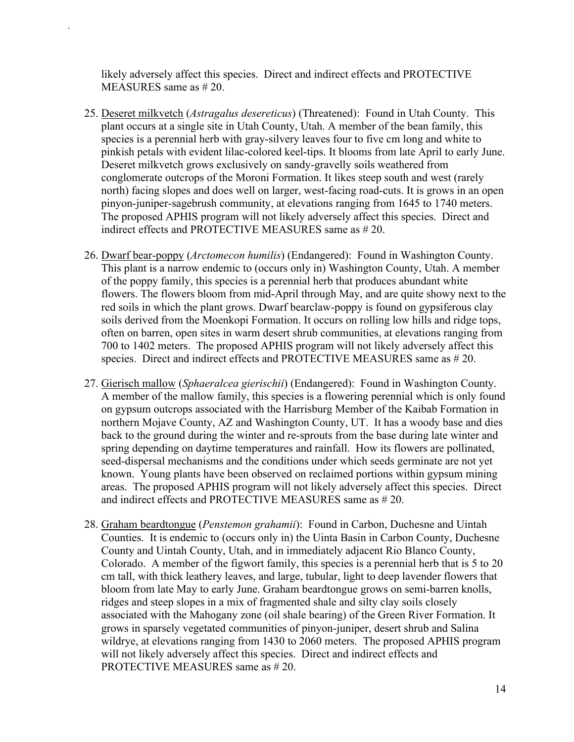likely adversely affect this species. Direct and indirect effects and PROTECTIVE MEASURES same as # 20.

- 25. Deseret milkvetch (*Astragalus desereticus*) (Threatened): Found in Utah County. This plant occurs at a single site in Utah County, Utah. A member of the bean family, this species is a perennial herb with gray-silvery leaves four to five cm long and white to pinkish petals with evident lilac-colored keel-tips. It blooms from late April to early June. Deseret milkvetch grows exclusively on sandy-gravelly soils weathered from conglomerate outcrops of the Moroni Formation. It likes steep south and west (rarely north) facing slopes and does well on larger, west-facing road-cuts. It is grows in an open pinyon-juniper-sagebrush community, at elevations ranging from 1645 to 1740 meters. The proposed APHIS program will not likely adversely affect this species. Direct and indirect effects and PROTECTIVE MEASURES same as # 20.
- 26. Dwarf bear-poppy (*Arctomecon humilis*) (Endangered): Found in Washington County. This plant is a narrow endemic to (occurs only in) Washington County, Utah. A member of the poppy family, this species is a perennial herb that produces abundant white flowers. The flowers bloom from mid-April through May, and are quite showy next to the red soils in which the plant grows. Dwarf bearclaw-poppy is found on gypsiferous clay soils derived from the Moenkopi Formation. It occurs on rolling low hills and ridge tops, often on barren, open sites in warm desert shrub communities, at elevations ranging from 700 to 1402 meters. The proposed APHIS program will not likely adversely affect this species. Direct and indirect effects and PROTECTIVE MEASURES same as # 20.
- 27. Gierisch mallow (*Sphaeralcea gierischii*) (Endangered): Found in Washington County. A member of the mallow family, this species is a flowering perennial which is only found on gypsum outcrops associated with the Harrisburg Member of the Kaibab Formation in northern Mojave County, AZ and Washington County, UT. It has a woody base and dies back to the ground during the winter and re-sprouts from the base during late winter and spring depending on daytime temperatures and rainfall. How its flowers are pollinated, seed-dispersal mechanisms and the conditions under which seeds germinate are not yet known. Young plants have been observed on reclaimed portions within gypsum mining areas. The proposed APHIS program will not likely adversely affect this species. Direct and indirect effects and PROTECTIVE MEASURES same as # 20.
- 28. Graham beardtongue (*Penstemon grahamii*): Found in Carbon, Duchesne and Uintah Counties. It is endemic to (occurs only in) the Uinta Basin in Carbon County, Duchesne County and Uintah County, Utah, and in immediately adjacent Rio Blanco County, Colorado. A member of the figwort family, this species is a perennial herb that is 5 to 20 cm tall, with thick leathery leaves, and large, tubular, light to deep lavender flowers that bloom from late May to early June. Graham beardtongue grows on semi-barren knolls, ridges and steep slopes in a mix of fragmented shale and silty clay soils closely associated with the Mahogany zone (oil shale bearing) of the Green River Formation. It grows in sparsely vegetated communities of pinyon-juniper, desert shrub and Salina wildrye, at elevations ranging from 1430 to 2060 meters. The proposed APHIS program will not likely adversely affect this species. Direct and indirect effects and PROTECTIVE MEASURES same as # 20.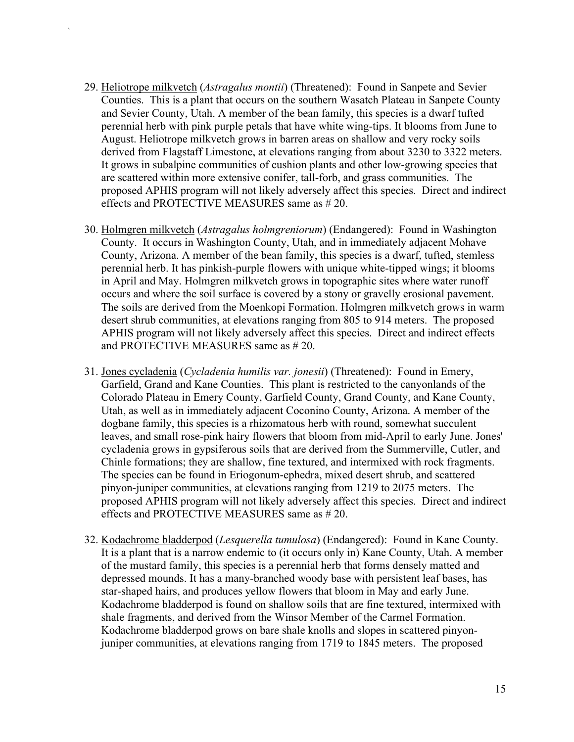29. Heliotrope milkvetch (*Astragalus montii*) (Threatened): Found in Sanpete and Sevier Counties. This is a plant that occurs on the southern Wasatch Plateau in Sanpete County and Sevier County, Utah. A member of the bean family, this species is a dwarf tufted perennial herb with pink purple petals that have white wing-tips. It blooms from June to August. Heliotrope milkvetch grows in barren areas on shallow and very rocky soils derived from Flagstaff Limestone, at elevations ranging from about 3230 to 3322 meters. It grows in subalpine communities of cushion plants and other low-growing species that are scattered within more extensive conifer, tall-forb, and grass communities. The proposed APHIS program will not likely adversely affect this species. Direct and indirect effects and PROTECTIVE MEASURES same as # 20.

- 30. Holmgren milkvetch (*Astragalus holmgreniorum*) (Endangered): Found in Washington County. It occurs in Washington County, Utah, and in immediately adjacent Mohave County, Arizona. A member of the bean family, this species is a dwarf, tufted, stemless perennial herb. It has pinkish-purple flowers with unique white-tipped wings; it blooms in April and May. Holmgren milkvetch grows in topographic sites where water runoff occurs and where the soil surface is covered by a stony or gravelly erosional pavement. The soils are derived from the Moenkopi Formation. Holmgren milkvetch grows in warm desert shrub communities, at elevations ranging from 805 to 914 meters. The proposed APHIS program will not likely adversely affect this species. Direct and indirect effects and PROTECTIVE MEASURES same as # 20.
- 31. Jones cycladenia (*Cycladenia humilis var. jonesii*) (Threatened): Found in Emery, Garfield, Grand and Kane Counties. This plant is restricted to the canyonlands of the Colorado Plateau in Emery County, Garfield County, Grand County, and Kane County, Utah, as well as in immediately adjacent Coconino County, Arizona. A member of the dogbane family, this species is a rhizomatous herb with round, somewhat succulent leaves, and small rose-pink hairy flowers that bloom from mid-April to early June. Jones' cycladenia grows in gypsiferous soils that are derived from the Summerville, Cutler, and Chinle formations; they are shallow, fine textured, and intermixed with rock fragments. The species can be found in Eriogonum-ephedra, mixed desert shrub, and scattered pinyon-juniper communities, at elevations ranging from 1219 to 2075 meters. The proposed APHIS program will not likely adversely affect this species. Direct and indirect effects and PROTECTIVE MEASURES same as # 20.
- 32. Kodachrome bladderpod (*Lesquerella tumulosa*) (Endangered): Found in Kane County. It is a plant that is a narrow endemic to (it occurs only in) Kane County, Utah. A member of the mustard family, this species is a perennial herb that forms densely matted and depressed mounds. It has a many-branched woody base with persistent leaf bases, has star-shaped hairs, and produces yellow flowers that bloom in May and early June. Kodachrome bladderpod is found on shallow soils that are fine textured, intermixed with shale fragments, and derived from the Winsor Member of the Carmel Formation. Kodachrome bladderpod grows on bare shale knolls and slopes in scattered pinyonjuniper communities, at elevations ranging from 1719 to 1845 meters. The proposed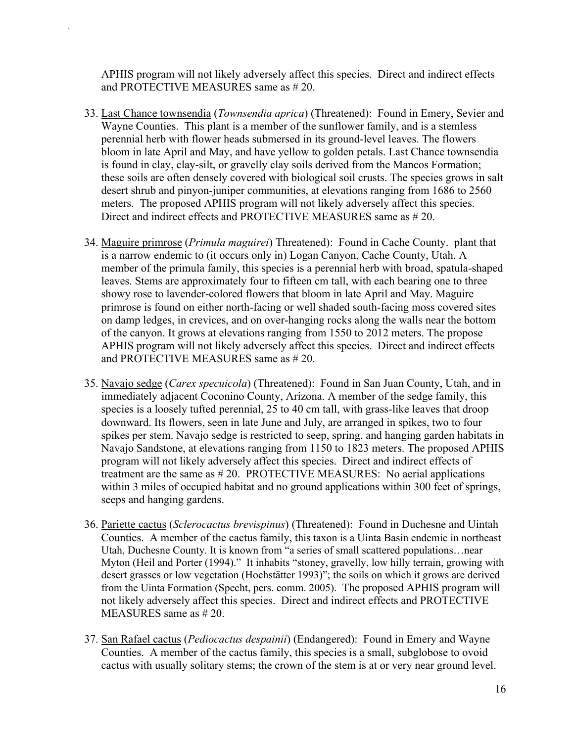APHIS program will not likely adversely affect this species. Direct and indirect effects and PROTECTIVE MEASURES same as # 20.

- 33. Last Chance townsendia (*Townsendia aprica*) (Threatened): Found in Emery, Sevier and Wayne Counties. This plant is a member of the sunflower family, and is a stemless perennial herb with flower heads submersed in its ground-level leaves. The flowers bloom in late April and May, and have yellow to golden petals. Last Chance townsendia is found in clay, clay-silt, or gravelly clay soils derived from the Mancos Formation; these soils are often densely covered with biological soil crusts. The species grows in salt desert shrub and pinyon-juniper communities, at elevations ranging from 1686 to 2560 meters. The proposed APHIS program will not likely adversely affect this species. Direct and indirect effects and PROTECTIVE MEASURES same as # 20.
- 34. Maguire primrose (*Primula maguirei*) Threatened): Found in Cache County. plant that is a narrow endemic to (it occurs only in) Logan Canyon, Cache County, Utah. A member of the primula family, this species is a perennial herb with broad, spatula-shaped leaves. Stems are approximately four to fifteen cm tall, with each bearing one to three showy rose to lavender-colored flowers that bloom in late April and May. Maguire primrose is found on either north-facing or well shaded south-facing moss covered sites on damp ledges, in crevices, and on over-hanging rocks along the walls near the bottom of the canyon. It grows at elevations ranging from 1550 to 2012 meters. The propose APHIS program will not likely adversely affect this species. Direct and indirect effects and PROTECTIVE MEASURES same as # 20.
- 35. Navajo sedge (*Carex specuicola*) (Threatened): Found in San Juan County, Utah, and in immediately adjacent Coconino County, Arizona. A member of the sedge family, this species is a loosely tufted perennial, 25 to 40 cm tall, with grass-like leaves that droop downward. Its flowers, seen in late June and July, are arranged in spikes, two to four spikes per stem. Navajo sedge is restricted to seep, spring, and hanging garden habitats in Navajo Sandstone, at elevations ranging from 1150 to 1823 meters. The proposed APHIS program will not likely adversely affect this species. Direct and indirect effects of treatment are the same as # 20. PROTECTIVE MEASURES: No aerial applications within 3 miles of occupied habitat and no ground applications within 300 feet of springs, seeps and hanging gardens.
- 36. Pariette cactus (*Sclerocactus brevispinus*) (Threatened): Found in Duchesne and Uintah Counties. A member of the cactus family, this taxon is a Uinta Basin endemic in northeast Utah, Duchesne County. It is known from "a series of small scattered populations…near Myton (Heil and Porter (1994)." It inhabits "stoney, gravelly, low hilly terrain, growing with desert grasses or low vegetation (Hochstätter 1993)"; the soils on which it grows are derived from the Uinta Formation (Specht, pers. comm. 2005). The proposed APHIS program will not likely adversely affect this species. Direct and indirect effects and PROTECTIVE MEASURES same as # 20.
- 37. San Rafael cactus (*Pediocactus despainii*) (Endangered): Found in Emery and Wayne Counties. A member of the cactus family, this species is a small, subglobose to ovoid cactus with usually solitary stems; the crown of the stem is at or very near ground level.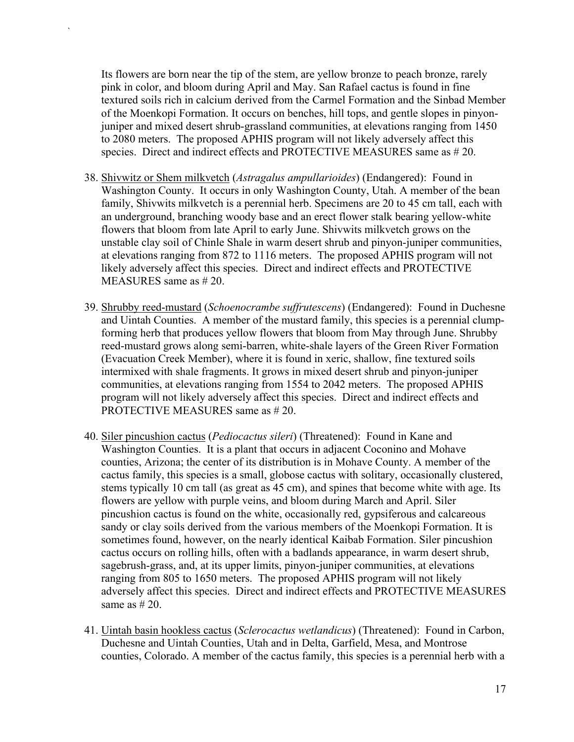Its flowers are born near the tip of the stem, are yellow bronze to peach bronze, rarely pink in color, and bloom during April and May. San Rafael cactus is found in fine textured soils rich in calcium derived from the Carmel Formation and the Sinbad Member of the Moenkopi Formation. It occurs on benches, hill tops, and gentle slopes in pinyonjuniper and mixed desert shrub-grassland communities, at elevations ranging from 1450 to 2080 meters. The proposed APHIS program will not likely adversely affect this species. Direct and indirect effects and PROTECTIVE MEASURES same as # 20.

- 38. Shivwitz or Shem milkvetch (*Astragalus ampullarioides*) (Endangered): Found in Washington County. It occurs in only Washington County, Utah. A member of the bean family, Shivwits milkvetch is a perennial herb. Specimens are 20 to 45 cm tall, each with an underground, branching woody base and an erect flower stalk bearing yellow-white flowers that bloom from late April to early June. Shivwits milkvetch grows on the unstable clay soil of Chinle Shale in warm desert shrub and pinyon-juniper communities, at elevations ranging from 872 to 1116 meters. The proposed APHIS program will not likely adversely affect this species. Direct and indirect effects and PROTECTIVE MEASURES same as # 20.
- 39. Shrubby reed-mustard (*Schoenocrambe suffrutescens*) (Endangered): Found in Duchesne and Uintah Counties. A member of the mustard family, this species is a perennial clumpforming herb that produces yellow flowers that bloom from May through June. Shrubby reed-mustard grows along semi-barren, white-shale layers of the Green River Formation (Evacuation Creek Member), where it is found in xeric, shallow, fine textured soils intermixed with shale fragments. It grows in mixed desert shrub and pinyon-juniper communities, at elevations ranging from 1554 to 2042 meters. The proposed APHIS program will not likely adversely affect this species. Direct and indirect effects and PROTECTIVE MEASURES same as # 20.
- 40. Siler pincushion cactus (*Pediocactus sileri*) (Threatened): Found in Kane and Washington Counties. It is a plant that occurs in adjacent Coconino and Mohave counties, Arizona; the center of its distribution is in Mohave County. A member of the cactus family, this species is a small, globose cactus with solitary, occasionally clustered, stems typically 10 cm tall (as great as 45 cm), and spines that become white with age. Its flowers are yellow with purple veins, and bloom during March and April. Siler pincushion cactus is found on the white, occasionally red, gypsiferous and calcareous sandy or clay soils derived from the various members of the Moenkopi Formation. It is sometimes found, however, on the nearly identical Kaibab Formation. Siler pincushion cactus occurs on rolling hills, often with a badlands appearance, in warm desert shrub, sagebrush-grass, and, at its upper limits, pinyon-juniper communities, at elevations ranging from 805 to 1650 meters. The proposed APHIS program will not likely adversely affect this species. Direct and indirect effects and PROTECTIVE MEASURES same as  $# 20$ .
- 41. Uintah basin hookless cactus (*Sclerocactus wetlandicus*) (Threatened): Found in Carbon, Duchesne and Uintah Counties, Utah and in Delta, Garfield, Mesa, and Montrose counties, Colorado. A member of the cactus family, this species is a perennial herb with a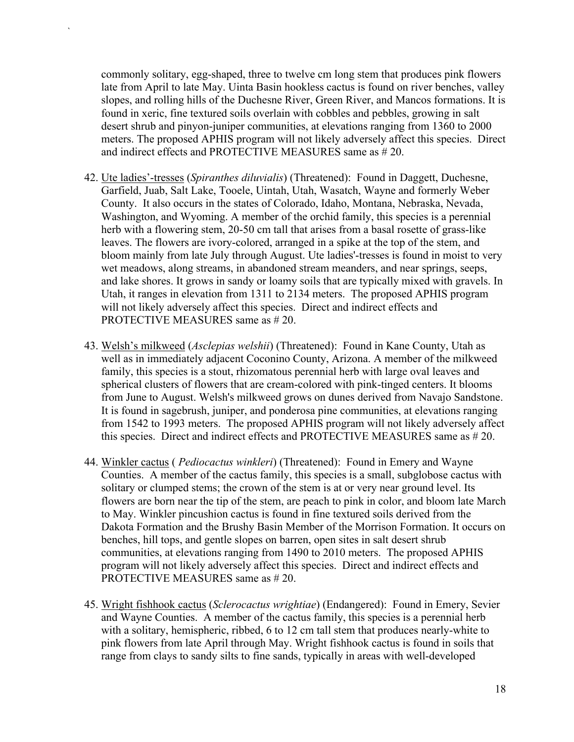commonly solitary, egg-shaped, three to twelve cm long stem that produces pink flowers late from April to late May. Uinta Basin hookless cactus is found on river benches, valley slopes, and rolling hills of the Duchesne River, Green River, and Mancos formations. It is found in xeric, fine textured soils overlain with cobbles and pebbles, growing in salt desert shrub and pinyon-juniper communities, at elevations ranging from 1360 to 2000 meters. The proposed APHIS program will not likely adversely affect this species. Direct and indirect effects and PROTECTIVE MEASURES same as # 20.

- 42. Ute ladies'-tresses (*Spiranthes diluvialis*) (Threatened): Found in Daggett, Duchesne, Garfield, Juab, Salt Lake, Tooele, Uintah, Utah, Wasatch, Wayne and formerly Weber County. It also occurs in the states of Colorado, Idaho, Montana, Nebraska, Nevada, Washington, and Wyoming. A member of the orchid family, this species is a perennial herb with a flowering stem, 20-50 cm tall that arises from a basal rosette of grass-like leaves. The flowers are ivory-colored, arranged in a spike at the top of the stem, and bloom mainly from late July through August. Ute ladies'-tresses is found in moist to very wet meadows, along streams, in abandoned stream meanders, and near springs, seeps, and lake shores. It grows in sandy or loamy soils that are typically mixed with gravels. In Utah, it ranges in elevation from 1311 to 2134 meters. The proposed APHIS program will not likely adversely affect this species. Direct and indirect effects and PROTECTIVE MEASURES same as # 20.
- 43. Welsh's milkweed (*Asclepias welshii*) (Threatened): Found in Kane County, Utah as well as in immediately adjacent Coconino County, Arizona. A member of the milkweed family, this species is a stout, rhizomatous perennial herb with large oval leaves and spherical clusters of flowers that are cream-colored with pink-tinged centers. It blooms from June to August. Welsh's milkweed grows on dunes derived from Navajo Sandstone. It is found in sagebrush, juniper, and ponderosa pine communities, at elevations ranging from 1542 to 1993 meters. The proposed APHIS program will not likely adversely affect this species. Direct and indirect effects and PROTECTIVE MEASURES same as # 20.
- 44. Winkler cactus ( *Pediocactus winkleri*) (Threatened): Found in Emery and Wayne Counties. A member of the cactus family, this species is a small, subglobose cactus with solitary or clumped stems; the crown of the stem is at or very near ground level. Its flowers are born near the tip of the stem, are peach to pink in color, and bloom late March to May. Winkler pincushion cactus is found in fine textured soils derived from the Dakota Formation and the Brushy Basin Member of the Morrison Formation. It occurs on benches, hill tops, and gentle slopes on barren, open sites in salt desert shrub communities, at elevations ranging from 1490 to 2010 meters. The proposed APHIS program will not likely adversely affect this species. Direct and indirect effects and PROTECTIVE MEASURES same as # 20.
- 45. Wright fishhook cactus (*Sclerocactus wrightiae*) (Endangered): Found in Emery, Sevier and Wayne Counties. A member of the cactus family, this species is a perennial herb with a solitary, hemispheric, ribbed, 6 to 12 cm tall stem that produces nearly-white to pink flowers from late April through May. Wright fishhook cactus is found in soils that range from clays to sandy silts to fine sands, typically in areas with well-developed